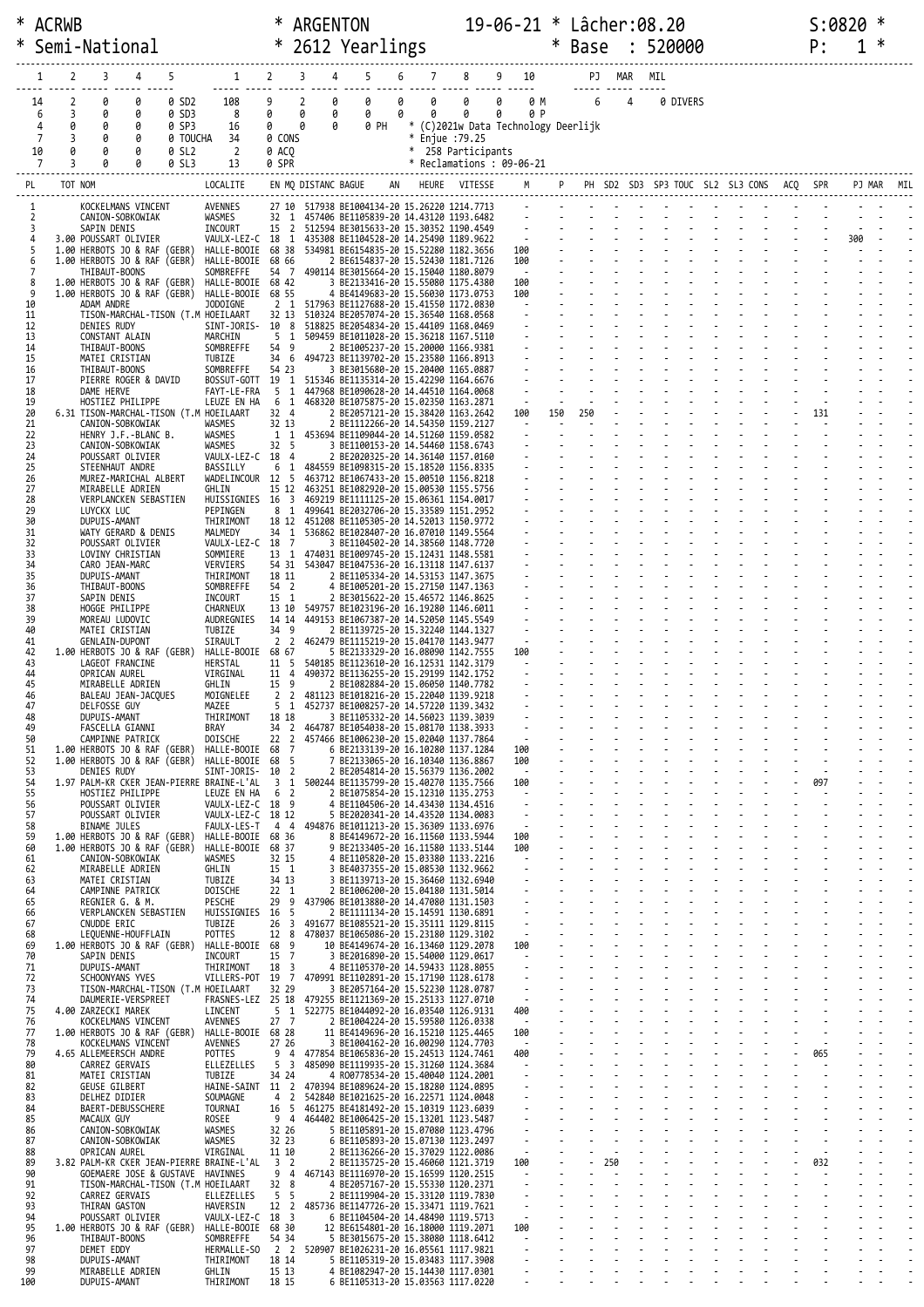|          |         | * ACRWB             |                                                                        |                                     | ∗                           | ARGENTON                      |                                                                                       |        |                                      | 19-06-21 * Lâcher:08.20             |                  |               |                |          |  |                                            |        | S:0820 | ∗          |  |
|----------|---------|---------------------|------------------------------------------------------------------------|-------------------------------------|-----------------------------|-------------------------------|---------------------------------------------------------------------------------------|--------|--------------------------------------|-------------------------------------|------------------|---------------|----------------|----------|--|--------------------------------------------|--------|--------|------------|--|
|          |         |                     | Semi-National                                                          |                                     | $\ast$                      |                               | 2612 Yearlings                                                                        |        |                                      |                                     | $\ast$           | Base : 520000 |                |          |  |                                            | P:     |        | ∗          |  |
|          |         | 2                   | 5<br>3<br>4                                                            | $1 \quad$                           | $2^{\circ}$                 | 3                             | 5<br>6                                                                                |        |                                      | 8 9 10                              |                  |               |                |          |  |                                            |        |        |            |  |
|          | 1       |                     |                                                                        |                                     |                             | 4                             |                                                                                       | 7      |                                      |                                     |                  |               | PJ MAR         | MIL      |  |                                            |        |        |            |  |
|          | 14<br>6 | $\overline{2}$<br>3 | 0<br>0<br>0 SD2<br>0<br>0<br>0 SD3                                     | 108<br>8                            | 9<br>0                      | $\overline{2}$<br>0<br>0<br>0 | 0<br>0<br>0<br>0                                                                      | 0<br>0 | $\theta$<br>$\theta$                 | $\theta$<br>0<br>0 P                |                  | 0 M 6         | $\overline{4}$ | 0 DIVERS |  |                                            |        |        |            |  |
|          | 4       | 0                   | 0<br>0<br>0 SP3                                                        | 16                                  | $\theta$                    | 0<br>0                        | 0 PH                                                                                  |        |                                      | * (C)2021w Data Technology Deerlijk |                  |               |                |          |  |                                            |        |        |            |  |
|          | 7<br>10 | 3<br>0              | 0<br>0<br>0 TOUCHA<br>0<br>0 SL2                                       | 34<br>$\overline{2}$                | 0 CONS<br>0 ACQ             |                               |                                                                                       |        | * Enjue :79.25<br>* 258 Participants |                                     |                  |               |                |          |  |                                            |        |        |            |  |
|          | 7       | 3                   | <b>a</b><br>0<br>0 SL3                                                 | 13                                  | 0 SPR                       |                               |                                                                                       |        | * Reclamations : 09-06-21            |                                     |                  |               |                |          |  |                                            |        |        |            |  |
| PL       |         | TOT NOM             |                                                                        | LOCALITE                            |                             | EN MQ DISTANC BAGUE           |                                                                                       |        | AN HEURE VITESSE                     |                                     |                  |               |                |          |  | P PH SD2 SD3 SP3 TOUC SL2 SL3 CONS ACQ SPR |        |        | PJ MAR MIL |  |
|          |         |                     | KOCKELMANS VINCENT                                                     | AVENNES                             |                             |                               | 27 10 517938 BE1004134-20 15.26220 1214.7713                                          |        |                                      |                                     |                  |               |                |          |  |                                            |        |        |            |  |
|          | 2<br>3  |                     | CANION-SOBKOWIAK<br>SAPIN DENIS                                        | WASMES<br>INCOURT                   | 15 <sub>2</sub>             |                               | 32 1 457406 BE1105839-20 14.43120 1193.6482<br>512594 BE3015633-20 15.30352 1190.4549 |        |                                      | 19 F                                |                  |               |                |          |  |                                            |        |        |            |  |
|          |         |                     | 3.00 POUSSART OLIVIER<br>1.00 HERBOTS JO & RAF (GEBR)                  | VAULX-LEZ-C 18 1<br>HALLE-BOOIE     | 68 38                       |                               | 435308 BE1104528-20 14.25490 1189.9622<br>534981 BE6154835-20 15.52280 1182.3656      |        |                                      |                                     |                  |               |                |          |  |                                            |        | 300    |            |  |
|          |         |                     | 1.00 HERBOTS JO & RAF (GEBR)<br>THIBAUT-BOONS                          | HALLE-BOOIE<br>SOMBREFFE            | 68 66<br>54 7               |                               | 2 BE6154837-20 15.52430 1181.7126<br>490114 BE3015664-20 15.15040 1180.8079           |        |                                      | 100<br>$\sim 100$ km s $^{-1}$      |                  |               |                |          |  |                                            |        |        |            |  |
|          | 8<br>9  |                     | 1.00 HERBOTS JO & RAF (GEBR)                                           | HALLE-BOOIE 68 42                   |                             |                               | 3 BE2133416-20 15.55080 1175.4380                                                     |        |                                      | 100<br>100                          |                  |               |                |          |  |                                            |        |        |            |  |
| 10       |         |                     | 1.00 HERBOTS JO & RAF (GEBR)<br>ADAM ANDRE                             | HALLE-BOOIE<br>JODOIGNE             | 68 55<br>$2 \quad 1$        |                               | 4 BE4149683-20 15.56030 1173.0753<br>517963 BE1127688-20 15.41550 1172.0830           |        |                                      | $\sim 10^{-10}$ m $^{-1}$           |                  |               |                |          |  |                                            |        |        |            |  |
| 11<br>12 |         |                     | TISON-MARCHAL-TISON (T.M HOEILAART<br>DENIES RUDY                      | SINT-JORIS-                         | 32 13<br>10 8               |                               | 510324 BE2057074-20 15.36540 1168.0568<br>518825 BE2054834-20 15.44109 1168.0469      |        |                                      |                                     |                  |               |                |          |  |                                            |        |        |            |  |
| 13<br>14 |         |                     | CONSTANT ALAIN<br>THIBAUT-BOONS                                        | MARCHIN<br>SOMBREFFE                | $5 \quad 1$<br>54 9         |                               | 509459 BE1011028-20 15.36218 1167.5110<br>2 BE1005237-20 15.20000 1166.9381           |        |                                      |                                     |                  |               |                |          |  |                                            |        |        |            |  |
| 15<br>16 |         |                     | MATEI CRISTIAN<br>THIBAUT-BOONS                                        | TUBIZE<br>SOMBREFFE                 | 34 6<br>54 23               |                               | 494723 BE1139702-20 15.23580 1166.8913<br>3 BE3015680-20 15.20400 1165.0887           |        |                                      |                                     |                  |               |                |          |  |                                            |        |        |            |  |
| 17<br>18 |         |                     | PIERRE ROGER & DAVID<br>DAME HERVE                                     | BOSSUT-GOTT 19 1<br>FAYT-LE-FRA     | -5<br>1                     |                               | 515346 BE1135314-20 15.42290 1164.6676<br>447968 BE1090628-20 14.44510 1164.0068      |        |                                      |                                     |                  |               |                |          |  |                                            |        |        |            |  |
| 19<br>20 |         |                     | HOSTIEZ PHILIPPE<br>6.31 TISON-MARCHAL-TISON (T.M HOEILAART            | LEUZE EN HA                         | 6 1<br>32 4                 |                               | 468320 BE1075875-20 15.02350 1163.2871<br>2 BE2057121-20 15.38420 1163.2642           |        |                                      | $\sim 10$<br>100 150                | $\sim 100$       | 250           |                |          |  |                                            | 131    |        |            |  |
| 21       |         |                     | CANION-SOBKOWIAK                                                       | WASMES                              | 32 13                       |                               | 2 BE1112266-20 14.54350 1159.2127                                                     |        |                                      | $\sim 10^{-1}$                      | $\sim$ 100 $\pm$ |               |                |          |  |                                            | $\sim$ |        |            |  |
| 22<br>23 |         |                     | HENRY J.F.-BLANC B.<br>CANION-SOBKOWIAK                                | WASMES<br>WASMES                    | 32 5                        |                               | 1 1 453694 BE1109044-20 14.51260 1159.0582<br>3 BE1100153-20 14.54460 1158.6743       |        |                                      |                                     |                  |               |                |          |  |                                            |        |        |            |  |
| 24<br>25 |         |                     | POUSSART OLIVIER<br>STEENHAUT ANDRE                                    | VAULX-LEZ-C 18 4<br>BASSILLY        | 6 1                         |                               | 2 BE2020325-20 14.36140 1157.0160<br>484559 BE1098315-20 15.18520 1156.8335           |        |                                      |                                     |                  |               |                |          |  |                                            |        |        |            |  |
| 26<br>27 |         |                     | MUREZ-MARICHAL ALBERT<br>MIRABELLE ADRIEN                              | WADELINCOUR 12 5<br>GHLIN           | 15 12                       |                               | 463712 BE1067433-20 15.00510 1156.8218<br>463251 BE1082920-20 15.00530 1155.5756      |        |                                      |                                     |                  |               |                |          |  |                                            |        |        |            |  |
| 28<br>29 |         |                     | VERPLANCKEN SEBASTIEN<br>LUYCKX LUC                                    | HUISSIGNIES 16 3<br>PEPINGEN        | 8<br>$\mathbf{1}$           |                               | 469219 BE1111125-20 15.06361 1154.0017<br>499641 BE2032706-20 15.33589 1151.2952      |        |                                      |                                     |                  |               |                |          |  |                                            |        |        |            |  |
| 30       |         |                     | DUPUIS-AMANT                                                           | THIRIMONT                           | 18 12                       |                               | 451208 BE1105305-20 14.52013 1150.9772                                                |        |                                      |                                     |                  |               |                |          |  |                                            |        |        |            |  |
| 31<br>32 |         |                     | WATY GERARD & DENIS<br>POUSSART OLIVIER                                | MALMEDY<br>VAULX-LEZ-C 18 7         | 34 1                        |                               | 536862 BE1028407-20 16.07010 1149.5564<br>3 BE1104502-20 14.38560 1148.7720           |        |                                      | $\mathbb{D}^1(\mathbb{D}^1)$        |                  |               |                |          |  |                                            |        |        |            |  |
| 33<br>34 |         |                     | LOVINY CHRISTIAN<br>CARO JEAN-MARC                                     | SOMMIERE<br>VERVIERS                | 13 1<br>54 31               |                               | 474031 BE1009745-20 15.12431 1148.5581<br>543047 BE1047536-20 16.13118 1147.6137      |        |                                      |                                     |                  |               |                |          |  |                                            |        |        |            |  |
| 35<br>36 |         |                     | DUPUIS-AMANT<br>THIBAUT-BOONS                                          | THIRIMONT<br>SOMBREFFE              | 18 11<br>54 2               |                               | 2 BE1105334-20 14.53153 1147.3675<br>4 BE1005201-20 15.27150 1147.1363                |        |                                      |                                     |                  |               |                |          |  |                                            |        |        |            |  |
| 37<br>38 |         |                     | SAPIN DENIS<br>HOGGE PHILIPPE                                          | INCOURT<br>CHARNEUX                 | 15 1<br>13 10               |                               | 2 BE3015622-20 15.46572 1146.8625<br>549757 BE1023196-20 16.19280 1146.6011           |        |                                      | $\frac{1}{2}$ .                     |                  |               |                |          |  |                                            |        |        |            |  |
| 39<br>40 |         |                     | MOREAU LUDOVIC<br>MATEI CRISTIAN                                       | AUDREGNIES<br>TUBIZE                | 14 14<br>34 9               |                               | 449153 BE1067387-20 14.52050 1145.5549<br>2 BE1139725-20 15.32240 1144.1327           |        |                                      |                                     |                  |               |                |          |  |                                            |        |        |            |  |
| 41       |         |                     | GENLAIN-DUPONT                                                         | SIRAULT                             | 2 <sub>2</sub>              |                               | 462479 BE1115219-20 15.04170 1143.9477                                                |        |                                      | $\sim 10^{-1}$<br>100               |                  |               |                |          |  |                                            |        |        |            |  |
| 42<br>43 |         |                     | 1.00 HERBOTS JO & RAF (GEBR)<br>LAGEOT FRANCINE                        | HALLE-BOOIE 68 67<br>HERSTAL        | 11 5                        |                               | 5 BE2133329-20 16.08090 1142.7555<br>540185 BE1123610-20 16.12531 1142.3179           |        |                                      | <b>Contractor</b>                   |                  |               |                |          |  |                                            |        |        |            |  |
| 44<br>45 |         |                     | OPRICAN AUREL<br>MIRABELLE ADRIEN                                      | VIRGINAL<br>GHLIN                   | 11 4<br>15 9                |                               | 490372 BE1136255-20 15.29199 1142.1752<br>2 BE1082884-20 15.06050 1140.7782           |        |                                      |                                     |                  |               |                |          |  |                                            |        |        |            |  |
| 46<br>47 |         |                     | BALEAU JEAN-JACQUES<br>DELFOSSE GUY                                    | MOIGNELEE<br>MAZEE                  | 2 <sub>2</sub><br>5 1       |                               | 481123 BE1018216-20 15.22040 1139.9218<br>452737 BE1008257-20 14.57220 1139.3432      |        |                                      |                                     |                  |               |                |          |  |                                            |        |        |            |  |
| 48<br>49 |         |                     | DUPUIS-AMANT<br>FASCELLA GIANNI                                        | THIRIMONT<br>BRAY                   | 18 18<br>34 2               |                               | 3 BE1105332-20 14.56023 1139.3039<br>464787 BE1054038-20 15.08170 1138.3933           |        |                                      |                                     |                  |               |                |          |  |                                            |        |        |            |  |
| 50<br>51 |         |                     | CAMPINNE PATRICK<br>1.00 HERBOTS JO & RAF (GEBR)                       | DOISCHE<br>HALLE-BOOIE 68 7         | 22 <sub>2</sub>             |                               | 457466 BE1006230-20 15.02040 1137.7864<br>6 BE2133139-20 16.10280 1137.1284           |        |                                      | 100                                 |                  |               |                |          |  |                                            |        |        |            |  |
| 52<br>53 |         |                     | 1.00 HERBOTS JO & RAF (GEBR)<br><b>DENIES RUDY</b>                     | HALLE-BOOIE                         | 68 5<br>10 2                |                               | 7 BE2133065-20 16.10340 1136.8867<br>2 BE2054814-20 15.56379 1136.2002                |        |                                      | 100<br>$\sim$ $\sim$                |                  |               |                |          |  |                                            |        |        |            |  |
| 54       |         |                     | 1.97 PALM-KR CKER JEAN-PIERRE BRAINE-L'AL                              | SINT-JORIS-                         | 1<br>$\overline{3}$         |                               | 500244 BE1135799-20 15.40270 1135.7566                                                |        |                                      | 100                                 |                  |               |                |          |  |                                            | 097    |        |            |  |
| 55<br>56 |         |                     | HOSTIEZ PHILIPPE<br>POUSSART OLIVIER                                   | LEUZE EN HA<br>VAULX-LEZ-C          | $\overline{2}$<br>6<br>189  |                               | 2 BE1075854-20 15.12310 1135.2753<br>4 BE1104506-20 14.43430 1134.4516                |        |                                      | $\sim$                              |                  |               |                |          |  |                                            |        |        |            |  |
| 57<br>58 |         |                     | POUSSART OLIVIER<br><b>BINAME JULES</b>                                | VAULX-LEZ-C 18 12<br>FAULX-LES-T    | 4 4                         |                               | 5 BE2020341-20 14.43520 1134.0083<br>494876 BE1011213-20 15.36309 1133.6976           |        |                                      | $\blacksquare$<br>$\sim$            |                  |               |                |          |  |                                            |        |        |            |  |
| 59<br>60 |         |                     | 1.00 HERBOTS JO & RAF (GEBR)<br>1.00 HERBOTS JO & RAF (GEBR)           | HALLE-BOOIE<br>HALLE-BOOIE          | 68 36<br>68 37              |                               | 8 BE4149672-20 16.11560 1133.5944<br>9 BE2133405-20 16.11580 1133.5144                |        |                                      | 100<br>100                          |                  |               |                |          |  |                                            |        |        |            |  |
| 61<br>62 |         |                     | CANION-SOBKOWIAK<br>MIRABELLE ADRIEN                                   | WASMES<br>GHLIN                     | 32 15<br>15 1               |                               | 4 BE1105820-20 15.03380 1133.2216<br>3 BE4037355-20 15.08530 1132.9662                |        |                                      | $\sim$                              |                  |               |                |          |  |                                            |        |        |            |  |
| 63<br>64 |         |                     | MATEI CRISTIAN<br>CAMPINNE PATRICK                                     | TUBIZE<br>DOISCHE                   | 34 13<br>$22 \quad 1$       |                               | 3 BE1139713-20 15.36460 1132.6940<br>2 BE1006200-20 15.04180 1131.5014                |        |                                      |                                     |                  |               |                |          |  |                                            |        |        |            |  |
| 65       |         |                     | REGNIER G. & M.                                                        | PESCHE                              | 9<br>29<br>-5               |                               | 437906 BE1013880-20 14.47080 1131.1503                                                |        |                                      | $\sim$                              |                  |               |                |          |  |                                            |        |        |            |  |
| 66<br>67 |         |                     | VERPLANCKEN SEBASTIEN<br>CNUDDE ERIC                                   | HUISSIGNIES 16<br>TUBIZE            | 26 <sup>3</sup>             |                               | 2 BE1111134-20 15.14591 1130.6891<br>491677 BE1085521-20 15.35111 1129.8115           |        |                                      | $\omega$                            |                  |               |                |          |  |                                            |        |        |            |  |
| 68<br>69 |         |                     | LEQUENNE-HOUFFLAIN<br>1.00 HERBOTS JO & RAF (GEBR)                     | POTTES<br>HALLE-BOOIE 68            | 12 8<br>-9                  |                               | 478037 BE1065086-20 15.23180 1129.3102<br>10 BE4149674-20 16.13460 1129.2078          |        |                                      | $\sim$<br>100                       |                  |               |                |          |  |                                            |        |        |            |  |
| 70<br>71 |         |                     | SAPIN DENIS<br>DUPUIS-AMANT                                            | INCOURT<br>THIRIMONT                | 15 7<br>18 3                |                               | 3 BE2016890-20 15.54000 1129.0617<br>4 BE1105370-20 14.59433 1128.8055                |        |                                      | $\sim$                              |                  |               |                |          |  |                                            |        |        |            |  |
| 72<br>73 |         |                     | SCHOONYANS YVES<br>TISON-MARCHAL-TISON (T.M HOEILAART                  | VILLERS-POT 19                      | $\overline{7}$<br>32 29     |                               | 470991 BE1102891-20 15.17190 1128.6178<br>3 BE2057164-20 15.52230 1128.0787           |        |                                      | $\blacksquare$<br>$\sim$            |                  |               |                |          |  |                                            |        |        |            |  |
| 74<br>75 |         |                     | DAUMERIE-VERSPREET<br>4.00 ZARZECKI MAREK                              | FRASNES-LEZ 25 18<br>LINCENT        | $5 \t1$                     |                               | 479255 BE1121369-20 15.25133 1127.0710<br>522775 BE1044092-20 16.03540 1126.9131      |        |                                      | $\sim 10^{-1}$<br>400               |                  |               |                |          |  |                                            |        |        |            |  |
| 76<br>77 |         |                     | KOCKELMANS VINCENT<br>1.00 HERBOTS JO & RAF (GEBR)                     | <b>AVENNES</b><br>HALLE-BOOIE 68 28 | 27 7                        |                               | 2 BE1004224-20 15.59580 1126.0338<br>11 BE4149696-20 16.15210 1125.4465               |        |                                      | $\sim$ $\sim$<br>100                |                  |               |                |          |  |                                            |        |        |            |  |
| 78       |         |                     | KOCKELMANS VINCENT                                                     | <b>AVENNES</b>                      | 27 26                       |                               | 3 BE1004162-20 16.00290 1124.7703                                                     |        |                                      | $\sim$                              |                  |               |                |          |  |                                            | ÷,     |        |            |  |
| 79<br>80 |         |                     | 4.65 ALLEMEERSCH ANDRE<br>CARREZ GERVAIS                               | POTTES<br>ELLEZELLES                | 94<br>5 <sub>3</sub>        |                               | 477854 BE1065836-20 15.24513 1124.7461<br>485090 BE1119935-20 15.31260 1124.3684      |        |                                      | 400<br>$\sim$                       |                  |               |                |          |  |                                            | 065    |        |            |  |
| 81<br>82 |         |                     | MATEI CRISTIAN<br><b>GEUSE GILBERT</b>                                 | TUBIZE<br>HAINE-SAINT               | 34 24<br>11 2               |                               | 4 R00778534-20 15.40040 1124.2001<br>470394 BE1089624-20 15.18280 1124.0895           |        |                                      |                                     |                  |               |                |          |  |                                            |        |        |            |  |
| 83<br>84 |         |                     | DELHEZ DIDIER<br>BAERT-DEBUSSCHERE                                     | SOUMAGNE<br>TOURNAI                 | 4<br>$\overline{2}$<br>16 5 |                               | 542840 BE1021625-20 16.22571 1124.0048<br>461275 BE4181492-20 15.10319 1123.6039      |        |                                      | $\sim$                              |                  |               |                |          |  |                                            |        |        |            |  |
| 85<br>86 |         |                     | MACAUX GUY<br>CANION-SOBKOWIAK                                         | ROSEE<br>WASMES                     | 9 4<br>32 26                |                               | 464402 BE1006425-20 15.13201 1123.5487<br>5 BE1105891-20 15.07080 1123.4796           |        |                                      |                                     |                  |               |                |          |  |                                            |        |        |            |  |
| 87<br>88 |         |                     | CANION-SOBKOWIAK<br>OPRICAN AUREL                                      | WASMES<br>VIRGINAL                  | 32 23<br>11 10              |                               | 6 BE1105893-20 15.07130 1123.2497<br>2 BE1136266-20 15.37029 1122.0086                |        |                                      | $\sim$<br>$\sim$                    |                  |               |                |          |  |                                            |        |        |            |  |
| 89       |         |                     | 3.82 PALM-KR CKER JEAN-PIERRE BRAINE-L'AL                              |                                     | 3 2                         |                               | 2 BE1135725-20 15.46060 1121.3719                                                     |        |                                      | 100                                 |                  |               | 250            |          |  |                                            | 032    |        |            |  |
| 90<br>91 |         |                     | GOEMAERE JOSE & GUSTAVE HAVINNES<br>TISON-MARCHAL-TISON (T.M HOEILAART |                                     | 9<br>$\overline{4}$<br>32 8 |                               | 467143 BE1116970-20 15.16599 1120.2515<br>4 BE2057167-20 15.55330 1120.2371           |        |                                      | $\sim$<br>$\sim$                    |                  |               |                |          |  |                                            |        |        |            |  |
| 92<br>93 |         |                     | CARREZ GERVAIS<br>THIRAN GASTON                                        | ELLEZELLES<br>HAVERSIN              | -5<br>- 5<br>12 2           |                               | 2 BE1119904-20 15.33120 1119.7830<br>485736 BE1147726-20 15.33471 1119.7621           |        |                                      | $\sim$<br>$\sim$                    |                  |               |                |          |  |                                            |        |        |            |  |
| 94<br>95 |         |                     | POUSSART OLIVIER<br>1.00 HERBOTS JO & RAF (GEBR)                       | VAULX-LEZ-C<br>HALLE-BOOIE          | 18 3<br>68 30               |                               | 6 BE1104504-20 14.48490 1119.5713<br>12 BE6154801-20 16.18000 1119.2071               |        |                                      | $\sim$<br>100                       |                  |               |                |          |  |                                            |        |        |            |  |
| 96<br>97 |         |                     | THIBAUT-BOONS<br>DEMET EDDY                                            | SOMBREFFE<br>HERMALLE-SO            | 54 34                       |                               | 5 BE3015675-20 15.38080 1118.6412<br>2 2 520907 BE1026231-20 16.05561 1117.9821       |        |                                      | $\sim$                              |                  |               |                |          |  |                                            |        |        |            |  |
| 98<br>99 |         |                     | DUPUIS-AMANT<br>MIRABELLE ADRIEN                                       | THIRIMONT<br>GHLIN                  | 18 14<br>15 13              |                               | 5 BE1105319-20 15.03483 1117.3908<br>4 BE1082947-20 15.14430 1117.0301                |        |                                      |                                     |                  |               |                |          |  |                                            |        |        |            |  |
| 100      |         |                     | DUPUIS-AMANT                                                           | THIRIMONT                           | 18 15                       |                               | 6 BE1105313-20 15.03563 1117.0220                                                     |        |                                      |                                     |                  |               |                |          |  |                                            |        |        |            |  |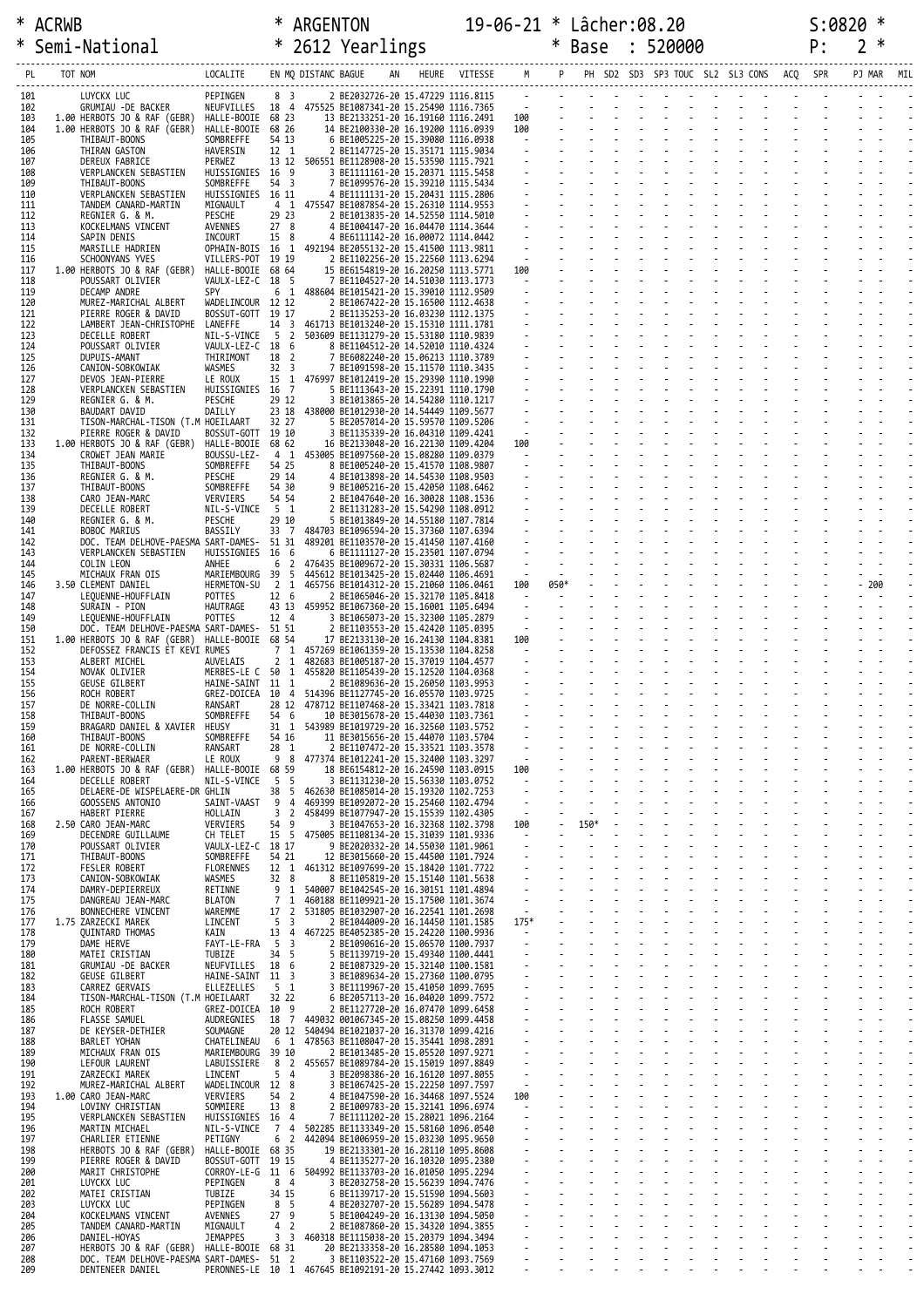|            | Semi-National                                                    | * 2612 Yearlings                                                                  |                                             |                     |                                                                                             |                                                            |                                                                                                                                                                                                                                                                                                                                                      |                                                      | * Base         | : 520000 |                                 | P: | ∗<br>2 |  |
|------------|------------------------------------------------------------------|-----------------------------------------------------------------------------------|---------------------------------------------|---------------------|---------------------------------------------------------------------------------------------|------------------------------------------------------------|------------------------------------------------------------------------------------------------------------------------------------------------------------------------------------------------------------------------------------------------------------------------------------------------------------------------------------------------------|------------------------------------------------------|----------------|----------|---------------------------------|----|--------|--|
| PL         | TOT NOM                                                          | LOCALITE                                                                          |                                             | EN MQ DISTANC BAGUE | AN                                                                                          | HEURE VITESSE M P PH SD2 SD3 SP3 TOUC SL2 SL3 CONS ACQ SPR |                                                                                                                                                                                                                                                                                                                                                      |                                                      |                |          |                                 |    |        |  |
| 101        | LUYCKX LUC                                                       | PEPINGEN                                                                          | 8 <sup>3</sup>                              |                     | 2 BE2032726-20 15.47229 1116.8115                                                           |                                                            |                                                                                                                                                                                                                                                                                                                                                      |                                                      |                |          |                                 |    |        |  |
| 102<br>103 | GRUMIAU -DE BACKER<br>1.00 HERBOTS JO & RAF (GEBR)               | NEUFVILLES  18  4  475525  BE1087341-20  15.25490  1116.7365<br>HALLE-BOOIE 68 23 |                                             |                     | 13 BE2133251-20 16.19160 1116.2491                                                          |                                                            |                                                                                                                                                                                                                                                                                                                                                      |                                                      |                |          |                                 |    |        |  |
| 104<br>105 | 1.00 HERBOTS JO & RAF (GEBR)<br>THIBAUT-BOONS                    | HALLE-BOOIE 68 26<br>SOMBREFFE                                                    | 54 13                                       |                     | 14 BE2100330-20 16.19200 1116.0939<br>6 BE1005225-20 15.39080 1116.0938                     |                                                            |                                                                                                                                                                                                                                                                                                                                                      |                                                      |                |          |                                 |    |        |  |
| 106<br>107 | THIRAN GASTON<br>DEREUX FABRICE                                  | HAVERSIN<br>PERWEZ                                                                | 12 1                                        |                     | 2 BE1147725-20 15.35171 1115.9034<br>13 12 506551 BE1128908-20 15.53590 1115.7921           |                                                            |                                                                                                                                                                                                                                                                                                                                                      |                                                      |                |          |                                 |    |        |  |
| 108<br>109 | VERPLANCKEN SEBASTIEN                                            | HUISSIGNIES 16 9<br>SOMBREFFE                                                     | 54 3                                        |                     | 3 BE1111161-20 15.20371 1115.5458                                                           |                                                            |                                                                                                                                                                                                                                                                                                                                                      |                                                      |                |          |                                 |    |        |  |
| 110        | THIBAUT-BOONS<br>VERPLANCKEN SEBASTIEN                           | HUISSIGNIES 16 11                                                                 |                                             |                     | 7 BE1099576-20 15.39210 1115.5434<br>4 BE1111131-20 15.20431 1115.2806                      |                                                            |                                                                                                                                                                                                                                                                                                                                                      |                                                      |                |          |                                 |    |        |  |
| 111<br>112 | TANDEM CANARD-MARTIN<br>REGNIER G. & M.                          | MIGNAULT<br>PESCHE                                                                | 29 23                                       |                     | 4 1 475547 BE1087854-20 15.26310 1114.9553<br>2 BE1013835-20 14.52550 1114.5010             |                                                            |                                                                                                                                                                                                                                                                                                                                                      |                                                      |                |          |                                 |    |        |  |
| 113<br>114 | KOCKELMANS VINCENT<br>SAPIN DENIS                                | AVENNES<br>INCOURT                                                                | 278<br>15 8                                 |                     | 4 BE1004147-20 16.04470 1114.3644<br>4 BE6111142-20 16.00072 1114.0442                      |                                                            |                                                                                                                                                                                                                                                                                                                                                      |                                                      |                |          |                                 |    |        |  |
| 115<br>116 | MARSILLE HADRIEN<br>SCHOONYANS YVES                              | OPHAIN-BOIS 16 1 492194 BE2055132-20 15.41500 1113.9811<br>VILLERS-POT 19 19      |                                             |                     | 2 BE1102256-20 15.22560 1113.6294                                                           |                                                            | $\frac{1}{2}$<br>$\frac{1}{2}$<br>$\frac{1}{2}$<br>$\frac{1}{2}$<br>$\frac{1}{2}$<br>$\frac{1}{2}$<br>$\frac{1}{2}$<br>$\frac{1}{2}$<br>$\frac{1}{2}$<br>$\frac{1}{2}$<br>$\frac{1}{2}$<br>$\frac{1}{2}$<br>$\frac{1}{2}$<br>$\frac{1}{2}$<br>$\frac{1}{2}$<br>$\frac{1}{2}$<br>$\frac{1}{2}$<br>$\frac{1}{2}$<br>$\frac{1}{2}$<br>$\frac{1}{2}$<br> |                                                      |                |          |                                 |    |        |  |
| 117        | 1.00 HERBOTS JO & RAF (GEBR)                                     | HALLE-BOOIE 68 64                                                                 |                                             |                     | 15 BE6154819-20 16.20250 1113.5771                                                          |                                                            |                                                                                                                                                                                                                                                                                                                                                      |                                                      |                |          |                                 |    |        |  |
| 118<br>119 | POUSSART OLIVIER<br>DECAMP ANDRE                                 | VAULX-LEZ-C 18 5<br><b>SPY</b>                                                    |                                             |                     | 7 BE1104527-20 14.51030 1113.1773<br>6 1 488604 BE1015421-20 15.39010 1112.9509             |                                                            |                                                                                                                                                                                                                                                                                                                                                      |                                                      |                |          | and a straightful contract and  |    |        |  |
| 120<br>121 | MUREZ-MARICHAL ALBERT<br>PIERRE ROGER & DAVID                    | WADELINCOUR 12 12<br>BOSSUT-GOTT 19 17                                            |                                             |                     | 2 BE1067422-20 15.16500 1112.4638<br>2 BE1135253-20 16.03230 1112.1375                      |                                                            |                                                                                                                                                                                                                                                                                                                                                      |                                                      |                |          |                                 |    |        |  |
| 122<br>123 | LAMBERT JEAN-CHRISTOPHE<br>DECELLE ROBERT                        | LANEFFE<br>NIL-S-VINCE                                                            | 5 <sub>2</sub>                              |                     | 14 3 461713 BE1013240-20 15.15310 1111.1781<br>503609 BE1131279-20 15.53180 1110.9839       |                                                            |                                                                                                                                                                                                                                                                                                                                                      |                                                      |                |          |                                 |    |        |  |
| 124<br>125 | POUSSART OLIVIER<br>DUPUIS-AMANT                                 | VAULX-LEZ-C 18<br>THIRIMONT                                                       | - 6<br>$\overline{2}$<br>18                 |                     | 8 BE1104512-20 14.52010 1110.4324<br>7 BE6082240-20 15.06213 1110.3789                      |                                                            |                                                                                                                                                                                                                                                                                                                                                      |                                                      |                |          |                                 |    |        |  |
| 126        | CANION-SOBKOWIAK                                                 | WASMES                                                                            | 32 <sup>3</sup>                             |                     | 7 BE1091598-20 15.11570 1110.3435<br>15 1 476997 BE1012419-20 15.29390 1110.1990            |                                                            |                                                                                                                                                                                                                                                                                                                                                      |                                                      |                |          |                                 |    |        |  |
| 127<br>128 | DEVOS JEAN-PIERRE<br>VERPLANCKEN SEBASTIEN                       | LE ROUX<br>HUISSIGNIES 16 7                                                       |                                             |                     | 5 BE1113643-20 15.22391 1110.1790                                                           |                                                            |                                                                                                                                                                                                                                                                                                                                                      |                                                      |                |          |                                 |    |        |  |
| 129<br>130 | REGNIER G. & M.<br><b>BAUDART DAVID</b>                          | PESCHE<br>DAILLY                                                                  | 29 12                                       |                     | 3 BE1013865-20 14.54280 1110.1217<br>23 18 438000 BE1012930-20 14.54449 1109.5677           |                                                            |                                                                                                                                                                                                                                                                                                                                                      |                                                      |                |          |                                 |    |        |  |
| 131<br>132 | TISON-MARCHAL-TISON (T.M HOEILAART<br>PIERRE ROGER & DAVID       | BOSSUT-GOTT 19 10                                                                 | 32 27                                       |                     | 5 BE2057014-20 15.59570 1109.5206<br>3 BE1135339-20 16.04310 1109.4241                      |                                                            | $\begin{array}{ccc}\n & - & - \\ 100 & & -\n\end{array}$                                                                                                                                                                                                                                                                                             |                                                      |                |          | and a state of the state of the |    |        |  |
| 133<br>134 | 1.00 HERBOTS JO & RAF (GEBR)<br>CROWET JEAN MARIE                | HALLE-BOOIE 68 62<br>BOUSSU-LEZ-                                                  |                                             |                     | 16 BE2133048-20 16.22130 1109.4204<br>4 1 453005 BE1097560-20 15.08280 1109.0379            |                                                            |                                                                                                                                                                                                                                                                                                                                                      |                                                      |                |          |                                 |    |        |  |
| 135        | THIBAUT-BOONS                                                    | SOMBREFFE                                                                         | 54 25                                       |                     | 8 BE1005240-20 15.41570 1108.9807                                                           |                                                            |                                                                                                                                                                                                                                                                                                                                                      |                                                      |                |          |                                 |    |        |  |
| 136<br>137 | REGNIER G. & M.<br>THIBAUT-BOONS                                 | PESCHE<br>SOMBREFFE                                                               | 29 14<br>54 30                              |                     | 4 BE1013898-20 14.54530 1108.9503<br>9 BE1005216-20 15.42050 1108.6462                      |                                                            |                                                                                                                                                                                                                                                                                                                                                      |                                                      |                |          |                                 |    |        |  |
| 138<br>139 | CARO JEAN-MARC<br>DECELLE ROBERT                                 | VERVIERS<br>NIL-S-VINCE                                                           | 54 54<br>5 1                                |                     | 2 BE1047640-20 16.30028 1108.1536<br>2 BE1131283-20 15.54290 1108.0912                      |                                                            |                                                                                                                                                                                                                                                                                                                                                      |                                                      |                |          |                                 |    |        |  |
| 140<br>141 | REGNIER G. & M.<br>BOBOC MARIUS                                  | PESCHE<br>BASSILY                                                                 | 29 10<br>33 7                               |                     | 5 BE1013849-20 14.55180 1107.7814<br>484703 BE1096594-20 15.37360 1107.6394                 |                                                            |                                                                                                                                                                                                                                                                                                                                                      |                                                      |                |          |                                 |    |        |  |
| 142<br>143 | DOC. TEAM DELHOVE-PAESMA SART-DAMES- 51 31                       | HUISSIGNIES 16 6                                                                  |                                             |                     | 489201 BE1103570-20 15.41450 1107.4160                                                      |                                                            |                                                                                                                                                                                                                                                                                                                                                      |                                                      |                |          |                                 |    |        |  |
| 144        | VERPLANCKEN SEBASTIEN<br>COLIN LEON                              | ANHEE                                                                             | $\overline{2}$<br>6                         |                     | 6 BE1111127-20 15.23501 1107.0794<br>476435 BE1009672-20 15.30331 1106.5687                 |                                                            | $\sim$                                                                                                                                                                                                                                                                                                                                               |                                                      |                |          |                                 |    |        |  |
| 145<br>146 | MICHAUX FRAN OIS<br>3.50 CLEMENT DANIEL                          | MARIEMBOURG 39 5<br>HERMETON-SU 2 1                                               |                                             |                     | 445612 BE1013425-20 15.02440 1106.4691<br>465756 BE1014312-20 15.21060 1106.0461            |                                                            | $\sim 10^{-11}$<br>100                                                                                                                                                                                                                                                                                                                               | 050*                                                 |                |          |                                 |    | $-200$ |  |
| 147<br>148 | LEQUENNE-HOUFFLAIN<br>SURAIN - PION                              | POTTES<br>HAUTRAGE                                                                | 12 6                                        |                     | 2 BE1065046-20 15.32170 1105.8418<br>43 13 459952 BE1067360-20 15.16001 1105.6494           |                                                            | $\sim 100$                                                                                                                                                                                                                                                                                                                                           |                                                      |                |          |                                 |    |        |  |
| 149<br>150 | LEQUENNE-HOUFFLAIN<br>DOC. TEAM DELHOVE-PAESMA SART-DAMES- 51 51 | POTTES                                                                            | 12 4                                        |                     | 3 BE1065073-20 15.32300 1105.2879<br>2 BE1103553-20 15.42420 1105.0395                      |                                                            |                                                                                                                                                                                                                                                                                                                                                      |                                                      |                |          | design and a state of the state |    |        |  |
| 151        | 1.00 HERBOTS JO & RAF (GEBR) HALLE-BOOIE 68 54                   |                                                                                   | 7 <sub>1</sub>                              |                     | 17 BE2133130-20 16.24130 1104.8381                                                          |                                                            | $\begin{array}{c}\n100 \\ -1\n\end{array}$<br>$\mathcal{L}(\mathcal{L})$ and $\mathcal{L}(\mathcal{L})$                                                                                                                                                                                                                                              |                                                      |                |          |                                 |    |        |  |
| 152<br>153 | DEFOSSEZ FRANCIS ET KEVI RUMES<br>ALBERT MICHEL                  | AUVELAIS                                                                          | 2 <sub>1</sub>                              |                     | 457269 BE1061359-20 15.13530 1104.8258<br>482683 BE1005187-20 15.37019 1104.4577            |                                                            |                                                                                                                                                                                                                                                                                                                                                      |                                                      |                |          |                                 |    |        |  |
| 154<br>155 | NOVAK OLIVIER<br><b>GEUSE GILBERT</b>                            | MERBES-LE C 50 1<br>HAINE-SAINT 11 1                                              |                                             |                     | 455820 BE1105439-20 15.12520 1104.0368<br>2 BE1089636-20 15.26050 1103.9953                 |                                                            |                                                                                                                                                                                                                                                                                                                                                      |                                                      |                |          |                                 |    |        |  |
| 156<br>157 | ROCH ROBERT<br>DE NORRE-COLLIN                                   | GREZ-DOICEA 10 4 514396 BE1127745-20 16.05570 1103.9725<br>RANSART                |                                             |                     | 28 12 478712 BE1107468-20 15.33421 1103.7818                                                |                                                            |                                                                                                                                                                                                                                                                                                                                                      |                                                      |                |          |                                 |    |        |  |
| 158<br>159 | THIBAUT-BOONS<br>BRAGARD DANIEL & XAVIER HEUSY                   | SOMBREFFE                                                                         | 54 6                                        |                     | 10 BE3015678-20 15.44030 1103.7361<br>31 1 543989 BE1019729-20 16.32560 1103.5752           |                                                            |                                                                                                                                                                                                                                                                                                                                                      |                                                      |                |          |                                 |    |        |  |
| 160        | THIBAUT-BOONS                                                    | SOMBREFFE                                                                         | 54 16                                       |                     | 11 BE3015656-20 15.44070 1103.5704                                                          |                                                            |                                                                                                                                                                                                                                                                                                                                                      |                                                      |                |          |                                 |    |        |  |
| 161<br>162 | DE NORRE-COLLIN<br>PARENT-BERWAER                                | RANSART<br>LE ROUX                                                                | 28 1                                        |                     | 2 BE1107472-20 15.33521 1103.3578<br>9 8 477374 BE1012241-20 15.32400 1103.3297             |                                                            | $\sim$                                                                                                                                                                                                                                                                                                                                               |                                                      |                |          |                                 |    |        |  |
| 163<br>164 | 1.00 HERBOTS JO & RAF (GEBR)<br>DECELLE ROBERT                   | HALLE-BOOIE 68 59<br>NIL-S-VINCE                                                  | 5 5                                         |                     | 18 BE6154812-20 16.24590 1103.0915<br>3 BE1131230-20 15.56330 1103.0752                     |                                                            | 100<br>$\sim 100$ m $^{-1}$                                                                                                                                                                                                                                                                                                                          |                                                      |                |          |                                 |    |        |  |
| 165<br>166 | DELAERE-DE WISPELAERE-DR GHLIN<br>GOOSSENS ANTONIO               | SAINT-VAAST                                                                       | 38 5<br>9<br>$\overline{4}$                 |                     | 462630 BE1085014-20 15.19320 1102.7253<br>469399 BE1092072-20 15.25460 1102.4794            |                                                            | $\sim$                                                                                                                                                                                                                                                                                                                                               |                                                      |                |          |                                 |    |        |  |
| 167        | HABERT PIERRE                                                    | HOLLAIN<br>VERVIERS                                                               | $\overline{2}$<br>3<br>54 9                 |                     | 458499 BE1077947-20 15.15539 1102.4305<br>3 BE1047653-20 16.32368 1102.3798                 |                                                            | $\sim$<br>100                                                                                                                                                                                                                                                                                                                                        | $\overline{\phantom{a}}$<br>$\overline{\phantom{a}}$ | 150*<br>$\sim$ |          |                                 |    |        |  |
| 168<br>169 | 2.50 CARO JEAN-MARC<br>DECENDRE GUILLAUME                        | CH TELET                                                                          | 15 5                                        |                     | 475005 BE1108134-20 15.31039 1101.9336                                                      |                                                            | $\sim 10^{-1}$                                                                                                                                                                                                                                                                                                                                       | $\sim$                                               | $\blacksquare$ |          |                                 |    |        |  |
| 170<br>171 | POUSSART OLIVIER<br>THIBAUT-BOONS                                | VAULX-LEZ-C 18 17<br>SOMBREFFE                                                    | 54 21                                       |                     | 9 BE2020332-20 14.55030 1101.9061<br>12 BE3015660-20 15.44500 1101.7924                     |                                                            |                                                                                                                                                                                                                                                                                                                                                      |                                                      |                |          |                                 |    |        |  |
| 172<br>173 | <b>FESLER ROBERT</b><br>CANION-SOBKOWIAK                         | <b>FLORENNES</b><br>WASMES                                                        | 12 1<br>32 8                                |                     | 461312 BE1097699-20 15.18420 1101.7722<br>8 BE1105819-20 15.15140 1101.5638                 |                                                            |                                                                                                                                                                                                                                                                                                                                                      |                                                      |                |          |                                 |    |        |  |
| 174<br>175 | DAMRY-DEPIERREUX<br>DANGREAU JEAN-MARC                           | RETINNE<br><b>BLATON</b>                                                          | 9 <sub>1</sub><br>7 1                       |                     | 540007 BE1042545-20 16.30151 1101.4894<br>460188 BE1109921-20 15.17500 1101.3674            |                                                            | $\sim$ $-$                                                                                                                                                                                                                                                                                                                                           | $\sim$                                               |                |          |                                 |    |        |  |
| 176        | BONNECHERE VINCENT                                               | WAREMME                                                                           | $\overline{2}$<br>17                        |                     | 531805 BE1032907-20 16.22541 1101.2698                                                      |                                                            | $\sim 10^{-11}$                                                                                                                                                                                                                                                                                                                                      |                                                      |                |          |                                 |    |        |  |
| 177<br>178 | 1.75 ZARZECKI MAREK<br><b>QUINTARD THOMAS</b>                    | LINCENT<br>KAIN                                                                   | 5<br>$\overline{3}$<br>13<br>$\overline{4}$ |                     | 2 BE1044009-20 16.14450 1101.1585<br>467225 BE4052385-20 15.24220 1100.9936                 |                                                            | $175*$<br>$\sim 10^{-1}$                                                                                                                                                                                                                                                                                                                             |                                                      |                |          |                                 |    |        |  |
| 179<br>180 | DAME HERVE<br>MATEI CRISTIAN                                     | FAYT-LE-FRA<br>TUBIZE                                                             | 5<br>$\overline{3}$<br>34 5                 |                     | 2 BE1090616-20 15.06570 1100.7937<br>5 BE1139719-20 15.49340 1100.4441                      |                                                            | $\sim$                                                                                                                                                                                                                                                                                                                                               | $\Box$                                               |                |          |                                 |    |        |  |
| 181<br>182 | GRUMIAU -DE BACKER<br>GEUSE GILBERT                              | NEUFVILLES<br>HAINE-SAINT 11 3                                                    | 18 6                                        |                     | 2 BE1087329-20 15.32140 1100.1581<br>3 BE1089634-20 15.27360 1100.0795                      |                                                            |                                                                                                                                                                                                                                                                                                                                                      |                                                      |                |          |                                 |    |        |  |
| 183<br>184 | CARREZ GERVAIS<br>TISON-MARCHAL-TISON (T.M HOEILAART             | ELLEZELLES                                                                        | 5 1<br>32 22                                |                     | 3 BE1119967-20 15.41050 1099.7695<br>6 BE2057113-20 16.04020 1099.7572                      |                                                            |                                                                                                                                                                                                                                                                                                                                                      |                                                      |                |          |                                 |    |        |  |
| 185        | ROCH ROBERT                                                      | GREZ-DOICEA 10 9                                                                  |                                             |                     | 2 BE1127720-20 16.07470 1099.6458                                                           |                                                            |                                                                                                                                                                                                                                                                                                                                                      |                                                      |                |          |                                 |    |        |  |
| 186<br>187 | FLASSE SAMUEL<br>DE KEYSER-DETHIER                               | AUDREGNIES<br>SOUMAGNE                                                            |                                             |                     | 18 7 449032 001067345-20 15.08250 1099.4458<br>20 12 540494 BE1021037-20 16.31370 1099.4216 |                                                            | $\sim$                                                                                                                                                                                                                                                                                                                                               | $\mathcal{L}_{\mathcal{A}}$                          |                |          |                                 |    |        |  |
| 188<br>189 | BARLET YOHAN<br>MICHAUX FRAN OIS                                 | CHATELINEAU<br>MARIEMBOURG 39 10                                                  | 6 1                                         |                     | 478563 BE1108047-20 15.35441 1098.2891<br>2 BE1013485-20 15.05520 1097.9271                 |                                                            |                                                                                                                                                                                                                                                                                                                                                      |                                                      |                |          |                                 |    |        |  |
| 190<br>191 | LEFOUR LAURENT<br>ZARZECKI MAREK                                 | LABUISSIERE<br>LINCENT                                                            | 8 2<br>5<br>$\overline{4}$                  |                     | 455657 BE1089784-20 15.15019 1097.8849<br>3 BE2098386-20 16.16120 1097.8055                 |                                                            | $\sim$                                                                                                                                                                                                                                                                                                                                               |                                                      |                |          |                                 |    |        |  |
| 192        | MUREZ-MARICHAL ALBERT                                            | WADELINCOUR 12 8                                                                  |                                             |                     | 3 BE1067425-20 15.22250 1097.7597                                                           |                                                            | $\sim 10^{-1}$                                                                                                                                                                                                                                                                                                                                       | $\blacksquare$<br>$\sim$                             |                |          |                                 |    |        |  |
| 193<br>194 | 1.00 CARO JEAN-MARC<br>LOVINY CHRISTIAN                          | VERVIERS<br>SOMMIERE                                                              | 54 2<br>13 8                                |                     | 4 BE1047590-20 16.34468 1097.5524<br>2 BE1009783-20 15.32141 1096.6974                      |                                                            | 100<br>$\sim 100$                                                                                                                                                                                                                                                                                                                                    |                                                      |                |          |                                 |    |        |  |
| 195<br>196 | VERPLANCKEN SEBASTIEN<br>MARTIN MICHAEL                          | HUISSIGNIES 16 4<br>NIL-S-VINCE                                                   | 7 4                                         |                     | 7 BE1111202-20 15.28021 1096.2164<br>502285 BE1133349-20 15.58160 1096.0540                 |                                                            |                                                                                                                                                                                                                                                                                                                                                      |                                                      |                |          |                                 |    |        |  |
| 197<br>198 | CHARLIER ETIENNE<br>HERBOTS JO & RAF (GEBR)                      | PETIGNY<br>HALLE-BOOIE 68 35                                                      | 6 <sub>2</sub>                              |                     | 442094 BE1006959-20 15.03230 1095.9650<br>19 BE2133301-20 16.28110 1095.8608                |                                                            | $\sim$                                                                                                                                                                                                                                                                                                                                               | $\mathcal{L}_{\mathcal{A}}$<br>$\omega$              |                |          |                                 |    |        |  |
| 199<br>200 | PIERRE ROGER & DAVID<br>MARIT CHRISTOPHE                         | BOSSUT-GOTT 19 15<br>CORROY-LE-G 11 6                                             |                                             |                     | 4 BE1135277-20 16.10320 1095.2380<br>504992 BE1133703-20 16.01050 1095.2294                 |                                                            |                                                                                                                                                                                                                                                                                                                                                      | $\sim$                                               |                |          |                                 |    |        |  |
| 201        | LUYCKX LUC                                                       | PEPINGEN                                                                          | 8 <sub>4</sub>                              |                     | 3 BE2032758-20 15.56239 1094.7476                                                           |                                                            |                                                                                                                                                                                                                                                                                                                                                      |                                                      |                |          |                                 |    |        |  |
| 202<br>203 | MATEI CRISTIAN<br>LUYCKX LUC                                     | TUBIZE<br>PEPINGEN                                                                | 34 15<br>8<br>-5                            |                     | 6 BE1139717-20 15.51590 1094.5603<br>4 BE2032707-20 15.56289 1094.5478                      |                                                            |                                                                                                                                                                                                                                                                                                                                                      | $\mathcal{L}_{\mathcal{A}}$                          |                |          |                                 |    |        |  |
| 204<br>205 | KOCKELMANS VINCENT<br>TANDEM CANARD-MARTIN                       | AVENNES<br>MIGNAULT                                                               | 27 <sup>9</sup><br>4 <sub>2</sub>           |                     | 5 BE1004249-20 16.13130 1094.5050<br>2 BE1087860-20 15.34320 1094.3855                      |                                                            | $\mathbb{Z}^{\mathbb{Z}}$                                                                                                                                                                                                                                                                                                                            | $\Box$                                               |                |          |                                 |    |        |  |
| 206<br>207 | DANIEL-HOYAS<br>HERBOTS JO & RAF (GEBR)                          | <b>JEMAPPES</b><br>HALLE-BOOIE 68 31                                              | 3 <sup>3</sup>                              |                     | 460318 BE1115038-20 15.20379 1094.3494<br>20 BE2133358-20 16.28580 1094.1053                |                                                            |                                                                                                                                                                                                                                                                                                                                                      |                                                      |                |          |                                 |    |        |  |
| 208<br>209 | DOC. TEAM DELHOVE-PAESMA SART-DAMES-<br>DENTENEER DANIEL         | PERONNES-LE 10 1 467645 BE1092191-20 15.27442 1093.3012                           | 51 2                                        |                     | 3 BE1103522-20 15.47160 1093.7569                                                           |                                                            |                                                                                                                                                                                                                                                                                                                                                      |                                                      |                |          |                                 |    |        |  |
|            |                                                                  |                                                                                   |                                             |                     |                                                                                             |                                                            |                                                                                                                                                                                                                                                                                                                                                      |                                                      |                |          |                                 |    |        |  |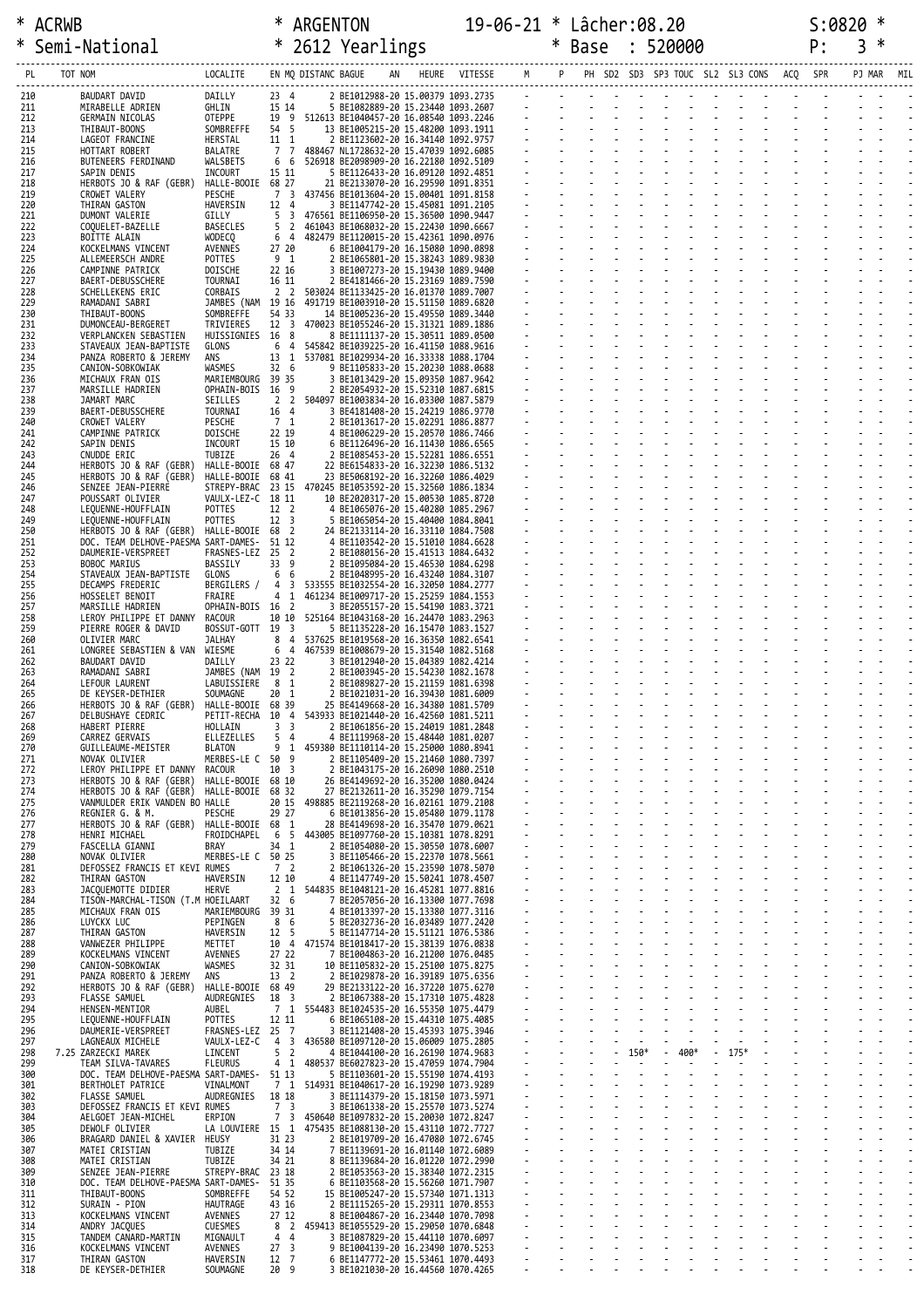|            | * Semi-National                                                                      |                                  |                     | * 2612 Yearlings                                                                             |                 |                                                             | * Base |                | 520000                   |                                          | P: | 3      |     |
|------------|--------------------------------------------------------------------------------------|----------------------------------|---------------------|----------------------------------------------------------------------------------------------|-----------------|-------------------------------------------------------------|--------|----------------|--------------------------|------------------------------------------|----|--------|-----|
| PL         | LOCALITE<br>TOT NOM                                                                  |                                  | EN MQ DISTANC BAGUE |                                                                                              | HEURE VITESSE M |                                                             |        |                |                          | PH SD2 SD3 SP3 TOUC SL2 SL3 CONS ACQ SPR |    | PJ MAR | MIL |
| 210        | BAUDART DAVID<br>DAILLY                                                              | $23 \quad 4$                     |                     | 2 BE1012988-20 15.00379 1093.2735                                                            |                 | والمتواصل والمتواطن والمتواطن والمتواطن والمتواطن والمتواطن |        |                |                          |                                          |    |        |     |
| 211<br>212 | GHLIN<br>MIRABELLE ADRIEN<br>OTEPPE<br>GERMAIN NICOLAS                               | 15 14                            |                     | 5 BE1082889-20 15.23440 1093.2607<br>19 9 512613 BE1040457-20 16.08540 1093.2246             |                 |                                                             |        |                |                          | <u> Englished (Berger)</u>               |    |        |     |
| 213<br>214 | SOMBREFFE<br>THIBAUT-BOONS<br>HERSTAL<br>LAGEOT FRANCINE                             | 54 5<br>11 1                     |                     | 13 BE1005215-20 15.48200 1093.1911<br>2 BE1123602-20 16.34140 1092.9757                      |                 |                                                             |        |                |                          |                                          |    |        |     |
| 215        | HOTTART ROBERT<br>BALATRE                                                            | 7 7                              |                     | 488467 NL1728632-20 15.47039 1092.6085                                                       |                 |                                                             |        |                |                          |                                          |    |        |     |
| 216<br>217 | BUTENEERS FERDINAND<br>WALSBETS<br>INCOURT<br>SAPIN DENIS                            | 6 6<br>15 11                     |                     | 526918 BE2098909-20 16.22180 1092.5109<br>5 BE1126433-20 16.09120 1092.4851                  |                 |                                                             |        |                |                          |                                          |    |        |     |
| 218<br>219 | HERBOTS JO & RAF (GEBR)<br>HALLE-BOOIE 68 27<br>PESCHE<br>CROWET VALERY              | 7 3                              |                     | 21 BE2133070-20 16.29590 1091.8351<br>437456 BE1013604-20 15.00401 1091.8158                 |                 |                                                             |        |                |                          |                                          |    |        |     |
| 220<br>221 | HAVERSIN<br>THIRAN GASTON<br>DUMONT VALERIE<br>GILLY                                 | 12 4<br>5 <sub>3</sub>           |                     | 3 BE1147742-20 15.45081 1091.2105<br>476561 BE1106950-20 15.36500 1090.9447                  |                 |                                                             |        |                |                          |                                          |    |        |     |
| 222<br>223 | COQUELET-BAZELLE<br><b>BASECLES</b><br><b>WODECO</b><br>BOITTE ALAIN                 | 5<br>6 4                         | $\overline{2}$      | 461043 BE1068032-20 15.22430 1090.6667<br>482479 BE1120015-20 15.42361 1090.0976             |                 |                                                             |        |                |                          |                                          |    |        |     |
| 224<br>225 | AVENNES<br>KOCKELMANS VINCENT                                                        | 27 20<br>9 1                     |                     | 6 BE1004179-20 16.15080 1090.0898                                                            |                 |                                                             |        |                |                          |                                          |    |        |     |
| 226        | ALLEMEERSCH ANDRE<br><b>POTTES</b><br>DOISCHE<br>CAMPINNE PATRICK                    | 22 16                            |                     | 2 BE1065801-20 15.38243 1089.9830<br>3 BE1007273-20 15.19430 1089.9400                       |                 |                                                             |        |                |                          |                                          |    |        |     |
| 227<br>228 | TOURNAI<br>BAERT-DEBUSSCHERE<br>SCHELLEKENS ERIC<br>CORBAIS                          | 16 11<br>2 <sub>2</sub>          |                     | 2 BE4181466-20 15.23169 1089.7590<br>503024 BE1133425-20 16.01370 1089.7007                  |                 |                                                             |        |                |                          |                                          |    |        |     |
| 229<br>230 | JAMBES (NAM 19 16<br>RAMADANI SABRI<br>SOMBREFFE<br>THIBAUT-BOONS                    | 54 33                            |                     | 491719 BE1003910-20 15.51150 1089.6820<br>14 BE1005236-20 15.49550 1089.3440                 |                 |                                                             |        |                |                          |                                          |    |        |     |
| 231<br>232 | DUMONCEAU-BERGERET<br>TRIVIERES<br>HUISSIGNIES<br>VERPLANCKEN SEBASTIEN              | 12 <sup>3</sup><br>16 8          |                     | 470023 BE1055246-20 15.31321 1089.1886<br>8 BE1111137-20 15.30511 1089.0500                  |                 |                                                             |        |                |                          |                                          |    |        |     |
| 233<br>234 | GLONS<br>STAVEAUX JEAN-BAPTISTE<br>ANS<br>PANZA ROBERTO & JEREMY                     | 6 4<br>13                        | 1                   | 545842 BE1039225-20 16.41150 1088.9616<br>537081 BE1029934-20 16.33338 1088.1704             |                 |                                                             |        |                |                          |                                          |    |        |     |
| 235        | WASMES<br>CANION-SOBKOWIAK                                                           | 32 6                             |                     | 9 BE1105833-20 15.20230 1088.0688                                                            |                 |                                                             |        |                |                          |                                          |    |        |     |
| 236<br>237 | MICHAUX FRAN OIS<br>MARIEMBOURG 39 35<br>MARSILLE HADRIEN<br>OPHAIN-BOIS             | 169                              |                     | 3 BE1013429-20 15.09350 1087.9642<br>2 BE2054932-20 15.52310 1087.6815                       |                 |                                                             |        |                |                          |                                          |    |        |     |
| 238<br>239 | SEILLES<br>JAMART MARC<br>BAERT-DEBUSSCHERE<br>TOURNAI                               | 2 <sub>2</sub><br>16 4           |                     | 504097 BE1003834-20 16.03300 1087.5879<br>3 BE4181408-20 15.24219 1086.9770                  |                 |                                                             |        |                |                          |                                          |    |        |     |
| 240<br>241 | PESCHE<br>CROWET VALERY<br>DOISCHE<br>CAMPINNE PATRICK                               | 7 <sub>1</sub><br>22 19          |                     | 2 BE1013617-20 15.02291 1086.8877<br>4 BE1006229-20 15.20570 1086.7466                       |                 |                                                             |        |                |                          |                                          |    |        |     |
| 242<br>243 | INCOURT<br>SAPIN DENIS<br>CNUDDE ERIC<br>TUBIZE                                      | 15 10<br>264                     |                     | 6 BE1126496-20 16.11430 1086.6565<br>2 BE1085453-20 15.52281 1086.6551                       |                 |                                                             |        |                |                          |                                          |    |        |     |
| 244        | HALLE-BOOIE<br>HERBOTS JO & RAF (GEBR)                                               | 68 47                            |                     | 22 BE6154833-20 16.32230 1086.5132                                                           |                 |                                                             |        |                |                          |                                          |    |        |     |
| 245<br>246 | HERBOTS JO & RAF (GEBR)<br>HALLE-BOOIE<br>STREPY-BRAC 23 15<br>SENZEE JEAN-PIERRE    | 68 41                            |                     | 23 BE5068192-20 16.32260 1086.4029<br>470245 BE1053592-20 15.32560 1086.1834                 |                 |                                                             |        |                |                          |                                          |    |        |     |
| 247<br>248 | VAULX-LEZ-C 18 11<br>POUSSART OLIVIER<br>POTTES<br>LEQUENNE-HOUFFLAIN                | 12 2                             |                     | 10 BE2020317-20 15.00530 1085.8720<br>4 BE1065076-20 15.40280 1085.2967                      |                 |                                                             |        |                |                          |                                          |    |        |     |
| 249<br>250 | POTTES<br>LEQUENNE-HOUFFLAIN<br>HALLE-BOOIE<br>HERBOTS JO & RAF (GEBR)               | 12 <sup>3</sup><br>68 2          |                     | 5 BE1065054-20 15.40400 1084.8041<br>24 BE2133114-20 16.33110 1084.7508                      |                 |                                                             |        |                |                          |                                          |    |        |     |
| 251<br>252 | DOC. TEAM DELHOVE-PAESMA SART-DAMES- 51 12<br>FRASNES-LEZ 25 2<br>DAUMERIE-VERSPREET |                                  |                     | 4 BE1103542-20 15.51010 1084.6628<br>2 BE1080156-20 15.41513 1084.6432                       |                 |                                                             |        |                |                          |                                          |    |        |     |
| 253        | BASSILY<br>BOBOC MARIUS                                                              | 33 9                             |                     | 2 BE1095084-20 15.46530 1084.6298                                                            |                 |                                                             |        |                |                          | <b>Contract Contract</b>                 |    |        |     |
| 254<br>255 | STAVEAUX JEAN-BAPTISTE<br>GLONS<br>DECAMPS FREDERIC<br>BERGILERS /                   | 6 6<br>4 3                       |                     | 2 BE1048995-20 16.43240 1084.3107<br>533555 BE1032554-20 16.32050 1084.2777                  |                 |                                                             |        |                |                          |                                          |    |        |     |
| 256<br>257 | FRAIRE<br>HOSSELET BENOIT<br>OPHAIN-BOIS 16 2<br>MARSILLE HADRIEN                    | $4 \quad 1$                      |                     | 461234 BE1009717-20 15.25259 1084.1553<br>3 BE2055157-20 15.54190 1083.3721                  |                 |                                                             |        |                |                          |                                          |    |        |     |
| 258<br>259 | RACOUR<br>LEROY PHILIPPE ET DANNY<br>BOSSUT-GOTT 19 3<br>PIERRE ROGER & DAVID        | 10 10                            |                     | 525164 BE1043168-20 16.24470 1083.2963<br>5 BE1135228-20 16.15470 1083.1527                  |                 |                                                             |        |                |                          |                                          |    |        |     |
| 260<br>261 | <b>JALHAY</b><br>OLIVIER MARC<br>LONGREE SEBASTIEN & VAN<br>WIESME                   | 8 4<br>64                        |                     | 537625 BE1019568-20 16.36350 1082.6541<br>467539 BE1008679-20 15.31540 1082.5168             |                 |                                                             |        |                |                          |                                          |    |        |     |
| 262        | DAILLY<br>BAUDART DAVID                                                              | 23 22<br>19 2                    |                     | 3 BE1012940-20 15.04389 1082.4214                                                            |                 |                                                             |        |                |                          |                                          |    |        |     |
| 263<br>264 | RAMADANI SABRI<br>JAMBES (NAM<br>LEFOUR LAURENT<br>LABUISSIERE                       | 8 1                              |                     | 2 BE1003945-20 15.54230 1082.1678<br>2 BE1089827-20 15.21159 1081.6398                       |                 |                                                             |        |                |                          |                                          |    |        |     |
| 265<br>266 | DE KEYSER-DETHIER<br>SOUMAGNE<br>HALLE-BOOIE<br>HERBOTS JO & RAF (GEBR)              | 20 1<br>68 39                    |                     | 2 BE1021031-20 16.39430 1081.6009<br>25 BE4149668-20 16.34380 1081.5709                      |                 |                                                             |        |                |                          |                                          |    |        |     |
| 267<br>268 | DELBUSHAYE CEDRIC<br>HABERT PIERRE<br>HOLLAIN                                        | 3 <sup>3</sup>                   |                     | PETIT-RECHA 10 4 543933 BE1021440-20 16.42560 1081.5211<br>2 BE1061856-20 15.24019 1081.2848 |                 |                                                             |        |                |                          |                                          |    |        |     |
| 269<br>270 | CARREZ GERVAIS<br>ELLEZELLES<br>GUILLEAUME-MEISTER<br><b>BLATON</b>                  | 5<br>9                           | - 4<br>1            | 4 BE1119968-20 15.48440 1081.0207<br>459380 BE1110114-20 15.25000 1080.8941                  |                 |                                                             |        |                |                          |                                          |    |        |     |
| 271<br>272 | MERBES-LE C 50 9<br>NOVAK OLIVIER<br>LEROY PHILIPPE ET DANNY<br><b>RACOUR</b>        | 10 <sup>3</sup>                  |                     | 2 BE1105409-20 15.21460 1080.7397<br>2 BE1043175-20 16.26090 1080.2510                       |                 |                                                             |        |                |                          |                                          |    |        |     |
| 273        | HERBOTS JO & RAF (GEBR)<br>HALLE-BOOIE 68 10                                         |                                  |                     | 26 BE4149692-20 16.35200 1080.0424                                                           |                 |                                                             |        |                |                          |                                          |    |        |     |
| 274<br>275 | HERBOTS JO & RAF (GEBR)<br>HALLE-BOOTE 68 32<br>VANMULDER ERIK VANDEN BO HALLE       |                                  |                     | 27 BE2132611-20 16.35290 1079.7154<br>20 15 498885 BE2119268-20 16.02161 1079.2108           |                 |                                                             |        |                |                          |                                          |    |        |     |
| 276<br>277 | REGNIER G. & M.<br>PESCHE<br>HERBOTS JO & RAF (GEBR)<br>HALLE-BOOIE 68 1             | 29 27                            |                     | 6 BE1013856-20 15.05480 1079.1178<br>28 BE4149698-20 16.35470 1079.0621                      |                 |                                                             |        |                |                          |                                          |    |        |     |
| 278<br>279 | FROIDCHAPEL<br>HENRI MICHAEL<br>FASCELLA GIANNI<br>BRAY                              | 6 <sub>5</sub><br>34 1           |                     | 443005 BE1097760-20 15.10381 1078.8291<br>2 BE1054080-20 15.30550 1078.6007                  |                 |                                                             |        |                |                          |                                          |    |        |     |
| 280<br>281 | MERBES-LE C 50 25<br>NOVAK OLIVIER<br>DEFOSSEZ FRANCIS ET KEVI RUMES                 | 7 <sup>2</sup>                   |                     | 3 BE1105466-20 15.22370 1078.5661<br>2 BE1061326-20 15.23590 1078.5070                       |                 |                                                             |        |                |                          |                                          |    |        |     |
| 282        | THIRAN GASTON<br>HAVERSIN                                                            | 12 10                            |                     | 4 BE1147749-20 15.50241 1078.4507                                                            |                 |                                                             |        |                |                          |                                          |    |        |     |
| 283<br>284 | <b>HERVE</b><br>JACQUEMOTTE DIDIER<br>TISON-MARCHAL-TISON (T.M HOEILAART             | 2 <sub>1</sub><br>32 6           |                     | 544835 BE1048121-20 16.45281 1077.8816<br>7 BE2057056-20 16.13300 1077.7698                  |                 |                                                             |        |                |                          |                                          |    |        |     |
| 285<br>286 | MARIEMBOURG 39 31<br>MICHAUX FRAN OIS<br>LUYCKX LUC<br>PEPINGEN                      | 8 6                              |                     | 4 BE1013397-20 15.13380 1077.3116<br>5 BE2032736-20 16.03489 1077.2420                       |                 |                                                             |        |                |                          |                                          |    |        |     |
| 287<br>288 | THIRAN GASTON<br>HAVERSIN<br>VANWEZER PHILIPPE<br>METTET                             | 12 5<br>10 4                     |                     | 5 BE1147714-20 15.51121 1076.5386<br>471574 BE1018417-20 15.38139 1076.0838                  |                 |                                                             |        |                |                          |                                          |    |        |     |
| 289<br>290 | <b>AVENNES</b><br>KOCKELMANS VINCENT<br>WASMES<br>CANION-SOBKOWIAK                   | 27 22<br>32 31                   |                     | 7 BE1004863-20 16.21200 1076.0485<br>10 BE1105832-20 15.25100 1075.8275                      |                 |                                                             |        |                |                          |                                          |    |        |     |
| 291        | PANZA ROBERTO & JEREMY<br>ANS                                                        | 13 <sup>2</sup>                  |                     | 2 BE1029878-20 16.39189 1075.6356                                                            |                 |                                                             |        |                |                          |                                          |    |        |     |
| 292<br>293 | HALLE-BOOIE 68 49<br>HERBOTS JO & RAF (GEBR)<br>AUDREGNIES<br>FLASSE SAMUEL          | 18 3                             |                     | 29 BE2133122-20 16.37220 1075.6270<br>2 BE1067388-20 15.17310 1075.4828                      |                 |                                                             |        |                |                          |                                          |    |        |     |
| 294<br>295 | HENSEN-MENTIOR<br>AUBEL<br>LEQUENNE-HOUFFLAIN<br>POTTES                              | 12 11                            |                     | 7 1 554483 BE1024535-20 16.55350 1075.4479<br>6 BE1065108-20 15.44310 1075.4085              |                 |                                                             |        |                |                          |                                          |    |        |     |
| 296<br>297 | DAUMERIE-VERSPREET<br>FRASNES-LEZ 25 7<br>LAGNEAUX MICHELE<br>VAULX-LEZ-C            | 4 3                              |                     | 3 BE1121408-20 15.45393 1075.3946<br>436580 BE1097120-20 15.06009 1075.2805                  |                 |                                                             |        | $\blacksquare$ | $\Box$<br>$\blacksquare$ |                                          |    |        |     |
| 298<br>299 | 7.25 ZARZECKI MAREK<br>LINCENT<br><b>FLEURUS</b><br>TEAM SILVA-TAVARES               | 5 <sub>2</sub><br>$4 \quad 1$    |                     | 4 BE1044100-20 16.26190 1074.9683<br>480537 BE6027823-20 15.47059 1074.7904                  |                 |                                                             |        | 150*           | 400*<br>$\omega$         | 175*                                     |    |        |     |
| 300<br>301 | DOC. TEAM DELHOVE-PAESMA SART-DAMES- 51 13<br>VINALMONT                              | 7 <sub>1</sub>                   |                     | 5 BE1103601-20 15.55190 1074.4193<br>514931 BE1040617-20 16.19290 1073.9289                  |                 |                                                             |        |                |                          |                                          |    |        |     |
| 302        | BERTHOLET PATRICE<br><b>FLASSE SAMUEL</b><br>AUDREGNIES                              | 18 18                            |                     | 3 BE1114379-20 15.18150 1073.5971                                                            |                 |                                                             |        |                |                          |                                          |    |        |     |
| 303<br>304 | DEFOSSEZ FRANCIS ET KEVI RUMES<br>AELGOET JEAN-MICHEL<br>ERPION                      | 7 <sup>3</sup><br>7 <sup>3</sup> |                     | 3 BE1061338-20 15.25570 1073.5274<br>450640 BE1097832-20 15.20030 1072.8247                  |                 |                                                             |        |                |                          |                                          |    |        |     |
| 305<br>306 | LA LOUVIERE 15 1<br>DEWOLF OLIVIER<br>BRAGARD DANIEL & XAVIER HEUSY                  | 31 23                            |                     | 475435 BE1088130-20 15.43110 1072.7727<br>2 BE1019709-20 16.47080 1072.6745                  |                 |                                                             |        |                |                          |                                          |    |        |     |
| 307<br>308 | MATEI CRISTIAN<br>TUBIZE<br>TUBIZE<br>MATEI CRISTIAN                                 | 34 14<br>34 21                   |                     | 7 BE1139691-20 16.01140 1072.6089<br>8 BE1139684-20 16.01220 1072.2990                       |                 |                                                             |        |                |                          |                                          |    |        |     |
| 309        | STREPY-BRAC 23 18<br>SENZEE JEAN-PIERRE                                              |                                  |                     | 2 BE1053563-20 15.38340 1072.2315                                                            |                 |                                                             |        |                |                          |                                          |    |        |     |
| 310<br>311 | DOC. TEAM DELHOVE-PAESMA SART-DAMES-<br>SOMBREFFE<br>THIBAUT-BOONS                   | 51 35<br>54 52                   |                     | 6 BE1103568-20 15.56260 1071.7907<br>15 BE1005247-20 15.57340 1071.1313                      |                 |                                                             |        |                |                          |                                          |    |        |     |
| 312<br>313 | SURAIN - PION<br>HAUTRAGE<br>KOCKELMANS VINCENT<br>AVENNES                           | 43 16<br>27 12                   |                     | 2 BE1115265-20 15.29311 1070.8553<br>8 BE1004867-20 16.23440 1070.7098                       |                 |                                                             |        |                |                          |                                          |    |        |     |
| 314<br>315 | ANDRY JACQUES<br><b>CUESMES</b><br>TANDEM CANARD-MARTIN<br>MIGNAULT                  | 8 2<br>44                        |                     | 459413 BE1055529-20 15.29050 1070.6848<br>3 BE1087829-20 15.44110 1070.6097                  |                 |                                                             |        |                |                          |                                          |    |        |     |
| 316<br>317 | AVENNES<br>KOCKELMANS VINCENT<br>THIRAN GASTON                                       | 27 <sub>3</sub><br>12 7          |                     | 9 BE1004139-20 16.23490 1070.5253                                                            |                 |                                                             |        |                |                          |                                          |    |        |     |
| 318        | HAVERSIN<br>DE KEYSER-DETHIER<br>SOUMAGNE                                            | 20 9                             |                     | 6 BE1147772-20 15.53461 1070.4493<br>3 BE1021030-20 16.44560 1070.4265                       |                 |                                                             |        |                |                          |                                          |    |        |     |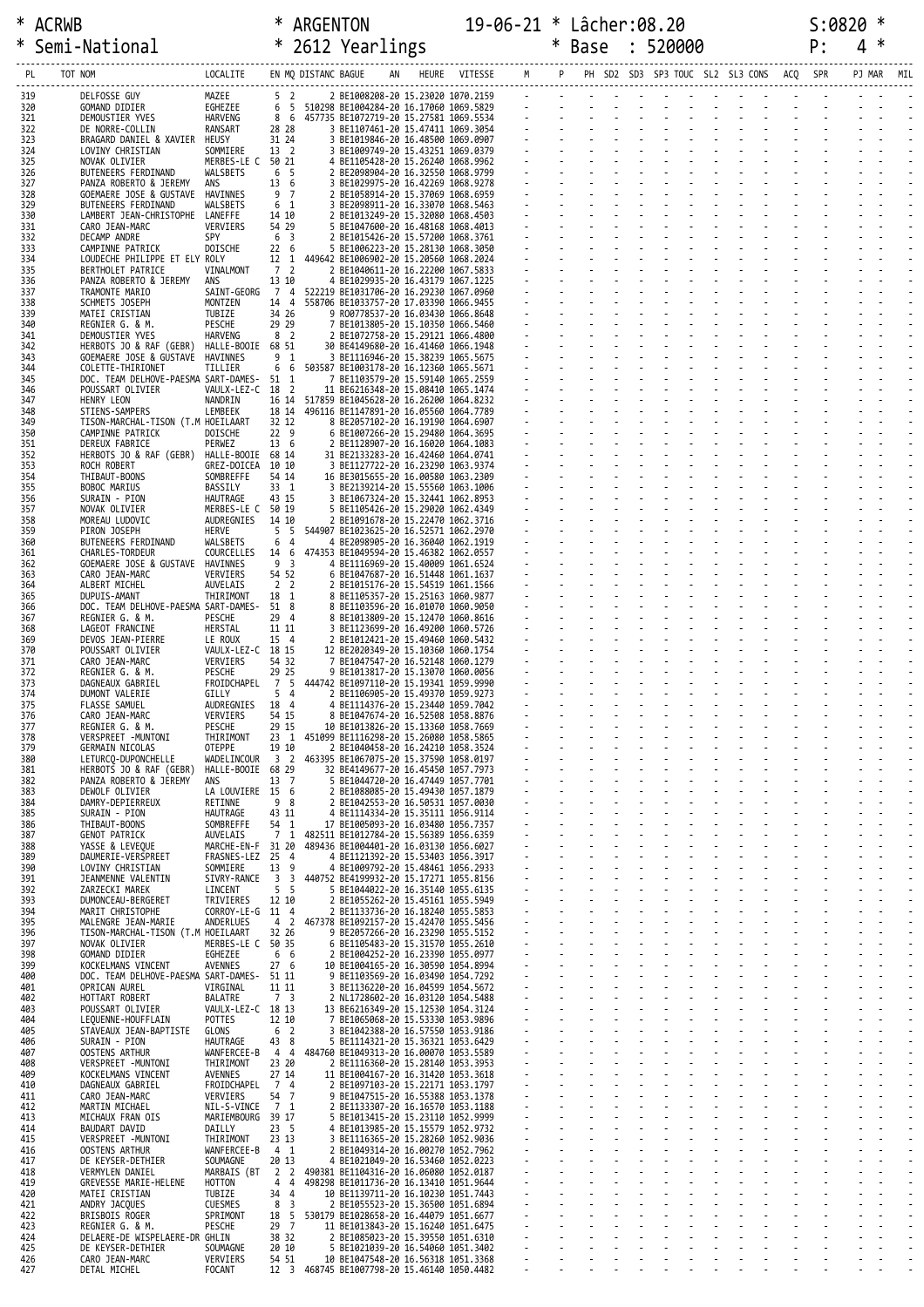| ∗             | Semi-National                                                    |                                  |                                           |                     | * 2612 Yearlings                                                                 |  |                 |        |                | * Base                                                                                                                                                                                                                        | : 520000 |                          |  | P: | 4      | — ≭ |     |
|---------------|------------------------------------------------------------------|----------------------------------|-------------------------------------------|---------------------|----------------------------------------------------------------------------------|--|-----------------|--------|----------------|-------------------------------------------------------------------------------------------------------------------------------------------------------------------------------------------------------------------------------|----------|--------------------------|--|----|--------|-----|-----|
| PL<br>TOT NOM |                                                                  | LOCALITE                         |                                           | EN MQ DISTANC BAGUE |                                                                                  |  | HEURE VITESSE M |        |                | PH SD2 SD3 SP3 TOUC SL2 SL3 CONS ACQ SPR                                                                                                                                                                                      |          |                          |  |    | PJ MAR |     | MIL |
| 319           | DELFOSSE GUY                                                     | MAZEE                            | 5 <sub>2</sub>                            |                     | 2 BE1008208-20 15.23020 1070.2159                                                |  |                 |        |                | designed to the control of the control of the control of the control of the control of the control of the control of the control of the control of the control of the control of the control of the control of the control of |          |                          |  |    |        |     |     |
| 320<br>321    | GOMAND DIDIER<br>DEMOUSTIER YVES                                 | EGHEZEE<br>HARVENG               | 6 5<br>8 6                                |                     | 510298 BE1004284-20 16.17060 1069.5829<br>457735 BE1072719-20 15.27581 1069.5534 |  |                 |        |                |                                                                                                                                                                                                                               |          |                          |  |    |        |     |     |
| 322<br>323    | DE NORRE-COLLIN<br>BRAGARD DANIEL & XAVIER                       | RANSART<br>HEUSY                 | 28 28<br>31 24                            |                     | 3 BE1107461-20 15.47411 1069.3054<br>3 BE1019846-20 16.48500 1069.0907           |  |                 |        |                |                                                                                                                                                                                                                               |          |                          |  |    |        |     |     |
| 324<br>325    | LOVINY CHRISTIAN<br>NOVAK OLIVIER                                | SOMMIERE<br>MERBES-LE C 50 21    | 13 <sup>2</sup>                           |                     | 3 BE1009749-20 15.43251 1069.0379<br>4 BE1105428-20 15.26240 1068.9962           |  |                 |        |                |                                                                                                                                                                                                                               |          |                          |  |    |        |     |     |
| 326           | BUTENEERS FERDINAND                                              | WALSBETS                         | 6 5                                       |                     | 2 BE2098904-20 16.32550 1068.9799                                                |  |                 |        |                |                                                                                                                                                                                                                               |          |                          |  |    |        |     |     |
| 327<br>328    | PANZA ROBERTO & JEREMY<br>GOEMAERE JOSE & GUSTAVE                | ans<br>HAVINNES                  | 13 6<br>9 7                               |                     | 3 BE1029975-20 16.42269 1068.9278<br>2 BE1058914-20 15.37069 1068.6959           |  |                 |        |                |                                                                                                                                                                                                                               |          |                          |  |    |        |     |     |
| 329<br>330    | BUTENEERS FERDINAND<br>LAMBERT JEAN-CHRISTOPHE LANEFFE           | WALSBETS                         | 6 <sub>1</sub><br>14 10                   |                     | 3 BE2098911-20 16.33070 1068.5463<br>2 BE1013249-20 15.32080 1068.4503           |  |                 |        |                |                                                                                                                                                                                                                               |          |                          |  |    |        |     |     |
| 331<br>332    | CARO JEAN-MARC<br>DECAMP ANDRE                                   | VERVIERS<br>SPY                  | 54 29<br>6 <sup>3</sup>                   |                     | 5 BE1047600-20 16.48168 1068.4013<br>2 BE1015426-20 15.57200 1068.3761           |  |                 |        |                |                                                                                                                                                                                                                               |          |                          |  |    |        |     |     |
| 333<br>334    | CAMPINNE PATRICK<br>LOUDECHE PHILIPPE ET ELY ROLY                | DOISCHE                          | 22 6<br>12 <sub>1</sub>                   |                     | 5 BE1006223-20 15.28130 1068.3050<br>449642 BE1006902-20 15.20560 1068.2024      |  |                 |        |                |                                                                                                                                                                                                                               |          |                          |  |    |        |     |     |
| 335           | BERTHOLET PATRICE                                                | VINALMONT                        | 7 2                                       |                     | 2 BE1040611-20 16.22200 1067.5833                                                |  |                 |        |                |                                                                                                                                                                                                                               |          |                          |  |    |        |     |     |
| 336<br>337    | PANZA ROBERTO & JEREMY<br>TRAMONTE MARIO                         | ans<br>SAINT-GEORG               | 13 10<br>74                               |                     | 4 BE1029935-20 16.43179 1067.1225<br>522219 BE1031706-20 16.29230 1067.0960      |  |                 |        |                |                                                                                                                                                                                                                               |          |                          |  |    |        |     |     |
| 338<br>339    | SCHMETS JOSEPH<br>MATEI CRISTIAN                                 | MONTZEN<br>TUBIZE                | 14 4<br>34 26                             |                     | 558706 BE1033757-20 17.03390 1066.9455<br>9 R00778537-20 16.03430 1066.8648      |  |                 |        |                |                                                                                                                                                                                                                               |          |                          |  |    |        |     |     |
| 340<br>341    | REGNIER G. & M.<br>DEMOUSTIER YVES                               | PESCHE<br>HARVENG                | 29 29<br>8 <sub>2</sub>                   |                     | 7 BE1013805-20 15.10350 1066.5460<br>2 BE1072758-20 15.29121 1066.4800           |  |                 |        |                |                                                                                                                                                                                                                               |          |                          |  |    |        |     |     |
| 342<br>343    | HERBOTS JO & RAF (GEBR)<br>GOEMAERE JOSE & GUSTAVE               | HALLE-BOOIE 68 51<br>HAVINNES    | 9 <sub>1</sub>                            |                     | 30 BE4149680-20 16.41460 1066.1948<br>3 BE1116946-20 15.38239 1065.5675          |  |                 |        |                |                                                                                                                                                                                                                               |          |                          |  |    |        |     |     |
| 344<br>345    | COLETTE-THIRIONET<br>DOC. TEAM DELHOVE-PAESMA SART-DAMES- 51 1   | TILLIER                          | 6 6                                       |                     | 503587 BE1003178-20 16.12360 1065.5671                                           |  |                 |        |                |                                                                                                                                                                                                                               |          |                          |  |    |        |     |     |
| 346           | POUSSART OLIVIER                                                 | VAULX-LEZ-C 18 2                 |                                           |                     | 7 BE1103579-20 15.59140 1065.2559<br>11 BE6216348-20 15.08410 1065.1474          |  |                 |        |                |                                                                                                                                                                                                                               |          |                          |  |    |        |     |     |
| 347<br>348    | <b>HENRY LEON</b><br>STIENS-SAMPERS                              | NANDRIN<br>LEMBEEK               | 16 14<br>18 14                            |                     | 517859 BE1045628-20 16.26200 1064.8232<br>496116 BE1147891-20 16.05560 1064.7789 |  |                 |        |                |                                                                                                                                                                                                                               |          |                          |  |    |        |     |     |
| 349<br>350    | TISON-MARCHAL-TISON (T.M HOEILAART<br>CAMPINNE PATRICK           | DOISCHE                          | 32 12<br>22 <sub>9</sub>                  |                     | 8 BE2057102-20 16.19190 1064.6907<br>6 BE1007266-20 15.29480 1064.3695           |  |                 |        |                |                                                                                                                                                                                                                               |          |                          |  |    |        |     |     |
| 351<br>352    | DEREUX FABRICE<br>HERBOTS JO & RAF (GEBR)                        | PERWEZ<br>HALLE-BOOIE 68 14      | 13 6                                      |                     | 2 BE1128907-20 16.16020 1064.1083<br>31 BE2133283-20 16.42460 1064.0741          |  |                 |        |                |                                                                                                                                                                                                                               |          |                          |  |    |        |     |     |
| 353<br>354    | ROCH ROBERT<br>THIBAUT-BOONS                                     | GREZ-DOICEA<br>SOMBREFFE         | 10 10<br>54 14                            |                     | 3 BE1127722-20 16.23290 1063.9374<br>16 BE3015655-20 16.00580 1063.2309          |  |                 |        |                |                                                                                                                                                                                                                               |          |                          |  |    |        |     |     |
| 355           | BOBOC MARIUS                                                     | BASSILY                          | 33 1                                      |                     | 3 BE2139214-20 15.55560 1063.1006                                                |  |                 |        |                |                                                                                                                                                                                                                               |          |                          |  |    |        |     |     |
| 356<br>357    | SURAIN - PION<br>NOVAK OLIVIER                                   | HAUTRAGE<br>MERBES-LE C 50 19    | 43 15                                     |                     | 3 BE1067324-20 15.32441 1062.8953<br>5 BE1105426-20 15.29020 1062.4349           |  |                 |        |                |                                                                                                                                                                                                                               |          |                          |  |    |        |     |     |
| 358<br>359    | MOREAU LUDOVIC<br>PIRON JOSEPH                                   | AUDREGNIES<br>HERVE              | 14 10<br>5 <sub>5</sub>                   |                     | 2 BE1091678-20 15.22470 1062.3716<br>544907 BE1023625-20 16.52571 1062.2970      |  |                 |        |                |                                                                                                                                                                                                                               |          |                          |  |    |        |     |     |
| 360<br>361    | BUTENEERS FERDINAND<br>CHARLES-TORDEUR                           | WALSBETS<br>COURCELLES           | 6<br>$\overline{4}$<br>14 6               |                     | 4 BE2098905-20 16.36040 1062.1919<br>474353 BE1049594-20 15.46382 1062.0557      |  |                 |        |                |                                                                                                                                                                                                                               |          |                          |  |    |        |     |     |
| 362           | GOEMAERE JOSE & GUSTAVE HAVINNES                                 |                                  | 9 <sub>3</sub><br>54 52                   |                     | 4 BE1116969-20 15.40009 1061.6524                                                |  |                 |        |                |                                                                                                                                                                                                                               |          |                          |  |    |        |     |     |
| 363<br>364    | CARO JEAN-MARC<br>ALBERT MICHEL                                  | VERVIERS<br>AUVELAIS             | 2 <sub>2</sub>                            |                     | 6 BE1047687-20 16.51448 1061.1637<br>2 BE1015176-20 15.54519 1061.1566           |  |                 |        |                |                                                                                                                                                                                                                               |          |                          |  |    |        |     |     |
| 365<br>366    | DUPUIS-AMANT<br>DOC. TEAM DELHOVE-PAESMA SART-DAMES-             | THIRIMONT                        | 18 1<br>51 8                              |                     | 8 BE1105357-20 15.25163 1060.9877<br>8 BE1103596-20 16.01070 1060.9050           |  |                 |        |                |                                                                                                                                                                                                                               |          |                          |  |    |        |     |     |
| 367<br>368    | REGNIER G. & M.<br>LAGEOT FRANCINE                               | PESCHE<br>HERSTAL                | 29 4<br>11 11                             |                     | 8 BE1013809-20 15.12470 1060.8616<br>3 BE1123699-20 16.49200 1060.5726           |  |                 |        |                |                                                                                                                                                                                                                               |          | <b>Contract Contract</b> |  |    |        |     |     |
| 369<br>370    | DEVOS JEAN-PIERRE<br>POUSSART OLIVIER                            | LE ROUX<br>VAULX-LEZ-C 18 15     | 15 4                                      |                     | 2 BE1012421-20 15.49460 1060.5432<br>12 BE2020349-20 15.10360 1060.1754          |  |                 |        |                |                                                                                                                                                                                                                               |          |                          |  |    |        |     |     |
| 371           | CARO JEAN-MARC                                                   | VERVIERS                         | 54 32                                     |                     | 7 BE1047547-20 16.52148 1060.1279                                                |  |                 |        |                |                                                                                                                                                                                                                               |          |                          |  |    |        |     |     |
| 372<br>373    | REGNIER G. & M.<br>DAGNEAUX GABRIEL                              | PESCHE<br>FROIDCHAPEL            | 29 25<br>7 5                              |                     | 9 BE1013817-20 15.13070 1060.0056<br>444742 BE1097110-20 15.19341 1059.9990      |  |                 |        |                |                                                                                                                                                                                                                               |          |                          |  |    |        |     |     |
| 374<br>375    | DUMONT VALERIE<br>FLASSE SAMUEL                                  | GILLY<br>AUDREGNIES              | 54<br>18 4                                |                     | 2 BE1106905-20 15.49370 1059.9273<br>4 BE1114376-20 15.23440 1059.7042           |  |                 |        |                |                                                                                                                                                                                                                               |          |                          |  |    |        |     |     |
| 376<br>377    | CARO JEAN-MARC<br>REGNIER G. & M.                                | VERVIERS<br>PESCHE               | 54 15<br>29 15                            |                     | 8 BE1047674-20 16.52508 1058.8876<br>10 BE1013826-20 15.13360 1058.7669          |  |                 |        |                |                                                                                                                                                                                                                               |          |                          |  |    |        |     |     |
| 378<br>379    | VERSPREET -MUNTONI<br>GERMAIN NICOLAS                            | THIRIMONT<br>OTEPPE              | 23<br>1<br>19 10                          |                     | 451099 BE1116298-20 15.26080 1058.5865<br>2 BE1040458-20 16.24210 1058.3524      |  |                 |        |                |                                                                                                                                                                                                                               |          |                          |  |    |        |     |     |
| 380           | LETURCQ-DUPONCHELLE                                              | WADELINCOUR                      | 3 <sub>2</sub>                            |                     | 463395 BE1067075-20 15.37590 1058.0197                                           |  |                 |        |                |                                                                                                                                                                                                                               |          |                          |  |    |        |     |     |
| 381<br>382    | HERBOTS JO & RAF (GEBR)<br>PANZA ROBERTO & JEREMY                | HALLE-BOOIE 68 29<br>ANS         | 13 7                                      |                     | 32 BE4149677-20 16.45450 1057.7973<br>5 BE1044720-20 16.47449 1057.7701          |  |                 |        |                |                                                                                                                                                                                                                               |          |                          |  |    |        |     |     |
| 383<br>384    | DEWOLF OLIVIER<br>DAMRY-DEPIERREUX                               | LA LOUVIERE 15 6<br>RETINNE      | 98                                        |                     | 2 BE1088085-20 15.49430 1057.1879<br>2 BE1042553-20 16.50531 1057.0030           |  |                 |        |                |                                                                                                                                                                                                                               |          |                          |  |    |        |     |     |
| 385<br>386    | SURAIN - PION<br>THIBAUT-BOONS                                   | HAUTRAGE<br>SOMBREFFE            | 43 11<br>54 1                             |                     | 4 BE1114334-20 15.35111 1056.9114<br>17 BE1005093-20 16.03480 1056.7357          |  |                 |        |                |                                                                                                                                                                                                                               |          |                          |  |    |        |     |     |
| 387<br>388    | <b>GENOT PATRICK</b><br>YASSE & LEVEQUE                          | AUVELAIS<br>MARCHE-EN-F 31 20    | 7 <sub>1</sub>                            |                     | 482511 BE1012784-20 15.56389 1056.6359<br>489436 BE1004401-20 16.03130 1056.6027 |  |                 |        |                |                                                                                                                                                                                                                               |          |                          |  |    |        |     |     |
| 389           | DAUMERIE-VERSPREET                                               | FRASNES-LEZ 25 4                 | 13 9                                      |                     | 4 BE1121392-20 15.53403 1056.3917                                                |  |                 |        |                |                                                                                                                                                                                                                               |          |                          |  |    |        |     |     |
| 390<br>391    | LOVINY CHRISTIAN<br>JEANMENNE VALENTIN                           | SOMMIERE<br>SIVRY-RANCE          | $\overline{3}$<br>$\overline{\mathbf{3}}$ |                     | 4 BE1009792-20 15.48461 1056.2933<br>440752 BE4199932-20 15.17271 1055.8156      |  |                 |        |                |                                                                                                                                                                                                                               |          |                          |  |    |        |     |     |
| 392<br>393    | ZARZECKI MAREK<br>DUMONCEAU-BERGERET                             | LINCENT<br>TRIVIERES             | 5 <sub>5</sub><br>12 10                   |                     | 5 BE1044022-20 16.35140 1055.6135<br>2 BE1055262-20 15.45161 1055.5949           |  |                 | $\sim$ | $\sim$         |                                                                                                                                                                                                                               |          |                          |  |    |        |     |     |
| 394<br>395    | MARIT CHRISTOPHE<br>MALENGRE JEAN-MARIE                          | CORROY-LE-G 11 4<br>ANDERLUES    | 4 <sub>2</sub>                            |                     | 2 BE1133736-20 16.18240 1055.5853<br>467378 BE1092157-20 15.42470 1055.5456      |  |                 |        |                |                                                                                                                                                                                                                               |          |                          |  |    |        |     |     |
| 396<br>397    | TISON-MARCHAL-TISON (T.M HOEILAART<br>NOVAK OLIVIER              | MERBES-LE C 50 35                | 32 26                                     |                     | 9 BE2057266-20 16.23290 1055.5152<br>6 BE1105483-20 15.31570 1055.2610           |  |                 |        |                |                                                                                                                                                                                                                               |          |                          |  |    |        |     |     |
| 398           | GOMAND DIDIER                                                    | EGHEZEE                          | 6 6                                       |                     | 2 BE1004252-20 16.23390 1055.0977                                                |  |                 |        |                |                                                                                                                                                                                                                               |          |                          |  |    |        |     |     |
| 399<br>400    | KOCKELMANS VINCENT<br>DOC. TEAM DELHOVE-PAESMA SART-DAMES- 51 11 | <b>AVENNES</b>                   | 27 <sub>6</sub>                           |                     | 10 BE1004165-20 16.30590 1054.8994<br>9 BE1103569-20 16.03490 1054.7292          |  |                 |        |                |                                                                                                                                                                                                                               |          |                          |  |    |        |     |     |
| 401<br>402    | OPRICAN AUREL<br>HOTTART ROBERT                                  | VIRGINAL<br>BALATRE              | 11 11<br>7 3                              |                     | 3 BE1136220-20 16.04599 1054.5672<br>2 NL1728602-20 16.03120 1054.5488           |  |                 |        |                |                                                                                                                                                                                                                               |          |                          |  |    |        |     |     |
| 403<br>404    | POUSSART OLIVIER<br>LEQUENNE-HOUFFLAIN                           | VAULX-LEZ-C 18 13<br>POTTES      | 12 10                                     |                     | 13 BE6216349-20 15.12530 1054.3124<br>7 BE1065068-20 15.53330 1053.9896          |  |                 | $\sim$ | $\sim$         |                                                                                                                                                                                                                               |          |                          |  |    |        |     |     |
| 405<br>406    | STAVEAUX JEAN-BAPTISTE<br>SURAIN - PION                          | GLONS<br>HAUTRAGE                | 6 <sup>2</sup><br>43 8                    |                     | 3 BE1042388-20 16.57550 1053.9186<br>5 BE1114321-20 15.36321 1053.6429           |  |                 |        |                |                                                                                                                                                                                                                               |          |                          |  |    |        |     |     |
| 407           | <b>OOSTENS ARTHUR</b>                                            | WANFERCEE-B                      | 4 4                                       |                     | 484760 BE1049313-20 16.00070 1053.5589                                           |  |                 |        |                |                                                                                                                                                                                                                               |          |                          |  |    |        |     |     |
| 408<br>409    | VERSPREET - MUNTONI<br>KOCKELMANS VINCENT                        | THIRIMONT<br>AVENNES             | 23 20<br>27 14                            |                     | 2 BE1116360-20 15.28140 1053.3953<br>11 BE1004167-20 16.31420 1053.3618          |  |                 |        | $\blacksquare$ |                                                                                                                                                                                                                               |          |                          |  |    |        |     |     |
| 410<br>411    | DAGNEAUX GABRIEL<br>CARO JEAN-MARC                               | FROIDCHAPEL<br>VERVIERS          | 7 4<br>54 7                               |                     | 2 BE1097103-20 15.22171 1053.1797<br>9 BE1047515-20 16.55388 1053.1378           |  |                 |        |                |                                                                                                                                                                                                                               |          |                          |  |    |        |     |     |
| 412<br>413    | MARTIN MICHAEL<br>MICHAUX FRAN OIS                               | NIL-S-VINCE<br>MARIEMBOURG 39 17 | 7 1                                       |                     | 2 BE1133307-20 16.16570 1053.1188<br>5 BE1013415-20 15.23110 1052.9999           |  |                 |        |                |                                                                                                                                                                                                                               |          |                          |  |    |        |     |     |
| 414           | <b>BAUDART DAVID</b>                                             | DAILLY                           | 23 5<br>23 13                             |                     | 4 BE1013985-20 15.15579 1052.9732                                                |  |                 |        |                |                                                                                                                                                                                                                               |          |                          |  |    |        |     |     |
| 415<br>416    | VERSPREET -MUNTONI<br><b>OOSTENS ARTHUR</b>                      | THIRIMONT<br>WANFERCEE-B         | $4 \quad 1$                               |                     | 3 BE1116365-20 15.28260 1052.9036<br>2 BE1049314-20 16.00270 1052.7962           |  |                 |        |                |                                                                                                                                                                                                                               |          |                          |  |    |        |     |     |
| 417<br>418    | DE KEYSER-DETHIER<br>VERMYLEN DANIEL                             | SOUMAGNE<br>MARBAIS (BT          | 20 13<br>2 2                              |                     | 4 BE1021049-20 16.53460 1052.0223<br>490381 BE1104316-20 16.06080 1052.0187      |  |                 |        |                |                                                                                                                                                                                                                               |          |                          |  |    |        |     |     |
| 419<br>420    | GREVESSE MARIE-HELENE<br>MATEI CRISTIAN                          | HOTTON<br>TUBIZE                 | 44<br>34 4                                |                     | 498298 BE1011736-20 16.13410 1051.9644<br>10 BE1139711-20 16.10230 1051.7443     |  |                 |        |                |                                                                                                                                                                                                                               |          |                          |  |    |        |     |     |
| 421<br>422    | ANDRY JACQUES<br>BRISBOIS ROGER                                  | <b>CUESMES</b><br>SPRIMONT       | 8 <sup>3</sup><br>18 5                    |                     | 2 BE1055523-20 15.36500 1051.6894<br>530179 BE1028658-20 16.44079 1051.6677      |  |                 | $\sim$ | $\overline{a}$ |                                                                                                                                                                                                                               |          |                          |  |    |        |     |     |
| 423           | REGNIER G. & M.                                                  | PESCHE                           | 29 7                                      |                     | 11 BE1013843-20 15.16240 1051.6475                                               |  |                 |        |                |                                                                                                                                                                                                                               |          |                          |  |    |        |     |     |
| 424<br>425    | DELAERE-DE WISPELAERE-DR GHLIN<br>DE KEYSER-DETHIER              | SOUMAGNE                         | 38 32<br>20 10                            |                     | 2 BE1085023-20 15.39550 1051.6310<br>5 BE1021039-20 16.54060 1051.3402           |  |                 |        |                |                                                                                                                                                                                                                               |          |                          |  |    |        |     |     |
| 426<br>427    | CARO JEAN-MARC<br>DETAL MICHEL                                   | VERVIERS<br>FOCANT               | 54 51<br>12 <sup>3</sup>                  |                     | 10 BE1047548-20 16.56318 1051.3368<br>468745 BE1007798-20 15.46140 1050.4482     |  |                 |        |                |                                                                                                                                                                                                                               |          |                          |  |    |        |     |     |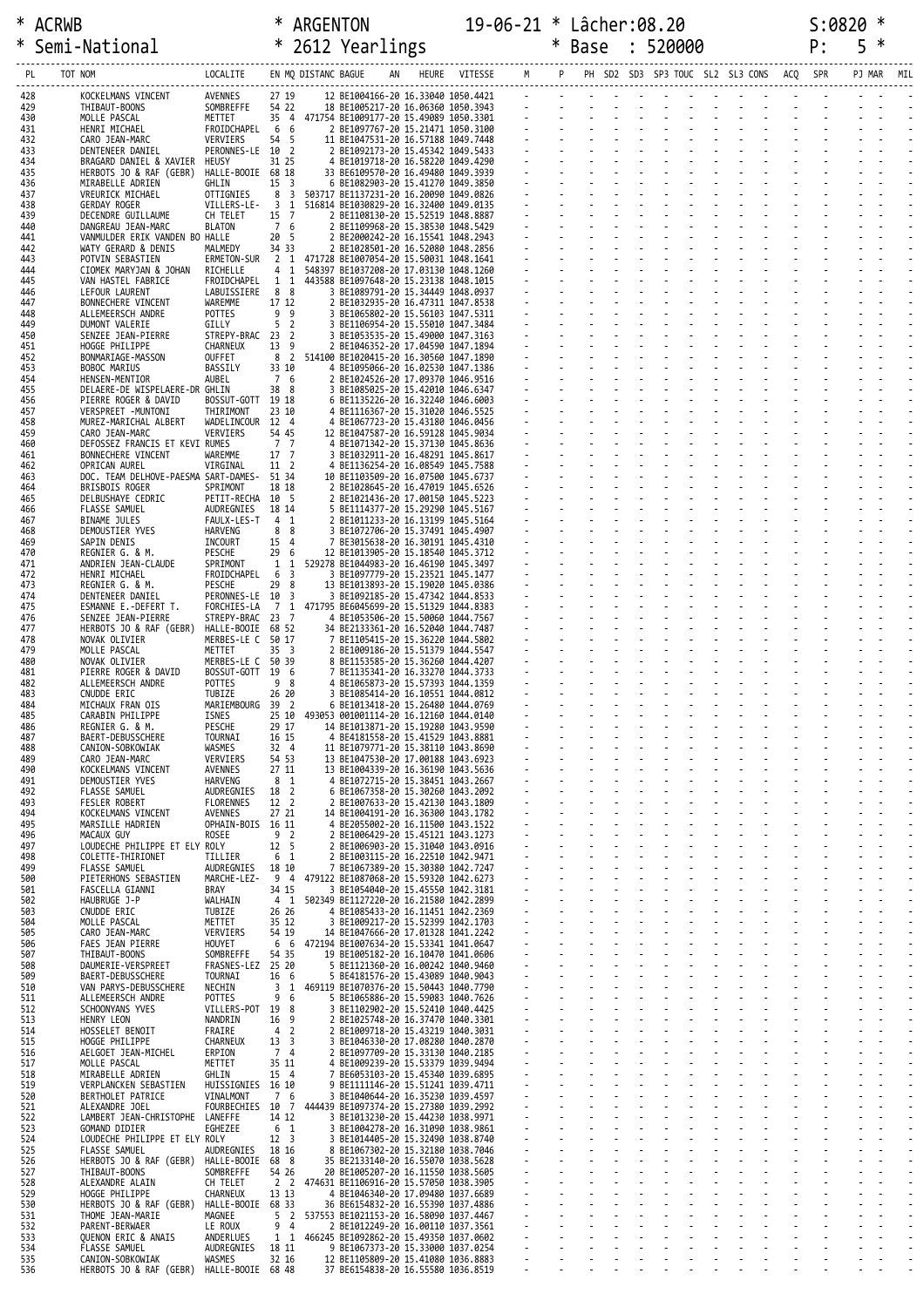| ∗          | Semi-National                                            |                               |                                   |                         | * 2612 Yearlings                                                                  |    |                 |                | * Base                                                                                                          | 520000 |    |                |  | P: | 5 |     |
|------------|----------------------------------------------------------|-------------------------------|-----------------------------------|-------------------------|-----------------------------------------------------------------------------------|----|-----------------|----------------|-----------------------------------------------------------------------------------------------------------------|--------|----|----------------|--|----|---|-----|
| PL         | TOT NOM                                                  | LOCALITE                      |                                   | EN MQ DISTANC BAGUE     |                                                                                   | AN | HEURE VITESSE M |                | PH SD2 SD3 SP3 TOUC SL2 SL3 CONS ACQ SPR                                                                        |        |    |                |  |    |   | MIL |
| 428        | KOCKELMANS VINCENT                                       | AVENNES                       | 27 19                             |                         | 12 BE1004166-20 16.33040 1050.4421                                                |    |                 |                | designed to the contract of the contract of the contract of the contract of the contract of the contract of the |        |    |                |  |    |   |     |
| 429<br>430 | THIBAUT-BOONS<br>MOLLE PASCAL                            | SOMBREFFE<br>METTET           | 54 22                             |                         | 18 BE1005217-20 16.06360 1050.3943<br>35 4 471754 BE1009177-20 15.49089 1050.3301 |    |                 |                | <u> Estados de Contra</u>                                                                                       |        |    |                |  |    |   |     |
| 431        | HENRI MICHAEL                                            | FROIDCHAPEL                   | 66                                |                         | 2 BE1097767-20 15.21471 1050.3100                                                 |    |                 |                |                                                                                                                 |        |    |                |  |    |   |     |
| 432<br>433 | CARO JEAN-MARC<br>DENTENEER DANIEL                       | VERVIERS<br>PERONNES-LE 10 2  | 54 5                              |                         | 11 BE1047531-20 16.57188 1049.7448<br>2 BE1092173-20 15.45342 1049.5433           |    |                 |                |                                                                                                                 |        |    |                |  |    |   |     |
| 434<br>435 | BRAGARD DANIEL & XAVIER HEUSY<br>HERBOTS JO & RAF (GEBR) | HALLE-BOOIE 68 18             | 31 25                             |                         | 4 BE1019718-20 16.58220 1049.4290<br>33 BE6109570-20 16.49480 1049.3939           |    |                 |                |                                                                                                                 |        |    |                |  |    |   |     |
| 436        | MIRABELLE ADRIEN                                         | GHLIN                         | 15 <sup>3</sup><br>8 3            |                         | 6 BE1082903-20 15.41270 1049.3850                                                 |    |                 |                |                                                                                                                 |        |    |                |  |    |   |     |
| 437<br>438 | VREURICK MICHAEL<br>GERDAY ROGER                         | OTTIGNIES<br>VILLERS-LE-      | 3 1                               |                         | 503717 BE1137231-20 16.20090 1049.0826<br>516814 BE1030829-20 16.32400 1049.0135  |    |                 |                |                                                                                                                 |        |    |                |  |    |   |     |
| 439<br>440 | DECENDRE GUILLAUME<br>DANGREAU JEAN-MARC                 | CH TELET<br><b>BLATON</b>     | 15 7<br>7 6                       |                         | 2 BE1108130-20 15.52519 1048.8887<br>2 BE1109968-20 15.38530 1048.5429            |    |                 |                |                                                                                                                 |        |    |                |  |    |   |     |
| 441        | VANMULDER ERIK VANDEN BO HALLE                           |                               | 20 5<br>34 33                     |                         | 2 BE2000242-20 16.15541 1048.2943<br>2 BE1028501-20 16.52080 1048.2856            |    |                 |                |                                                                                                                 |        |    |                |  |    |   |     |
| 442<br>443 | WATY GERARD & DENIS<br>POTVIN SEBASTIEN                  | MALMEDY<br>ERMETON-SUR        |                                   |                         | 2 1 471728 BE1007054-20 15.50031 1048.1641                                        |    |                 |                |                                                                                                                 |        |    |                |  |    |   |     |
| 444<br>445 | CIOMEK MARYJAN & JOHAN<br>VAN HASTEL FABRICE             | RICHELLE<br>FROIDCHAPEL       | 4 1<br>1 1                        |                         | 548397 BE1037208-20 17.03130 1048.1260<br>443588 BE1097648-20 15.23138 1048.1015  |    |                 |                |                                                                                                                 |        |    |                |  |    |   |     |
| 446<br>447 | LEFOUR LAURENT<br>BONNECHERE VINCENT                     | LABUISSIERE<br>WAREMME        | 8 8<br>17 12                      |                         | 3 BE1089791-20 15.34449 1048.0937<br>2 BE1032935-20 16.47311 1047.8538            |    |                 |                |                                                                                                                 |        |    |                |  |    |   |     |
| 448        | ALLEMEERSCH ANDRE                                        | POTTES                        | 99                                |                         | 3 BE1065802-20 15.56103 1047.5311                                                 |    |                 |                |                                                                                                                 |        |    |                |  |    |   |     |
| 449<br>450 | DUMONT VALERIE<br>SENZEE JEAN-PIERRE                     | GILLY<br>STREPY-BRAC 23 2     | 5 <sub>2</sub>                    |                         | 3 BE1106954-20 15.55010 1047.3484<br>3 BE1053535-20 15.49000 1047.3163            |    |                 |                |                                                                                                                 |        |    |                |  |    |   |     |
| 451<br>452 | HOGGE PHILIPPE<br>BONMARIAGE-MASSON                      | CHARNEUX<br>OUFFET            | 13 9<br>8 <sub>2</sub>            |                         | 2 BE1046352-20 17.04590 1047.1894<br>514100 BE1020415-20 16.30560 1047.1890       |    |                 |                |                                                                                                                 |        |    |                |  |    |   |     |
| 453        | BOBOC MARIUS                                             | BASSILY                       | 33 10                             |                         | 4 BE1095066-20 16.02530 1047.1386                                                 |    |                 |                |                                                                                                                 |        |    |                |  |    |   |     |
| 454<br>455 | HENSEN-MENTIOR<br>DELAERE-DE WISPELAERE-DR GHLIN         | AUBEL                         | 7 6<br>38 8                       |                         | 2 BE1024526-20 17.09370 1046.9516<br>3 BE1085025-20 15.42010 1046.6347            |    |                 |                |                                                                                                                 |        |    |                |  |    |   |     |
| 456<br>457 | PIERRE ROGER & DAVID<br>VERSPREET -MUNTONI               | BOSSUT-GOTT<br>THIRIMONT      | 19 18<br>23 10                    |                         | 6 BE1135226-20 16.32240 1046.6003<br>4 BE1116367-20 15.31020 1046.5525            |    |                 |                |                                                                                                                 |        |    |                |  |    |   |     |
| 458        | MUREZ-MARICHAL ALBERT                                    | WADELINCOUR 12 4              |                                   |                         | 4 BE1067723-20 15.43180 1046.0456                                                 |    |                 |                |                                                                                                                 |        |    |                |  |    |   |     |
| 459<br>460 | CARO JEAN-MARC<br>DEFOSSEZ FRANCIS ET KEVI RUMES         | VERVIERS                      | 54 45<br>7 7                      |                         | 12 BE1047587-20 16.59128 1045.9034<br>4 BE1071342-20 15.37130 1045.8636           |    |                 |                |                                                                                                                 |        |    |                |  |    |   |     |
| 461<br>462 | BONNECHERE VINCENT<br>OPRICAN AUREL                      | WAREMME<br>VIRGINAL           | 17 7<br>11 2                      |                         | 3 BE1032911-20 16.48291 1045.8617<br>4 BE1136254-20 16.08549 1045.7588            |    |                 |                |                                                                                                                 |        |    |                |  |    |   |     |
| 463        | DOC. TEAM DELHOVE-PAESMA SART-DAMES-                     |                               | 51 34                             |                         | 10 BE1103509-20 16.07500 1045.6737                                                |    |                 |                |                                                                                                                 |        |    |                |  |    |   |     |
| 464<br>465 | BRISBOIS ROGER<br>DELBUSHAYE CEDRIC                      | SPRIMONT<br>PETIT-RECHA 10 5  | 18 18                             |                         | 2 BE1028645-20 16.47019 1045.6526<br>2 BE1021436-20 17.00150 1045.5223            |    |                 |                |                                                                                                                 |        |    |                |  |    |   |     |
| 466<br>467 | FLASSE SAMUEL<br>BINAME JULES                            | AUDREGNIES<br>FAULX-LES-T     | 18 14<br>41                       |                         | 5 BE1114377-20 15.29290 1045.5167<br>2 BE1011233-20 16.13199 1045.5164            |    |                 |                |                                                                                                                 |        |    |                |  |    |   |     |
| 468        | DEMOUSTIER YVES                                          | HARVENG                       | 8 8                               |                         | 3 BE1072706-20 15.37491 1045.4907                                                 |    |                 |                |                                                                                                                 |        |    |                |  |    |   |     |
| 469<br>470 | SAPIN DENIS<br>REGNIER G. & M.                           | INCOURT<br>PESCHE             | 15 4<br>29                        | - 6                     | 7 BE3015638-20 16.30191 1045.4310<br>12 BE1013905-20 15.18540 1045.3712           |    |                 |                |                                                                                                                 |        |    |                |  |    |   |     |
| 471<br>472 | ANDRIEN JEAN-CLAUDE<br>HENRI MICHAEL                     | SPRIMONT<br>FROIDCHAPEL       | 1<br>6 3                          | 1                       | 529278 BE1044983-20 16.46190 1045.3497<br>3 BE1097779-20 15.23521 1045.1477       |    |                 |                |                                                                                                                 |        |    |                |  |    |   |     |
| 473        | REGNIER G. & M.                                          | <b>PESCHE</b>                 | 29                                | - 8                     | 13 BE1013893-20 15.19020 1045.0386                                                |    |                 |                |                                                                                                                 |        |    |                |  |    |   |     |
| 474<br>475 | DENTENEER DANIEL<br>ESMANNE E.-DEFERT T.                 | PERONNES-LE<br>FORCHIES-LA    | 10                                | $\overline{\mathbf{3}}$ | 3 BE1092185-20 15.47342 1044.8533<br>7 1 471795 BE6045699-20 15.51329 1044.8383   |    |                 |                |                                                                                                                 |        |    |                |  |    |   |     |
| 476<br>477 | SENZEE JEAN-PIERRE<br>HERBOTS JO & RAF (GEBR)            | STREPY-BRAC<br>HALLE-BOOIE    | 23 7<br>68 52                     |                         | 4 BE1053506-20 15.50060 1044.7567<br>34 BE2133361-20 16.52040 1044.7487           |    |                 |                |                                                                                                                 |        |    |                |  |    |   |     |
| 478        | NOVAK OLIVIER                                            | MERBES-LE C                   | 50 17                             |                         | 7 BE1105415-20 15.36220 1044.5802                                                 |    |                 |                |                                                                                                                 |        |    |                |  |    |   |     |
| 479<br>480 | MOLLE PASCAL<br>NOVAK OLIVIER                            | METTET<br>MERBES-LE C         | $35 \quad 3$<br>50 39             |                         | 2 BE1009186-20 15.51379 1044.5547<br>8 BE1153585-20 15.36260 1044.4207            |    |                 |                |                                                                                                                 |        |    |                |  |    |   |     |
| 481<br>482 | PIERRE ROGER & DAVID<br>ALLEMEERSCH ANDRE                | BOSSUT-GOTT<br>POTTES         | 19 6<br>98                        |                         | 7 BE1135341-20 16.33270 1044.3733<br>4 BE1065873-20 15.57393 1044.1359            |    |                 |                |                                                                                                                 |        |    |                |  |    |   |     |
| 483        | CNUDDE ERIC                                              | TUBIZE                        | 26 20                             |                         | 3 BE1085414-20 16.10551 1044.0812                                                 |    |                 |                |                                                                                                                 |        |    |                |  |    |   |     |
| 484<br>485 | MICHAUX FRAN OIS<br>CARABIN PHILIPPE                     | MARIEMBOURG<br>ISNES          | 39 2                              |                         | 6 BE1013418-20 15.26480 1044.0769<br>25 10 493053 001001114-20 16.12160 1044.0140 |    |                 |                |                                                                                                                 |        |    |                |  |    |   |     |
| 486<br>487 | REGNIER G. & M.<br>BAERT-DEBUSSCHERE                     | PESCHE<br>TOURNAI             | 29 17<br>16 15                    |                         | 14 BE1013871-20 15.19280 1043.9590<br>4 BE4181558-20 15.41529 1043.8881           |    |                 |                |                                                                                                                 |        |    |                |  |    |   |     |
| 488<br>489 | CANION-SOBKOWIAK                                         | WASMES<br>VERVIERS            | 32 4<br>54 53                     |                         | 11 BE1079771-20 15.38110 1043.8690<br>13 BE1047530-20 17.00188 1043.6923          |    |                 |                |                                                                                                                 |        |    |                |  |    |   |     |
| 490        | CARO JEAN-MARC<br>KOCKELMANS VINCENT                     | AVENNES                       | 27 11                             |                         | 13 BE1004339-20 16.36190 1043.5636                                                |    |                 |                |                                                                                                                 |        |    |                |  |    |   |     |
| 491<br>492 | DEMOUSTIER YVES<br><b>FLASSE SAMUEL</b>                  | HARVENG<br>AUDREGNIES         | 8 1<br>18 2                       |                         | 4 BE1072715-20 15.38451 1043.2667<br>6 BE1067358-20 15.30260 1043.2092            |    |                 |                |                                                                                                                 |        |    |                |  |    |   |     |
| 493<br>494 | <b>FESLER ROBERT</b><br>KOCKELMANS VINCENT               | <b>FLORENNES</b><br>AVENNES   | 12 2<br>27 21                     |                         | 2 BE1007633-20 15.42130 1043.1809<br>14 BE1004191-20 16.36300 1043.1782           |    |                 |                |                                                                                                                 |        |    |                |  |    |   |     |
| 495        | MARSILLE HADRIEN                                         | OPHAIN-BOIS 16 11             |                                   |                         | 4 BE2055002-20 16.11500 1043.1522                                                 |    |                 |                |                                                                                                                 |        |    |                |  |    |   |     |
| 496<br>497 | MACAUX GUY<br>LOUDECHE PHILIPPE ET ELY ROLY              | ROSEE                         | 9 <sub>2</sub><br>12 <sub>5</sub> |                         | 2 BE1006429-20 15.45121 1043.1273<br>2 BE1006903-20 15.31040 1043.0916            |    |                 |                |                                                                                                                 |        |    |                |  |    |   |     |
| 498<br>499 | COLETTE-THIRIONET<br>FLASSE SAMUEL                       | TILLIER<br>AUDREGNIES         | 6 <sub>1</sub><br>18 10           |                         | 2 BE1003115-20 16.22510 1042.9471<br>7 BE1067389-20 15.30380 1042.7247            |    |                 |                |                                                                                                                 |        |    |                |  |    |   |     |
| 500        | PIETERHONS SEBASTIEN                                     | MARCHE-LEZ-                   | 9 4                               |                         | 479122 BE1087068-20 15.59320 1042.6273                                            |    |                 |                |                                                                                                                 |        |    |                |  |    |   |     |
| 501<br>502 | FASCELLA GIANNI<br>HAUBRUGE J-P                          | BRAY<br>WALHAIN               | 34 15<br>$4 \quad 1$              |                         | 3 BE1054040-20 15.45550 1042.3181<br>502349 BE1127220-20 16.21580 1042.2899       |    |                 |                |                                                                                                                 |        |    |                |  |    |   |     |
| 503<br>504 | CNUDDE ERIC<br>MOLLE PASCAL                              | TUBIZE<br>METTET              | 26 26<br>35 12                    |                         | 4 BE1085433-20 16.11451 1042.2369<br>3 BE1009217-20 15.52399 1042.1703            |    |                 |                |                                                                                                                 |        |    |                |  |    |   |     |
| 505        | CARO JEAN-MARC                                           | VERVIERS                      | 54 19                             |                         | 14 BE1047666-20 17.01328 1041.2242                                                |    |                 |                |                                                                                                                 |        |    |                |  |    |   |     |
| 506<br>507 | <b>FAES JEAN PIERRE</b><br>THIBAUT-BOONS                 | <b>HOUYET</b><br>SOMBREFFE    | 6 6<br>54 35                      |                         | 472194 BE1007634-20 15.53341 1041.0647<br>19 BE1005182-20 16.10470 1041.0606      |    |                 |                |                                                                                                                 |        |    |                |  |    |   |     |
| 508<br>509 | DAUMERIE-VERSPREET<br>BAERT-DEBUSSCHERE                  | FRASNES-LEZ 25 20<br>TOURNAI  | 16 6                              |                         | 5 BE1121360-20 16.00242 1040.9460<br>5 BE4181576-20 15.43089 1040.9043            |    |                 |                |                                                                                                                 |        |    |                |  |    |   |     |
| 510        | VAN PARYS-DEBUSSCHERE                                    | NECHIN                        | 3 <sub>1</sub>                    |                         | 469119 BE1070376-20 15.50443 1040.7790                                            |    |                 |                |                                                                                                                 |        |    |                |  |    |   |     |
| 511<br>512 | ALLEMEERSCH ANDRE<br>SCHOONYANS YVES                     | POTTES<br>VILLERS-POT 19      | 9                                 | 6<br>8                  | 5 BE1065886-20 15.59083 1040.7626<br>3 BE1102902-20 15.52410 1040.4425            |    |                 |                |                                                                                                                 |        |    |                |  |    |   |     |
| 513<br>514 | HENRY LEON<br>HOSSELET BENOIT                            | NANDRIN<br>FRAIRE             | 16 9<br>4 <sub>2</sub>            |                         | 2 BE1025748-20 16.37470 1040.3301<br>2 BE1009718-20 15.43219 1040.3031            |    |                 | $\overline{a}$ |                                                                                                                 |        |    |                |  |    |   |     |
| 515        | HOGGE PHILIPPE                                           | CHARNEUX                      | $13 \quad 3$                      |                         | 3 BE1046330-20 17.08280 1040.2870                                                 |    |                 |                |                                                                                                                 |        |    |                |  |    |   |     |
| 516<br>517 | AELGOET JEAN-MICHEL<br>MOLLE PASCAL                      | ERPION<br>METTET              | 7 4<br>35 11                      |                         | 2 BE1097709-20 15.33130 1040.2185<br>4 BE1009239-20 15.53379 1039.9494            |    |                 |                |                                                                                                                 |        |    |                |  |    |   |     |
| 518<br>519 | MIRABELLE ADRIEN<br>VERPLANCKEN SEBASTIEN                | GHLIN<br>HUISSIGNIES 16 10    | 15 4                              |                         | 7 BE6053103-20 15.45340 1039.6895<br>9 BE1111146-20 15.51241 1039.4711            |    |                 |                |                                                                                                                 |        | L. |                |  |    |   |     |
| 520        | BERTHOLET PATRICE                                        | VINALMONT                     | 7 6                               |                         | 3 BE1040644-20 16.35230 1039.4597                                                 |    |                 |                |                                                                                                                 |        |    |                |  |    |   |     |
| 521<br>522 | ALEXANDRE JOEL<br>LAMBERT JEAN-CHRISTOPHE LANEFFE        | FOURBECHIES 10 7              | 14 12                             |                         | 444439 BE1097374-20 15.27380 1039.2992<br>3 BE1013230-20 15.44230 1038.9971       |    |                 |                |                                                                                                                 |        |    |                |  |    |   |     |
| 523<br>524 | GOMAND DIDIER<br>LOUDECHE PHILIPPE ET ELY ROLY           | EGHEZEE                       | 6 1<br>12 <sup>3</sup>            |                         | 3 BE1004278-20 16.31090 1038.9861<br>3 BE1014405-20 15.32490 1038.8740            |    |                 |                |                                                                                                                 |        |    |                |  |    |   |     |
| 525        | FLASSE SAMUEL                                            | AUDREGNIES                    | 18 16                             |                         | 8 BE1067302-20 15.32180 1038.7046                                                 |    |                 |                |                                                                                                                 |        |    | $\overline{a}$ |  |    |   |     |
| 526<br>527 | HERBOTS JO & RAF (GEBR)<br>THIBAUT-BOONS                 | HALLE-BOOIE 68 8<br>SOMBREFFE | 54 26                             |                         | 35 BE2133140-20 16.55070 1038.5628<br>20 BE1005207-20 16.11550 1038.5605          |    |                 |                |                                                                                                                 |        |    |                |  |    |   |     |
| 528<br>529 | ALEXANDRE ALAIN<br>HOGGE PHILIPPE                        | CH TELET<br>CHARNEUX          | 2 <sub>2</sub><br>13 13           |                         | 474631 BE1106916-20 15.57050 1038.3905<br>4 BE1046340-20 17.09480 1037.6689       |    |                 |                |                                                                                                                 |        |    |                |  |    |   |     |
| 530        | HERBOTS JO & RAF (GEBR)                                  | HALLE-BOOIE 68 33             |                                   |                         | 36 BE6154832-20 16.55390 1037.4886                                                |    |                 |                |                                                                                                                 |        |    |                |  |    |   |     |
| 531<br>532 | THOME JEAN-MARIE<br>PARENT-BERWAER                       | MAGNEE<br>LE ROUX             | 9 4                               |                         | 5 2 537553 BE1021153-20 16.58090 1037.4467<br>2 BE1012249-20 16.00110 1037.3561   |    |                 |                |                                                                                                                 |        |    |                |  |    |   |     |
| 533<br>534 | QUENON ERIC & ANAIS<br>FLASSE SAMUEL                     | ANDERLUES<br>AUDREGNIES       | $1\quad1$<br>18 11                |                         | 466245 BE1092862-20 15.49350 1037.0602<br>9 BE1067373-20 15.33000 1037.0254       |    |                 |                |                                                                                                                 |        |    |                |  |    |   |     |
| 535<br>536 | CANION-SOBKOWIAK<br>HERBOTS JO & RAF (GEBR)              | WASMES<br>HALLE-BOOIE 68 48   | 32 16                             |                         | 12 BE1105809-20 15.41080 1036.8883<br>37 BE6154838-20 16.55580 1036.8519          |    |                 |                |                                                                                                                 |        |    |                |  |    |   |     |
|            |                                                          |                               |                                   |                         |                                                                                   |    |                 |                |                                                                                                                 |        |    |                |  |    |   |     |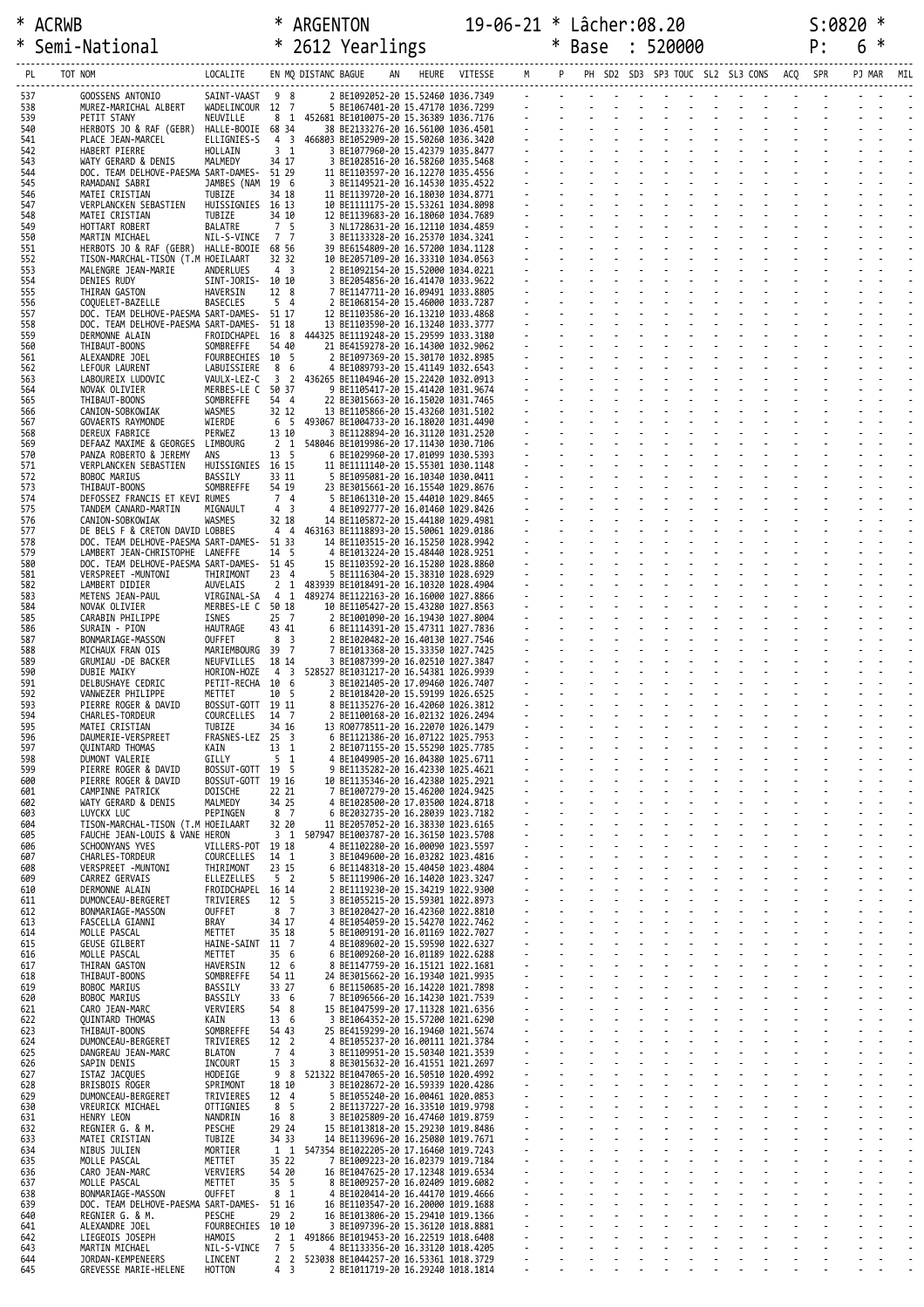| ∗          | Semi-National                                                                |                                  |                                   |                         | * 2612 Yearlings                                                                |                   |        |          | * Base |              | 520000 |                          |                                          | P: | 6 | ∗      |     |
|------------|------------------------------------------------------------------------------|----------------------------------|-----------------------------------|-------------------------|---------------------------------------------------------------------------------|-------------------|--------|----------|--------|--------------|--------|--------------------------|------------------------------------------|----|---|--------|-----|
| PL         | TOT NOM                                                                      | LOCALITE                         |                                   | EN MQ DISTANC BAGUE     |                                                                                 | HEURE VITESSE M P |        |          |        |              |        |                          | PH SD2 SD3 SP3 TOUC SL2 SL3 CONS ACQ SPR |    |   | PJ MAR | MIL |
| 537        | GOOSSENS ANTONIO                                                             | SAINT-VAAST 9 8                  |                                   |                         | 2 BE1092052-20 15.52460 1036.7349                                               |                   |        |          |        |              |        |                          |                                          |    |   |        |     |
| 538<br>539 | MUREZ-MARICHAL ALBERT<br>PETIT STANY                                         | WADELINCOUR 12 7<br>NEUVILLE     |                                   |                         | 5 BE1067401-20 15.47170 1036.7299<br>8 1 452681 BE1010075-20 15.36389 1036.7176 |                   |        |          |        |              |        |                          |                                          |    |   |        |     |
| 540<br>541 | HERBOTS JO & RAF (GEBR) HALLE-BOOIE 68 34                                    | ELLIGNIES-S                      | 4 <sup>3</sup>                    |                         | 38 BE2133276-20 16.56100 1036.4501<br>466803 BE1052909-20 15.50260 1036.3420    |                   |        |          |        |              |        |                          |                                          |    |   |        |     |
| 542        | PLACE JEAN-MARCEL<br>HABERT PIERRE                                           | HOLLAIN                          | 3 <sub>1</sub>                    |                         | 3 BE1077960-20 15.42379 1035.8477                                               |                   |        |          |        |              |        |                          |                                          |    |   |        |     |
| 543<br>544 | WATY GERARD & DENIS<br>DOC. TEAM DELHOVE-PAESMA SART-DAMES-                  | MALMEDY                          | 34 17<br>51 29                    |                         | 3 BE1028516-20 16.58260 1035.5468<br>11 BE1103597-20 16.12270 1035.4556         |                   |        |          |        |              |        |                          |                                          |    |   |        |     |
| 545<br>546 | RAMADANI SABRI<br>MATEI CRISTIAN                                             | JAMBES (NAM<br>TUBIZE            | 19 6<br>34 18                     |                         | 3 BE1149521-20 16.14530 1035.4522<br>11 BE1139720-20 16.18030 1034.8771         |                   |        |          |        |              |        |                          |                                          |    |   |        |     |
| 547        | VERPLANCKEN SEBASTIEN                                                        | HUISSIGNIES 16 13                |                                   |                         | 10 BE1111175-20 15.53261 1034.8098                                              |                   |        |          |        |              |        |                          |                                          |    |   |        |     |
| 548<br>549 | MATEI CRISTIAN<br>HOTTART ROBERT                                             | TUBIZE<br>BALATRE                | 34 10<br>7 <sub>5</sub>           |                         | 12 BE1139683-20 16.18060 1034.7689<br>3 NL1728631-20 16.12110 1034.4859         |                   |        |          |        |              |        |                          |                                          |    |   |        |     |
| 550<br>551 | MARTIN MICHAEL<br>HERBOTS JO & RAF (GEBR) HALLE-BOOIE                        | NIL-S-VINCE                      | 77<br>68 56                       |                         | 3 BE1133328-20 16.25370 1034.3241<br>39 BE6154809-20 16.57200 1034.1128         |                   |        |          |        |              |        |                          | and a straight and a straight            |    |   |        |     |
| 552<br>553 | TISON-MARCHAL-TISON (T.M HOEILAART<br>MALENGRE JEAN-MARIE                    | ANDERLUES                        | 32 32<br>4 <sup>3</sup>           |                         | 10 BE2057109-20 16.33310 1034.0563<br>2 BE1092154-20 15.52000 1034.0221         |                   |        |          |        |              |        |                          |                                          |    |   |        |     |
| 554        | DENIES RUDY                                                                  | SINT-JORIS- 10 10                |                                   |                         | 3 BE2054856-20 16.41470 1033.9622                                               |                   |        |          |        |              |        |                          |                                          |    |   |        |     |
| 555<br>556 | THIRAN GASTON<br>COQUELET-BAZELLE                                            | HAVERSIN<br><b>BASECLES</b>      | 12 8<br>5 <sub>4</sub>            |                         | 7 BE1147711-20 16.09491 1033.8805<br>2 BE1068154-20 15.46000 1033.7287          |                   |        |          |        |              |        |                          | and the state of the state of the        |    |   |        |     |
| 557<br>558 | DOC. TEAM DELHOVE-PAESMA SART-DAMES-<br>DOC. TEAM DELHOVE-PAESMA SART-DAMES- |                                  | 51 17<br>51 18                    |                         | 12 BE1103586-20 16.13210 1033.4868<br>13 BE1103590-20 16.13240 1033.3777        |                   |        |          |        |              |        |                          |                                          |    |   |        |     |
| 559<br>560 | DERMONNE ALAIN<br>THIBAUT-BOONS                                              | FROIDCHAPEL<br>SOMBREFFE         | 16 8<br>54 40                     |                         | 444325 BE1119248-20 15.29599 1033.3180<br>21 BE4159278-20 16.14300 1032.9062    |                   |        |          |        |              |        |                          |                                          |    |   |        |     |
| 561        | ALEXANDRE JOEL                                                               | FOURBECHIES 10 5                 |                                   |                         | 2 BE1097369-20 15.30170 1032.8985                                               |                   |        |          |        |              |        |                          | and the state of the state of the        |    |   |        |     |
| 562<br>563 | LEFOUR LAURENT<br>LABOUREIX LUDOVIC                                          | LABUISSIERE<br>VAULX-LEZ-C       | 8 6<br>3 2                        |                         | 4 BE1089793-20 15.41149 1032.6543<br>436265 BE1104946-20 15.22420 1032.0913     |                   |        |          |        |              |        |                          |                                          |    |   |        |     |
| 564<br>565 | NOVAK OLIVIER<br>THIBAUT-BOONS                                               | MERBES-LE C 50 37<br>SOMBREFFE   | 54 4                              |                         | 9 BE1105417-20 15.41420 1031.9674<br>22 BE3015663-20 16.15020 1031.7465         |                   |        |          |        |              |        |                          |                                          |    |   |        |     |
| 566<br>567 | CANION-SOBKOWIAK<br>GOVAERTS RAYMONDE                                        | WASMES<br>WIERDE                 | 32 12<br>6 <sub>5</sub>           |                         | 13 BE1105866-20 15.43260 1031.5102<br>493067 BE1004733-20 16.18020 1031.4490    |                   |        |          |        |              |        |                          |                                          |    |   |        |     |
| 568        | <b>DEREUX FABRICE</b>                                                        | PERWEZ                           | 13 10                             |                         | 3 BE1128894-20 16.31120 1031.2520                                               |                   |        |          |        |              |        |                          | and the state of the state               |    |   |        |     |
| 569<br>570 | DEFAAZ MAXIME & GEORGES LIMBOURG<br>PANZA ROBERTO & JEREMY                   | ANS                              | 2 1<br>13 <sub>5</sub>            |                         | 548046 BE1019986-20 17.11430 1030.7106<br>6 BE1029960-20 17.01099 1030.5393     |                   |        |          |        |              |        |                          |                                          |    |   |        |     |
| 571<br>572 | VERPLANCKEN SEBASTIEN<br><b>BOBOC MARIUS</b>                                 | HUISSIGNIES<br>BASSILY           | 16 15<br>33 11                    |                         | 11 BE1111140-20 15.55301 1030.1148<br>5 BE1095081-20 16.10340 1030.0411         |                   |        |          |        |              |        |                          |                                          |    |   |        |     |
| 573        | THIBAUT-BOONS                                                                | SOMBREFFE                        | 54 19<br>7 4                      |                         | 23 BE3015661-20 16.15540 1029.8676                                              |                   |        |          |        |              |        |                          | and the state of the state               |    |   |        |     |
| 574<br>575 | DEFOSSEZ FRANCIS ET KEVI RUMES<br>TANDEM CANARD-MARTIN                       | MIGNAULT                         | 4 3                               |                         | 5 BE1061310-20 15.44010 1029.8465<br>4 BE1092777-20 16.01460 1029.8426          |                   |        |          |        |              |        |                          | and a straight and a straight            |    |   |        |     |
| 576<br>577 | CANION-SOBKOWIAK<br>DE BELS F & CRETON DAVID LOBBES                          | WASMES                           | 32 18<br>44                       |                         | 14 BE1105872-20 15.44180 1029.4981<br>463163 BE1118893-20 15.50061 1029.0186    |                   |        |          |        |              |        |                          |                                          |    |   |        |     |
| 578<br>579 | DOC. TEAM DELHOVE-PAESMA SART-DAMES-<br>LAMBERT JEAN-CHRISTOPHE LANEFFE      |                                  | 51 33<br>14 5                     |                         | 14 BE1103515-20 16.15250 1028.9942<br>4 BE1013224-20 15.48440 1028.9251         |                   |        |          |        |              |        |                          |                                          |    |   |        |     |
| 580        | DOC. TEAM DELHOVE-PAESMA SART-DAMES-                                         |                                  | 51 45                             |                         | 15 BE1103592-20 16.15280 1028.8860                                              |                   |        |          |        |              |        |                          | and the state of the state               |    |   |        |     |
| 581<br>582 | VERSPREET -MUNTONI<br>LAMBERT DIDIER                                         | THIRIMONT<br>AUVELAIS            | 23 4                              |                         | 5 BE1116304-20 15.38310 1028.6929<br>2 1 483939 BE1018491-20 16.10320 1028.4904 |                   |        |          |        |              |        |                          |                                          |    |   |        |     |
| 583<br>584 | METENS JEAN-PAUL<br>NOVAK OLIVIER                                            | VIRGINAL-SA<br>MERBES-LE C 50 18 | 4 1                               |                         | 489274 BE1122163-20 16.16000 1027.8866<br>10 BE1105427-20 15.43280 1027.8563    |                   |        |          |        |              |        |                          |                                          |    |   |        |     |
| 585<br>586 | CARABIN PHILIPPE<br>SURAIN - PION                                            | ISNES<br>HAUTRAGE                | $25 \quad 7$<br>43 41             |                         | 2 BE1001090-20 16.19430 1027.8004<br>6 BE1114391-20 15.47311 1027.7836          |                   |        |          |        |              |        | $\sim$                   | and the control of                       |    |   |        |     |
| 587        | BONMARIAGE-MASSON                                                            | OUFFET                           | 8 3                               |                         | 2 BE1020482-20 16.40130 1027.7546                                               |                   |        |          |        |              |        |                          |                                          |    |   |        |     |
| 588<br>589 | MICHAUX FRAN OIS<br>GRUMIAU -DE BACKER                                       | MARIEMBOURG 39 7<br>NEUFVILLES   | 18 14                             |                         | 7 BE1013368-20 15.33350 1027.7425<br>3 BE1087399-20 16.02510 1027.3847          |                   |        |          |        |              |        |                          |                                          |    |   |        |     |
| 590<br>591 | DUBIE MAIKY<br>DELBUSHAYE CEDRIC                                             | HORION-HOZE<br>PETIT-RECHA       | 43<br>10 6                        |                         | 528527 BE1031217-20 16.54381 1026.9939<br>3 BE1021405-20 17.09460 1026.7407     |                   |        |          |        |              |        |                          |                                          |    |   |        |     |
| 592<br>593 | VANWEZER PHILIPPE<br>PIERRE ROGER & DAVID                                    | METTET<br>BOSSUT-GOTT            | 10 5<br>19 11                     |                         | 2 BE1018420-20 15.59199 1026.6525<br>8 BE1135276-20 16.42060 1026.3812          |                   |        |          |        |              |        |                          |                                          |    |   |        |     |
| 594        | CHARLES-TORDEUR                                                              | COURCELLES                       | 14 7                              |                         | 2 BE1100168-20 16.02132 1026.2494                                               |                   |        |          |        |              |        |                          |                                          |    |   |        |     |
| 595<br>596 | MATEI CRISTIAN<br>DAUMERIE-VERSPREET                                         | TUBIZE<br>FRASNES-LEZ            | 34 16<br>25                       | $\overline{\mathbf{3}}$ | 13 R00778511-20 16.22070 1026.1479<br>6 BE1121386-20 16.07122 1025.7953         |                   |        |          |        |              |        |                          |                                          |    |   |        |     |
| 597<br>598 | <b>QUINTARD THOMAS</b><br>DUMONT VALERIE                                     | KAIN<br>GILLY                    | 13 1<br>5 <sub>1</sub>            |                         | 2 BE1071155-20 15.55290 1025.7785<br>4 BE1049905-20 16.04380 1025.6711          |                   |        |          |        |              |        |                          |                                          |    |   |        |     |
| 599<br>600 | PIERRE ROGER & DAVID<br>PIERRE ROGER & DAVID                                 | BOSSUT-GOTT<br>BOSSUT-GOTT 19 16 | 19 5                              |                         | 9 BE1135282-20 16.42330 1025.4621<br>10 BE1135346-20 16.42380 1025.2921         |                   |        |          |        |              |        |                          |                                          |    |   |        |     |
| 601        | CAMPINNE PATRICK                                                             | DOISCHE                          | 22 21                             |                         | 7 BE1007279-20 15.46200 1024.9425                                               |                   |        |          |        |              |        |                          |                                          |    |   |        |     |
| 602<br>603 | WATY GERARD & DENIS<br>LUYCKX LUC                                            | MALMEDY<br>PEPINGEN              | 34 25<br>8 <sub>7</sub>           |                         | 4 BE1028500-20 17.03500 1024.8718<br>6 BE2032735-20 16.28039 1023.7182          |                   |        |          |        |              |        |                          |                                          |    |   |        |     |
| 604<br>605 | TISON-MARCHAL-TISON (T.M HOEILAART<br>FAUCHE JEAN-LOUIS & VANE HERON         |                                  | 32 20<br>3 1                      |                         | 11 BE2057052-20 16.38330 1023.6165<br>507947 BE1003787-20 16.36150 1023.5708    |                   |        |          |        |              |        |                          |                                          |    |   |        |     |
| 606<br>607 | SCHOONYANS YVES<br><b>CHARLES-TORDEUR</b>                                    | VILLERS-POT<br>COURCELLES        | 19 18<br>14 1                     |                         | 4 BE1102280-20 16.00090 1023.5597<br>3 BE1049600-20 16.03282 1023.4816          |                   |        |          |        |              |        |                          |                                          |    |   |        |     |
| 608        | VERSPREET -MUNTONI                                                           | THIRIMONT                        | 23 15                             |                         | 6 BE1148318-20 15.40450 1023.4804                                               |                   |        |          |        |              |        |                          |                                          |    |   |        |     |
| 609<br>610 | CARREZ GERVAIS<br>DERMONNE ALAIN                                             | ELLEZELLES<br>FROIDCHAPEL 16 14  | 5 <sub>2</sub>                    |                         | 5 BE1119906-20 16.14020 1023.3247<br>2 BE1119230-20 15.34219 1022.9300          |                   |        |          |        |              |        |                          |                                          |    |   |        |     |
| 611<br>612 | DUMONCEAU-BERGERET<br>BONMARIAGE-MASSON                                      | TRIVIERES<br><b>OUFFET</b>       | 12 <sub>5</sub><br>8 <sub>7</sub> |                         | 3 BE1055215-20 15.59301 1022.8973<br>3 BE1020427-20 16.42360 1022.8810          |                   |        |          |        |              |        |                          |                                          |    |   |        |     |
| 613<br>614 | FASCELLA GIANNI<br>MOLLE PASCAL                                              | <b>BRAY</b><br>METTET            | 34 17<br>35 18                    |                         | 4 BE1054059-20 15.54270 1022.7462<br>5 BE1009191-20 16.01169 1022.7027          |                   |        |          |        |              |        |                          |                                          |    |   |        |     |
| 615        | <b>GEUSE GILBERT</b>                                                         | HAINE-SAINT 11 7                 |                                   |                         | 4 BE1089602-20 15.59590 1022.6327                                               |                   | $\sim$ |          |        |              |        |                          |                                          |    |   |        |     |
| 616<br>617 | MOLLE PASCAL<br>THIRAN GASTON                                                | METTET<br>HAVERSIN               | 35 6<br>12 6                      |                         | 6 BE1009260-20 16.01189 1022.6288<br>8 BE1147759-20 16.15121 1022.1681          |                   |        |          |        |              |        |                          |                                          |    |   |        |     |
| 618<br>619 | THIBAUT-BOONS<br>BOBOC MARIUS                                                | SOMBREFFE<br>BASSILY             | 54 11<br>33 27                    |                         | 24 BE3015662-20 16.19340 1021.9935<br>6 BE1150685-20 16.14220 1021.7898         |                   |        |          |        |              |        |                          |                                          |    |   |        |     |
| 620<br>621 | <b>BOBOC MARIUS</b><br>CARO JEAN-MARC                                        | BASSILY<br>VERVIERS              | 33 6<br>54 8                      |                         | BE1096566-20 16.14230 1021.7539<br>15 BE1047599-20 17.11328 1021.6356           |                   |        |          |        |              |        |                          |                                          |    |   |        |     |
| 622        | <b>QUINTARD THOMAS</b>                                                       | KAIN                             | 13 6                              |                         | 3 BE1064352-20 15.57200 1021.6290                                               |                   | $\sim$ | $\omega$ |        |              |        |                          |                                          |    |   |        |     |
| 623<br>624 | THIBAUT-BOONS<br>DUMONCEAU-BERGERET                                          | SOMBREFFE<br>TRIVIERES           | 54 43<br>12 <sup>2</sup>          |                         | 25 BE4159299-20 16.19460 1021.5674<br>4 BE1055237-20 16.00111 1021.3784         |                   |        |          |        |              |        |                          |                                          |    |   |        |     |
| 625<br>626 | DANGREAU JEAN-MARC<br>SAPIN DENIS                                            | <b>BLATON</b><br>INCOURT         | $7^{\circ}$<br>15 <sup>3</sup>    | $\overline{4}$          | 3 BE1109951-20 15.50340 1021.3539<br>8 BE3015632-20 16.41551 1021.2697          |                   |        |          |        |              |        |                          |                                          |    |   |        |     |
| 627<br>628 | ISTAZ JACQUES<br>BRISBOIS ROGER                                              | <b>HODEIGE</b><br>SPRIMONT       | 9<br>18 10                        | 8                       | 521322 BE1047065-20 16.50510 1020.4992<br>3 BE1028672-20 16.59339 1020.4286     |                   |        |          |        | $\mathbf{r}$ |        | L.                       |                                          |    |   |        |     |
| 629        | DUMONCEAU-BERGERET                                                           | TRIVIERES                        | 12 4                              |                         | 5 BE1055240-20 16.00461 1020.0853                                               |                   |        |          |        |              |        |                          |                                          |    |   |        |     |
| 630<br>631 | VREURICK MICHAEL<br>HENRY LEON                                               | OTTIGNIES<br>NANDRIN             | 8 5<br>16 8                       |                         | 2 BE1137227-20 16.33510 1019.9798<br>3 BE1025809-20 16.47460 1019.8759          |                   |        |          |        |              |        |                          |                                          |    |   |        |     |
| 632<br>633 | REGNIER G. & M.<br>MATEI CRISTIAN                                            | PESCHE<br>TUBIZE                 | 29 24<br>34 33                    |                         | 15 BE1013818-20 15.29230 1019.8486<br>14 BE1139696-20 16.25080 1019.7671        |                   |        |          |        |              |        |                          |                                          |    |   |        |     |
| 634<br>635 | NIBUS JULIEN<br>MOLLE PASCAL                                                 | MORTIER<br>METTET                | 35 22                             |                         | 1 1 547354 BE1022205-20 17.16460 1019.7243<br>7 BE1009223-20 16.02379 1019.7184 |                   |        |          |        |              |        | $\mathbf{r}$             |                                          |    |   |        |     |
| 636        | CARO JEAN-MARC                                                               | VERVIERS                         | 54 20                             |                         | 16 BE1047625-20 17.12348 1019.6534                                              |                   |        |          |        |              |        |                          |                                          |    |   |        |     |
| 637<br>638 | MOLLE PASCAL<br>BONMARIAGE-MASSON                                            | METTET<br><b>OUFFET</b>          | 35 <sub>5</sub><br>8 <sub>1</sub> |                         | 8 BE1009257-20 16.02409 1019.6082<br>4 BE1020414-20 16.44170 1019.4666          |                   |        |          |        |              |        |                          |                                          |    |   |        |     |
| 639<br>640 | DOC. TEAM DELHOVE-PAESMA SART-DAMES- 51 16<br>REGNIER G. & M.                | PESCHE                           | 29 <sub>2</sub>                   |                         | 16 BE1103547-20 16.20000 1019.1688<br>16 BE1013806-20 15.29410 1019.1366        |                   | t,     |          |        |              |        | $\overline{\phantom{a}}$ |                                          |    |   |        |     |
| 641<br>642 | ALEXANDRE JOEL<br>LIEGEOIS JOSEPH                                            | FOURBECHIES 10 10<br>HAMOIS      | 2 <sub>1</sub>                    |                         | 3 BE1097396-20 15.36120 1018.8881<br>491866 BE1019453-20 16.22519 1018.6408     |                   |        |          |        |              |        |                          |                                          |    |   |        |     |
| 643        | MARTIN MICHAEL                                                               | NIL-S-VINCE                      | 7 5                               |                         | 4 BE1133356-20 16.33120 1018.4205                                               |                   |        |          |        |              |        |                          |                                          |    |   |        |     |
| 644<br>645 | JORDAN-KEMPENEERS<br>GREVESSE MARIE-HELENE                                   | LINCENT<br>HOTTON                | 2 <sub>2</sub><br>4 <sup>3</sup>  |                         | 523038 BE1044257-20 16.53361 1018.3729<br>2 BE1011719-20 16.29240 1018.1814     |                   |        |          |        |              |        |                          |                                          |    |   |        |     |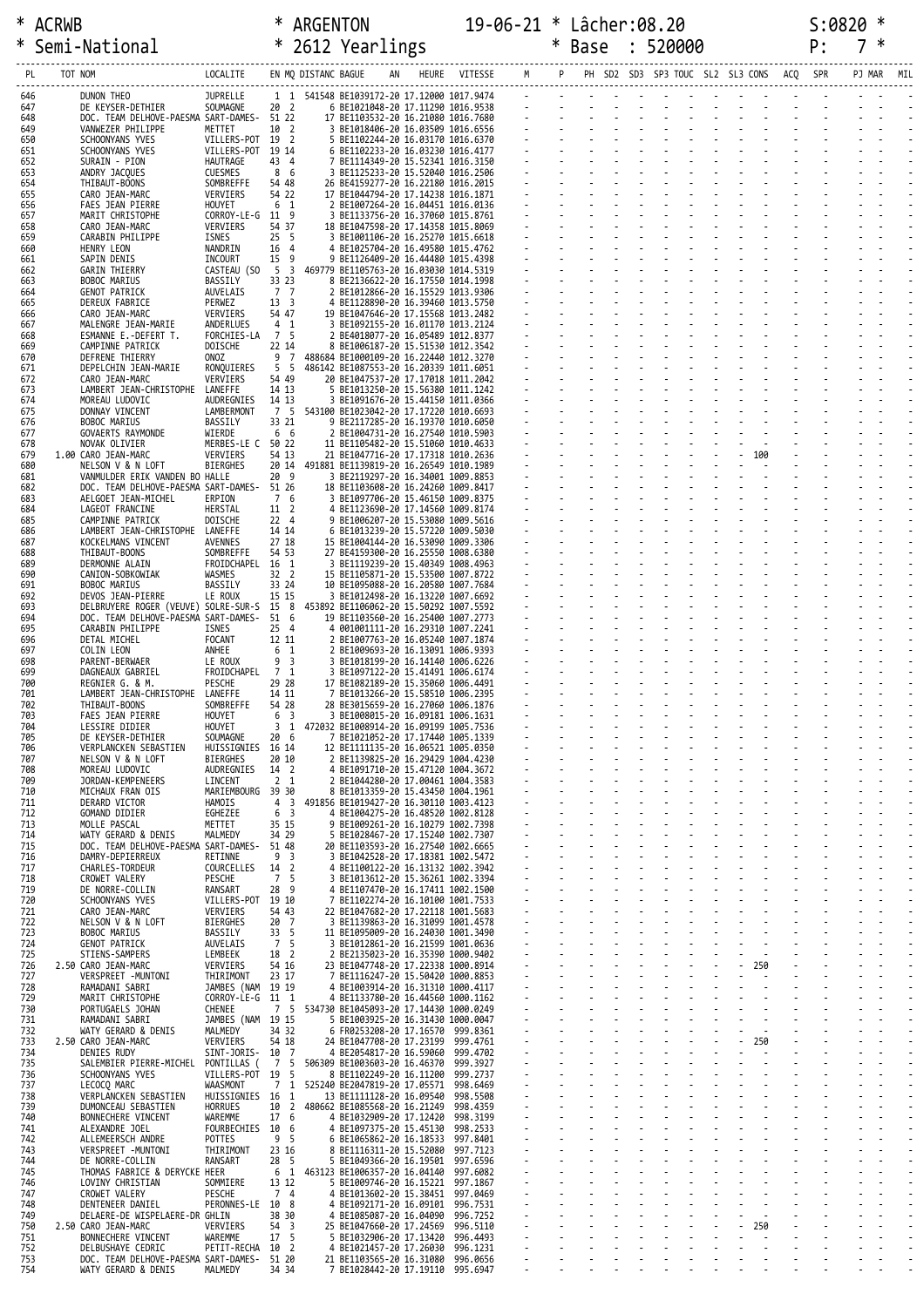| ∗          |         | Semi-National                                                   |                                      |                         |                     | * 2612 Yearlings                                                                  |                                 |                      | * Base | 520000 |                                                       |               | P: |     |
|------------|---------|-----------------------------------------------------------------|--------------------------------------|-------------------------|---------------------|-----------------------------------------------------------------------------------|---------------------------------|----------------------|--------|--------|-------------------------------------------------------|---------------|----|-----|
| PL         | TOT NOM |                                                                 | LOCALITE                             |                         | EN MQ DISTANC BAGUE |                                                                                   |                                 | HEURE VITESSE M P    |        |        | PH SD2 SD3 SP3 TOUC SL2 SL3 CONS ACQ SPR              |               |    | MIL |
| 646        |         | DUNON THEO                                                      | <b>JUPRELLE</b>                      |                         |                     | 1 1 541548 BE1039172-20 17.12000 1017.9474                                        |                                 |                      |        |        | والموارد والموارد والموارد والموارد والموارد والموارد |               |    |     |
| 647<br>648 |         | DE KEYSER-DETHIER<br>DOC. TEAM DELHOVE-PAESMA SART-DAMES- 51 22 | SOUMAGNE                             | $20^{2}$                |                     | 6 BE1021048-20 17.11290 1016.9538<br>17 BE1103532-20 16.21080 1016.7680           |                                 |                      |        |        |                                                       |               |    |     |
| 649        |         | VANWEZER PHILIPPE                                               | METTET                               | 10 2                    |                     | 3 BE1018406-20 16.03509 1016.6556                                                 |                                 |                      |        |        |                                                       |               |    |     |
| 650<br>651 |         | SCHOONYANS YVES<br>SCHOONYANS YVES                              | VILLERS-POT<br>VILLERS-POT 19 14     | 19 2                    |                     | 5 BE1102244-20 16.03170 1016.6370<br>6 BE1102233-20 16.03230 1016.4177            |                                 |                      |        |        |                                                       |               |    |     |
| 652<br>653 |         | SURAIN - PION<br>ANDRY JACQUES                                  | HAUTRAGE<br><b>CUESMES</b>           | 43 4<br>8 6             |                     | 7 BE1114349-20 15.52341 1016.3150<br>3 BE1125233-20 15.52040 1016.2506            |                                 |                      |        |        |                                                       |               |    |     |
| 654<br>655 |         | THIBAUT-BOONS<br>CARO JEAN-MARC                                 | SOMBREFFE<br>VERVIERS                | 54 48<br>54 22          |                     | 26 BE4159277-20 16.22180 1016.2015<br>17 BE1044794-20 17.14238 1016.1871          |                                 |                      |        |        |                                                       |               |    |     |
| 656        |         | <b>FAES JEAN PIERRE</b>                                         | HOUYET                               | 6 <sub>1</sub>          |                     | 2 BE1007264-20 16.04451 1016.0136                                                 |                                 |                      |        |        |                                                       |               |    |     |
| 657<br>658 |         | MARIT CHRISTOPHE<br>CARO JEAN-MARC                              | CORROY-LE-G 11 9<br>VERVIERS         | 54 37                   |                     | 3 BE1133756-20 16.37060 1015.8761<br>18 BE1047598-20 17.14358 1015.8069           |                                 |                      |        |        |                                                       |               |    |     |
| 659<br>660 |         | CARABIN PHILIPPE<br>HENRY LEON                                  | ISNES<br>NANDRIN                     | 25 <sub>5</sub><br>16 4 |                     | 3 BE1001106-20 16.25270 1015.6618<br>4 BE1025704-20 16.49580 1015.4762            |                                 |                      |        |        |                                                       |               |    |     |
| 661<br>662 |         | SAPIN DENIS<br><b>GARIN THIERRY</b>                             | INCOURT<br>CASTEAU (SO               | 15 9<br>5 <sup>3</sup>  |                     | 9 BE1126409-20 16.44480 1015.4398<br>469779 BE1105763-20 16.03030 1014.5319       |                                 |                      |        |        |                                                       |               |    |     |
| 663        |         | BOBOC MARIUS                                                    | BASSILY                              | 33 23                   |                     | 8 BE2136622-20 16.17550 1014.1998                                                 |                                 |                      |        |        |                                                       |               |    |     |
| 664<br>665 |         | <b>GENOT PATRICK</b><br>DEREUX FABRICE                          | AUVELAIS<br>PERWEZ                   | 7 7<br>13 <sup>3</sup>  |                     | 2 BE1012866-20 16.15529 1013.9306<br>4 BE1128890-20 16.39460 1013.5750            |                                 |                      |        |        |                                                       |               |    |     |
| 666<br>667 |         | CARO JEAN-MARC<br>MALENGRE JEAN-MARIE                           | VERVIERS<br>ANDERLUES                | 54 47<br>$4 \quad 1$    |                     | 19 BE1047646-20 17.15568 1013.2482<br>3 BE1092155-20 16.01170 1013.2124           |                                 |                      |        |        |                                                       |               |    |     |
| 668<br>669 |         | ESMANNE E.-DEFERT T.<br>CAMPINNE PATRICK                        | FORCHIES-LA<br>DOISCHE               | 7 5<br>22 14            |                     | 2 BE4018077-20 16.05489 1012.8377<br>8 BE1006187-20 15.51530 1012.3542            |                                 |                      |        |        |                                                       |               |    |     |
| 670        |         | DEFRENE THIERRY                                                 | ONOZ                                 | 9 7                     |                     | 488684 BE1000109-20 16.22440 1012.3270                                            |                                 |                      |        |        |                                                       |               |    |     |
| 671<br>672 |         | DEPELCHIN JEAN-MARIE<br>CARO JEAN-MARC                          | RONQUIERES<br>VERVIERS               | 5 <sub>5</sub><br>54 49 |                     | 486142 BE1087553-20 16.20339 1011.6051<br>20 BE1047537-20 17.17018 1011.2042      |                                 |                      |        |        |                                                       |               |    |     |
| 673<br>674 |         | LAMBERT JEAN-CHRISTOPHE LANEFFE<br>MOREAU LUDOVIC               | AUDREGNIES                           | 14 13<br>14 13          |                     | 5 BE1013250-20 15.56380 1011.1242<br>3 BE1091676-20 15.44150 1011.0366            |                                 |                      |        |        |                                                       |               |    |     |
| 675<br>676 |         | DONNAY VINCENT<br>BOBOC MARIUS                                  | LAMBERMONT<br>BASSILY                | 7 5<br>33 21            |                     | 543100 BE1023042-20 17.17220 1010.6693<br>9 BE2117285-20 16.19370 1010.6050       |                                 |                      |        |        |                                                       |               |    |     |
| 677        |         | GOVAERTS RAYMONDE                                               | WIERDE                               | 6 6                     |                     | 2 BE1004731-20 16.27540 1010.5903                                                 |                                 |                      |        |        |                                                       |               |    |     |
| 678<br>679 |         | NOVAK OLIVIER<br>1.00 CARO JEAN-MARC                            | MERBES-LE C 50 22<br>VERVIERS        | 54 13                   |                     | 11 BE1105482-20 15.51060 1010.4633<br>21 BE1047716-20 17.17318 1010.2636          |                                 |                      |        |        | $-100$                                                |               |    |     |
| 680<br>681 |         | NELSON V & N LOFT<br>VANMULDER ERIK VANDEN BO HALLE             | <b>BIERGHES</b>                      | 20 9                    |                     | 20 14 491881 BE1139819-20 16.26549 1010.1989<br>3 BE2119297-20 16.34001 1009.8853 |                                 |                      |        |        |                                                       |               |    |     |
| 682<br>683 |         | DOC. TEAM DELHOVE-PAESMA SART-DAMES-<br>AELGOET JEAN-MICHEL     | ERPION                               | 51 26<br>7 6            |                     | 18 BE1103608-20 16.24260 1009.8417<br>3 BE1097706-20 15.46150 1009.8375           |                                 |                      |        |        |                                                       |               |    |     |
| 684        |         | LAGEOT FRANCINE                                                 | HERSTAL                              | 11 2                    |                     | 4 BE1123690-20 17.14560 1009.8174                                                 |                                 |                      |        |        |                                                       |               |    |     |
| 685<br>686 |         | CAMPINNE PATRICK<br>LAMBERT JEAN-CHRISTOPHE                     | DOISCHE<br>LANEFFE                   | 224<br>14 14            |                     | 9 BE1006207-20 15.53080 1009.5616<br>6 BE1013239-20 15.57220 1009.5030            |                                 |                      |        |        |                                                       |               |    |     |
| 687<br>688 |         | KOCKELMANS VINCENT<br>THIBAUT-BOONS                             | AVENNES<br>SOMBREFFE                 | 27 18<br>54 53          |                     | 15 BE1004144-20 16.53090 1009.3306<br>27 BE4159300-20 16.25550 1008.6380          |                                 |                      |        |        |                                                       |               |    |     |
| 689<br>690 |         | DERMONNE ALAIN<br>CANION-SOBKOWIAK                              | FROIDCHAPEL<br>WASMES                | 16 1<br>32 2            |                     | 3 BE1119239-20 15.40349 1008.4963<br>15 BE1105871-20 15.53500 1007.8722           |                                 |                      |        |        |                                                       |               |    |     |
| 691        |         | BOBOC MARIUS                                                    | BASSILY                              | 33 24                   |                     | 10 BE1095088-20 16.20580 1007.7684                                                |                                 |                      |        |        |                                                       |               |    |     |
| 692<br>693 |         | DEVOS JEAN-PIERRE<br>DELBRUYERE ROGER (VEUVE) SOLRE-SUR-S 15 8  | LE ROUX                              | 15 15                   |                     | 3 BE1012498-20 16.13220 1007.6692<br>453892 BE1106062-20 15.50292 1007.5592       |                                 |                      |        |        |                                                       |               |    |     |
| 694<br>695 |         | DOC. TEAM DELHOVE-PAESMA SART-DAMES-<br>CARABIN PHILIPPE        | ISNES                                | 51 6<br>$25 - 4$        |                     | 19 BE1103560-20 16.25400 1007.2773<br>4 001001111-20 16.29310 1007.2241           |                                 |                      |        |        |                                                       |               |    |     |
| 696<br>697 |         | DETAL MICHEL<br>COLIN LEON                                      | <b>FOCANT</b><br>ANHEE               | 12 11<br>6 <sub>1</sub> |                     | 2 BE1007763-20 16.05240 1007.1874<br>2 BE1009693-20 16.13091 1006.9393            |                                 |                      |        |        |                                                       |               |    |     |
| 698        |         | PARENT-BERWAER                                                  | LE ROUX                              | 9 <sub>3</sub>          |                     | 3 BE1018199-20 16.14140 1006.6226                                                 |                                 |                      |        |        |                                                       |               |    |     |
| 699<br>700 |         | DAGNEAUX GABRIEL<br>REGNIER G. & M.                             | FROIDCHAPEL<br>PESCHE                | 7 1<br>29 28            |                     | 3 BE1097122-20 15.41491 1006.6174<br>17 BE1082189-20 15.35060 1006.4491           |                                 |                      |        |        |                                                       |               |    |     |
| 701<br>702 |         | LAMBERT JEAN-CHRISTOPHE LANEFFE<br>THIBAUT-BOONS                | SOMBREFFE                            | 14 11<br>54 28          |                     | 7 BE1013266-20 15.58510 1006.2395<br>28 BE3015659-20 16.27060 1006.1876           |                                 |                      |        |        |                                                       |               |    |     |
| 703<br>704 |         | FAES JEAN PIERRE                                                | <b>HOUYET</b>                        | 6 3                     |                     | 3 BE1008015-20 16.09181 1006.1631                                                 |                                 |                      |        |        |                                                       |               |    |     |
| 705        |         | LESSIRE DIDIER<br>DE KEYSER-DETHIER                             | <b>HOUYET</b><br>SOUMAGNE            | 20 6                    |                     | 3 1 472032 BE1008914-20 16.09199 1005.7536                                        | BE1021052-20 17.17440 1005.1339 |                      |        |        |                                                       |               |    |     |
| 706<br>707 |         | VERPLANCKEN SEBASTIEN<br>NELSON V & N LOFT                      | HUISSIGNIES 16 14<br><b>BIERGHES</b> | 20 10                   |                     | 12 BE1111135-20 16.06521 1005.0350<br>2 BE1139825-20 16.29429 1004.4230           |                                 |                      |        |        |                                                       |               |    |     |
| 708<br>709 |         | MOREAU LUDOVIC<br>JORDAN-KEMPENEERS                             | AUDREGNIES<br>LINCENT                | 14 2<br>2 <sub>1</sub>  |                     | 4 BE1091710-20 15.47120 1004.3672<br>2 BE1044280-20 17.00461 1004.3583            |                                 |                      |        |        |                                                       |               |    |     |
| 710<br>711 |         | MICHAUX FRAN OIS<br>DERARD VICTOR                               | MARIEMBOURG<br>HAMOIS                | 39 30<br>4 <sup>3</sup> |                     | 8 BE1013359-20 15.43450 1004.1961<br>491856 BE1019427-20 16.30110 1003.4123       |                                 |                      |        |        |                                                       |               |    |     |
| 712        |         | GOMAND DIDIER                                                   | EGHEZEE                              | 6 <sup>3</sup>          |                     | 4 BE1004275-20 16.48520 1002.8128                                                 |                                 |                      |        |        |                                                       |               |    |     |
| 713<br>714 |         | MOLLE PASCAL<br>WATY GERARD & DENIS                             | METTET<br>MALMEDY                    | 35 15<br>34 29          |                     | 9 BE1009261-20 16.10279 1002.7398<br>5 BE1028467-20 17.15240 1002.7307            |                                 |                      |        |        |                                                       |               |    |     |
| 715<br>716 |         | DOC. TEAM DELHOVE-PAESMA SART-DAMES-<br>DAMRY-DEPIERREUX        | RETINNE                              | 51 48<br>9 <sub>3</sub> |                     | 20 BE1103593-20 16.27540 1002.6665<br>3 BE1042528-20 17.18381 1002.5472           |                                 |                      |        |        |                                                       |               |    |     |
| 717<br>718 |         | CHARLES-TORDEUR<br>CROWET VALERY                                | COURCELLES<br>PESCHE                 | 14 2<br>7 <sub>5</sub>  |                     | 4 BE1100122-20 16.13132 1002.3942<br>3 BE1013612-20 15.36261 1002.3394            |                                 |                      |        |        |                                                       |               |    |     |
| 719        |         | DE NORRE-COLLIN                                                 | RANSART                              | 28 9                    |                     | 4 BE1107470-20 16.17411 1002.1500                                                 |                                 |                      |        |        |                                                       |               |    |     |
| 720<br>721 |         | SCHOONYANS YVES<br>CARO JEAN-MARC                               | VILLERS-POT<br>VERVIERS              | 19 10<br>54 43          |                     | 7 BE1102274-20 16.10100 1001.7533<br>22 BE1047682-20 17.22118 1001.5683           |                                 |                      |        |        |                                                       |               |    |     |
| 722<br>723 |         | NELSON V & N LOFT<br>BOBOC MARIUS                               | <b>BIERGHES</b><br>BASSILY           | 20 7<br>33 5            |                     | 3 BE1139863-20 16.31099 1001.4578<br>11 BE1095009-20 16.24030 1001.3490           |                                 |                      |        |        |                                                       |               |    |     |
| 724<br>725 |         | <b>GENOT PATRICK</b><br>STIENS-SAMPERS                          | AUVELAIS<br>LEMBEEK                  | $\overline{7}$<br>18 2  | 5                   | 3 BE1012861-20 16.21599 1001.0636<br>2 BE2135023-20 16.35390 1000.9402            |                                 |                      |        |        |                                                       |               |    |     |
| 726        |         | 2.50 CARO JEAN-MARC                                             | VERVIERS                             | 54 16                   |                     | 23 BE1047748-20 17.22338 1000.8914                                                |                                 |                      |        |        |                                                       | 250<br>$\sim$ |    |     |
| 727<br>728 |         | VERSPREET -MUNTONI<br>RAMADANI SABRI                            | THIRIMONT<br>JAMBES (NAM 19 19       | 23 17                   |                     | 7 BE1116247-20 15.50420 1000.8853<br>4 BE1003914-20 16.31310 1000.4117            |                                 |                      |        |        |                                                       |               |    |     |
| 729<br>730 |         | MARIT CHRISTOPHE<br>PORTUGAELS JOHAN                            | CORROY-LE-G 11 1<br>CHENEE           | 7 <sub>5</sub>          |                     | 4 BE1133780-20 16.44560 1000.1162<br>534730 BE1045093-20 17.14430 1000.0249       |                                 |                      |        |        |                                                       |               |    |     |
| 731<br>732 |         | RAMADANI SABRI<br>WATY GERARD & DENIS                           | JAMBES (NAM 19 15<br>MALMEDY         | 34 32                   |                     | 5 BE1003925-20 16.31430 1000.0047<br>6 FR0253208-20 17.16570 999.8361             |                                 |                      |        |        |                                                       |               |    |     |
| 733        |         | 2.50 CARO JEAN-MARC                                             | VERVIERS                             | 54 18                   |                     | 24 BE1047708-20 17.23199                                                          |                                 | 999.4761             |        |        |                                                       | 250           |    |     |
| 734<br>735 |         | <b>DENIES RUDY</b><br>SALEMBIER PIERRE-MICHEL PONTILLAS (       | SINT-JORIS-                          | 10 7<br>$\overline{7}$  | 5                   | 4 BE2054817-20 16.59060 999.4702<br>506309 BE1003603-20 16.46370                  |                                 | 999.3927             |        |        |                                                       |               |    |     |
| 736<br>737 |         | SCHOONYANS YVES<br>LECOCQ MARC                                  | VILLERS-POT<br>WAASMONT              | 19<br>7 <sub>1</sub>    | - 5                 | 8 BE1102249-20 16.11200<br>525240 BE2047819-20 17.05571 998.6469                  |                                 | 999.2737             |        |        |                                                       |               |    |     |
| 738<br>739 |         | VERPLANCKEN SEBASTIEN<br>DUMONCEAU SEBASTIEN                    | HUISSIGNIES 16 1<br><b>HORRUES</b>   | 10                      | $\overline{2}$      | 13 BE1111128-20 16.09540<br>480662 BE1085568-20 16.21249                          |                                 | 998.5508<br>998.4359 |        |        |                                                       |               |    |     |
| 740        |         | BONNECHERE VINCENT                                              | WAREMME                              | 17                      | 6                   | 4 BE1032909-20 17.12420 998.3199                                                  |                                 |                      |        |        |                                                       |               |    |     |
| 741<br>742 |         | ALEXANDRE JOEL<br>ALLEMEERSCH ANDRE                             | FOURBECHIES 10<br>POTTES             | 9 <sub>5</sub>          | 6                   | 4 BE1097375-20 15.45130 998.2533<br>6 BE1065862-20 16.18533                       |                                 | 997.8401             |        |        |                                                       |               |    |     |
| 743<br>744 |         | VERSPREET - MUNTONI<br>DE NORRE-COLLIN                          | THIRIMONT<br>RANSART                 | 23 16<br>28 5           |                     | 8 BE1116311-20 15.52080 997.7123<br>5 BE1049366-20 16.19501 997.6596              |                                 |                      |        |        |                                                       |               |    |     |
| 745<br>746 |         | THOMAS FABRICE & DERYCKE HEER<br>LOVINY CHRISTIAN               | SOMMIERE                             | 6 <sub>1</sub><br>13 12 |                     | 463123 BE1006357-20 16.04140<br>5 BE1009746-20 16.15221 997.1867                  |                                 | 997.6082             |        |        |                                                       |               |    |     |
| 747<br>748 |         | CROWET VALERY<br>DENTENEER DANIEL                               | PESCHE<br>PERONNES-LE 10 8           | 7 4                     |                     | 4 BE1013602-20 15.38451 997.0469<br>4 BE1092171-20 16.09101                       |                                 | 996.7531             |        |        |                                                       |               |    |     |
| 749        |         | DELAERE-DE WISPELAERE-DR GHLIN                                  |                                      | 38 30                   |                     | 4 BE1085087-20 16.04090                                                           |                                 | 996.7252             |        |        |                                                       |               |    |     |
| 750<br>751 |         | 2.50 CARO JEAN-MARC<br>BONNECHERE VINCENT                       | VERVIERS<br>WAREMME                  | 54 3<br>17 <sub>5</sub> |                     | 25 BE1047660-20 17.24569<br>5 BE1032906-20 17.13420                               |                                 | 996.5110<br>996.4493 |        |        |                                                       | 250<br>$\sim$ |    |     |
| 752<br>753 |         | DELBUSHAYE CEDRIC<br>DOC. TEAM DELHOVE-PAESMA SART-DAMES-       | PETIT-RECHA                          | 10 2<br>51 20           |                     | 4 BE1021457-20 17.26030<br>21 BE1103565-20 16.31080 996.0656                      |                                 | 996.1231             |        |        |                                                       |               |    |     |
| 754        |         | WATY GERARD & DENIS                                             | MALMEDY                              | 34 34                   |                     | 7 BE1028442-20 17.19110 995.6947                                                  |                                 |                      |        |        |                                                       |               |    |     |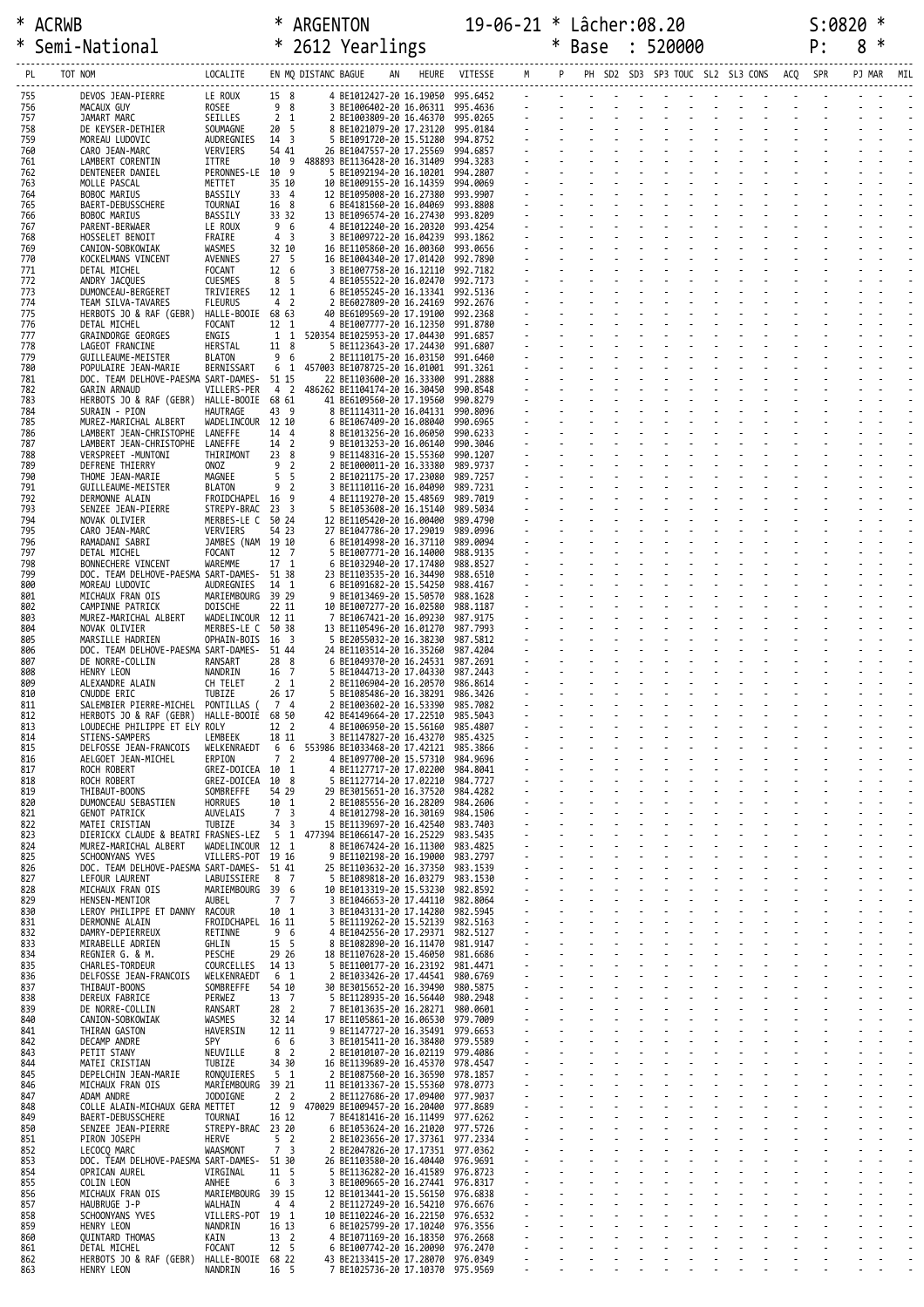| ∗          | Semi-National                                                 |                                   |                                          |                     | * 2612 Yearlings |                                                                  |                      |  | <b>Base</b> | 520000 |                                          | P:     | 8      | ∗              |     |
|------------|---------------------------------------------------------------|-----------------------------------|------------------------------------------|---------------------|------------------|------------------------------------------------------------------|----------------------|--|-------------|--------|------------------------------------------|--------|--------|----------------|-----|
| PL.        | TOT NOM                                                       | LOCALITE                          |                                          | EN MQ DISTANC BAGUE |                  | HEURE                                                            | VITESSE              |  |             |        | PH SD2 SD3 SP3 TOUC SL2 SL3 CONS ACQ SPR |        | PJ MAR |                | MIL |
| 755        | DEVOS JEAN-PIERRE                                             | LE ROUX                           | 15 8                                     |                     |                  | 4 BE1012427-20 16.19050                                          | 995.6452             |  |             |        |                                          | $\sim$ |        |                |     |
| 756<br>757 | MACAUX GUY<br>JAMART MARC                                     | ROSEE<br>SEILLES                  | 9 8<br>2 <sub>1</sub>                    |                     |                  | 3 BE1006402-20 16.06311<br>2 BE1003809-20 16.46370               | 995.4636<br>995.0265 |  |             |        |                                          |        |        |                |     |
| 758        | DE KEYSER-DETHIER                                             | SOUMAGNE                          | 20 5                                     |                     |                  | 8 BE1021079-20 17.23120                                          | 995.0184             |  |             |        |                                          |        |        |                |     |
| 759<br>760 | MOREAU LUDOVIC<br>CARO JEAN-MARC                              | AUDREGNIES<br>VERVIERS            | 14 3<br>54 41                            |                     |                  | 5 BE1091720-20 15.51280<br>26 BE1047557-20 17.25569              | 994.8752<br>994.6857 |  |             |        |                                          |        |        |                |     |
| 761<br>762 | LAMBERT CORENTIN<br>DENTENEER DANIEL                          | ITTRE<br>PERONNES-LE              | 10 9<br>- 9<br>10                        |                     |                  | 488893 BE1136428-20 16.31409<br>5 BE1092194-20 16.10201          | 994.3283<br>994.2807 |  |             |        |                                          |        |        |                |     |
| 763        | MOLLE PASCAL                                                  | METTET                            | 35 10                                    |                     |                  | 10 BE1009155-20 16.14359                                         | 994.0069             |  |             |        |                                          |        |        |                |     |
| 764<br>765 | BOBOC MARIUS<br>BAERT-DEBUSSCHERE                             | BASSILY<br>TOURNAI                | 33 4<br>16 8                             |                     |                  | 12 BE1095008-20 16.27380<br>6 BE4181560-20 16.04069              | 993.9907<br>993.8808 |  |             |        |                                          |        |        |                |     |
| 766<br>767 | BOBOC MARIUS<br>PARENT-BERWAER                                | BASSILY<br>LE ROUX                | 33 32<br>9 6                             |                     |                  | 13 BE1096574-20 16.27430<br>4 BE1012240-20 16.20320              | 993.8209<br>993.4254 |  |             |        |                                          |        |        |                |     |
| 768<br>769 | HOSSELET BENOIT<br>CANION-SOBKOWIAK                           | FRAIRE<br>WASMES                  | 4 <sup>3</sup><br>32 10                  |                     |                  | 3 BE1009722-20 16.04239<br>16 BE1105860-20 16.00360              | 993.1862<br>993.0656 |  |             |        |                                          |        |        |                |     |
| 770        | KOCKELMANS VINCENT                                            | AVENNES                           | 27 <sub>5</sub>                          |                     |                  | 16 BE1004340-20 17.01420                                         | 992.7890             |  |             |        |                                          |        |        |                |     |
| 771<br>772 | DETAL MICHEL<br>ANDRY JACQUES                                 | FOCANT<br>CUESMES                 | 12 6<br>8 5                              |                     |                  | 3 BE1007758-20 16.12110<br>4 BE1055522-20 16.02470               | 992.7182<br>992.7173 |  |             |        |                                          |        |        |                |     |
| 773<br>774 | DUMONCEAU-BERGERET<br>TEAM SILVA-TAVARES                      | TRIVIERES<br><b>FLEURUS</b>       | 12 1<br>4 2                              |                     |                  | 6 BE1055245-20 16.13341<br>2 BE6027809-20 16.24169               | 992.5136<br>992.2676 |  |             |        |                                          |        |        |                |     |
| 775        | HERBOTS JO & RAF (GEBR)                                       | HALLE-BOOIE 68 63                 |                                          |                     |                  | 40 BE6109569-20 17.19100                                         | 992.2368             |  |             |        |                                          |        |        |                |     |
| 776<br>777 | DETAL MICHEL<br>GRAINDORGE GEORGES                            | FOCANT<br>ENGIS                   | 12 1<br>$1\quad1$                        |                     |                  | 4 BE1007777-20 16.12350<br>520354 BE1025953-20 17.04430          | 991.8780<br>991.6857 |  |             |        |                                          |        |        |                |     |
| 778<br>779 | LAGEOT FRANCINE<br>GUILLEAUME-MEISTER                         | HERSTAL<br><b>BLATON</b>          | 11 8<br>9<br>- 6                         |                     |                  | 5 BE1123643-20 17.24430<br>2 BE1110175-20 16.03150               | 991.6807<br>991.6460 |  |             |        |                                          |        |        |                |     |
| 780        | POPULAIRE JEAN-MARIE                                          | BERNISSART                        | 6 1                                      |                     |                  | 457003 BE1078725-20 16.01001                                     | 991.3261             |  |             |        |                                          |        |        |                |     |
| 781<br>782 | DOC. TEAM DELHOVE-PAESMA SART-DAMES-<br>GARIN ARNAUD          | VILLERS-PER                       | 51 15<br>4 2                             |                     |                  | 22 BE1103600-20 16.33300<br>486262 BE1104174-20 16.30450         | 991.2888<br>990.8548 |  |             |        |                                          |        |        |                |     |
| 783<br>784 | HERBOTS JO & RAF (GEBR)<br>SURAIN - PION                      | HALLE-BOOIE 68 61<br>HAUTRAGE     | 43 9                                     |                     |                  | 41 BE6109560-20 17.19560<br>8 BE1114311-20 16.04131              | 990.8279<br>990.8096 |  |             |        |                                          |        |        |                |     |
| 785        | MUREZ-MARICHAL ALBERT                                         | WADELINCOUR 12 10                 |                                          |                     |                  | 6 BE1067409-20 16.08040                                          | 990.6965             |  |             |        |                                          |        |        |                |     |
| 786<br>787 | LAMBERT JEAN-CHRISTOPHE<br>LAMBERT JEAN-CHRISTOPHE            | LANEFFE<br>LANEFFE                | 14 4<br>14 2                             |                     |                  | 8 BE1013256-20 16.06050<br>9 BE1013253-20 16.06140               | 990.6233<br>990.3046 |  |             |        |                                          |        |        |                |     |
| 788<br>789 | VERSPREET -MUNTONI<br><b>DEFRENE THIERRY</b>                  | THIRIMONT<br>ONOZ                 | 23 8<br>9<br>$\overline{2}$              |                     |                  | 9 BE1148316-20 15.55360<br>2 BE1000011-20 16.33380               | 990.1207<br>989.9737 |  |             |        |                                          |        |        |                |     |
| 790        | THOME JEAN-MARIE                                              | MAGNEE                            | 5<br>-5                                  |                     |                  | 2 BE1021175-20 17.23080                                          | 989.7257             |  |             |        |                                          |        |        |                |     |
| 791<br>792 | GUILLEAUME-MEISTER<br>DERMONNE ALAIN                          | <b>BLATON</b><br>FROIDCHAPEL      | 9<br>$\overline{2}$<br>16 9              |                     |                  | 3 BE1110116-20 16.04090<br>4 BE1119270-20 15.48569               | 989.7231<br>989.7019 |  |             |        |                                          |        |        |                |     |
| 793<br>794 | SENZEE JEAN-PIERRE<br>NOVAK OLIVIER                           | STREPY-BRAC<br>MERBES-LE C        | 23 3<br>50 24                            |                     |                  | 5 BE1053608-20 16.15140<br>12 BE1105420-20 16.00400              | 989.5034<br>989.4790 |  |             |        |                                          |        |        |                |     |
| 795        | CARO JEAN-MARC                                                | VERVIERS                          | 54 23                                    |                     |                  | 27 BE1047786-20 17.29019                                         | 989.0996             |  |             |        |                                          |        |        |                |     |
| 796<br>797 | RAMADANI SABRI<br>DETAL MICHEL                                | JAMBES (NAM 19 10<br>FOCANT       | 12 7                                     |                     |                  | 6 BE1014998-20 16.37110<br>5 BE1007771-20 16.14000               | 989.0094<br>988.9135 |  |             |        |                                          |        |        |                |     |
| 798<br>799 | BONNECHERE VINCENT<br>DOC. TEAM DELHOVE-PAESMA SART-DAMES-    | WAREMME                           | 17 1<br>51 38                            |                     |                  | 6 BE1032940-20 17.17480<br>23 BE1103535-20 16.34490              | 988.8527<br>988.6510 |  |             |        |                                          |        |        |                |     |
| 800        | MOREAU LUDOVIC                                                | AUDREGNIES                        | 14 1                                     |                     |                  | 6 BE1091682-20 15.54250                                          | 988.4167             |  |             |        |                                          |        |        |                |     |
| 801<br>802 | MICHAUX FRAN OIS<br>CAMPINNE PATRICK                          | MARIEMBOURG<br>DOISCHE            | 39 29<br>22 11                           |                     |                  | 9 BE1013469-20 15.50570<br>10 BE1007277-20 16.02580              | 988.1628<br>988.1187 |  |             |        |                                          |        |        |                |     |
| 803<br>804 | MUREZ-MARICHAL ALBERT<br>NOVAK OLIVIER                        | WADELINCOUR 12 11<br>MERBES-LE C  | 50 38                                    |                     |                  | 7 BE1067421-20 16.09230<br>13 BE1105496-20 16.01270              | 987.9175<br>987.7993 |  |             |        |                                          |        |        |                |     |
| 805        | MARSILLE HADRIEN                                              | OPHAIN-BOIS                       | 16 3                                     |                     |                  | 5 BE2055032-20 16.38230                                          | 987.5812             |  |             |        |                                          |        |        |                |     |
| 806<br>807 | DOC. TEAM DELHOVE-PAESMA SART-DAMES-<br>DE NORRE-COLLIN       | RANSART                           | 51 44<br>28 8                            |                     |                  | 24 BE1103514-20 16.35260<br>6 BE1049370-20 16.24531              | 987.4204<br>987.2691 |  |             |        |                                          |        |        |                |     |
| 808<br>809 | HENRY LEON<br>ALEXANDRE ALAIN                                 | NANDRIN<br>CH TELET               | 16 7<br>2 <sub>1</sub>                   |                     |                  | 5 BE1044713-20 17.04330<br>2 BE1106904-20 16.20570               | 987.2443<br>986.8614 |  |             |        |                                          |        |        |                |     |
| 810        | CNUDDE ERIC                                                   | TUBIZE                            | 26 17                                    |                     |                  | 5 BE1085486-20 16.38291                                          | 986.3426             |  |             |        |                                          |        |        |                |     |
| 811<br>812 | SALEMBIER PIERRE-MICHEL<br>HERBOTS JO & RAF (GEBR)            | PONTILLAS<br>HALLE-BOOIE 68 50    | 74                                       |                     |                  | 2 BE1003602-20 16.53390<br>42 BE4149664-20 17.22510              | 985.7082<br>985.5043 |  |             |        |                                          |        |        |                |     |
| 813<br>814 | LOUDECHE PHILIPPE ET ELY ROLY<br>STIENS-SAMPERS               | LEMBEEK                           | 12 2<br>18 11                            | 3                   |                  | 4 BE1006950-20 15.56160<br>BE1147827-20 16.43270                 | 985,4807<br>985.4325 |  |             |        |                                          |        |        |                |     |
| 815        | DELFOSSE JEAN-FRANCOIS                                        | WELKENRAEDT<br>ERPION             | 6<br>6<br>7 <sub>2</sub>                 |                     |                  | 553986 BE1033468-20 17.42121<br>4 BE1097700-20 15.57310          | 985.3866<br>984.9696 |  |             |        |                                          |        |        |                |     |
| 816<br>817 | AELGOET JEAN-MICHEL<br>ROCH ROBERT                            | GREZ-DOICEA                       | 10 1                                     |                     |                  | 4 BE1127717-20 17.02200                                          | 984.8041             |  |             |        |                                          |        |        |                |     |
| 818<br>819 | ROCH ROBERT<br>THIBAUT-BOONS                                  | GREZ-DOICEA<br>SOMBREFFE          | 10 8<br>54 29                            |                     |                  | 5 BE1127714-20 17.02210<br>29 BE3015651-20 16.37520              | 984.7727<br>984,4282 |  |             |        |                                          |        |        |                |     |
| 820<br>821 | DUMONCEAU SEBASTIEN<br><b>GENOT PATRICK</b>                   | <b>HORRUES</b><br>AUVELAIS        | 10 1<br>$\overline{7}$<br>$\overline{3}$ |                     |                  | 2 BE1085556-20 16.28209<br>4 BE1012798-20 16.30169               | 984,2606<br>984.1506 |  |             |        |                                          |        |        |                |     |
| 822        | MATEI CRISTIAN                                                | TUBIZE                            | 34<br>$\overline{\mathbf{3}}$            |                     |                  | 15 BE1139697-20 16.42540                                         | 983.7403             |  |             |        |                                          |        |        |                |     |
| 823<br>824 | DIERICKX CLAUDE & BEATRI FRASNES-LEZ<br>MUREZ-MARICHAL ALBERT | WADELINCOUR                       | -5<br>1<br>12 1                          |                     |                  | 477394 BE1066147-20 16.25229<br>8 BE1067424-20 16.11300          | 983.5435<br>983.4825 |  |             |        |                                          |        |        |                |     |
| 825<br>826 | SCHOONYANS YVES<br>DOC. TEAM DELHOVE-PAESMA SART-DAMES-       | VILLERS-POT                       | 19 16<br>51 41                           |                     |                  | 9 BE1102198-20 16.19000<br>25 BE1103632-20 16.37350              | 983,2797<br>983.1539 |  |             |        |                                          |        |        |                |     |
| 827        | LEFOUR LAURENT                                                | LABUISSIERE                       | 8 7                                      |                     |                  | 5 BE1089818-20 16.03279                                          | 983.1530             |  |             |        |                                          |        |        |                |     |
| 828<br>829 | MICHAUX FRAN OIS<br>HENSEN-MENTIOR                            | MARIEMBOURG<br>AUBEL              | 39 6<br>7 <sub>7</sub>                   |                     |                  | 10 BE1013319-20 15.53230<br>3 BE1046653-20 17.44110              | 982.8592<br>982.8064 |  |             |        |                                          |        |        |                |     |
| 830<br>831 | LEROY PHILIPPE ET DANNY<br>DERMONNE ALAIN                     | RACOUR<br>FROIDCHAPEL 16 11       | 10 1                                     | 3                   |                  | BE1043131-20 17.14280<br>5 BE1119262-20 15.52139 982.5163        | 982.5945             |  |             |        |                                          |        |        |                |     |
| 832        | DAMRY-DEPIERREUX                                              | RETINNE                           | 9 6                                      |                     |                  | 4 BE1042556-20 17.29371                                          | 982.5127             |  |             |        |                                          |        |        |                |     |
| 833<br>834 | MIRABELLE ADRIEN<br>REGNIER G. & M.                           | GHLIN<br>PESCHE                   | 15 5<br>29 26                            |                     |                  | 8 BE1082890-20 16.11470<br>18 BE1107628-20 15.46050              | 981.9147<br>981.6686 |  |             |        |                                          |        |        |                |     |
| 835<br>836 | CHARLES-TORDEUR<br>DELFOSSE JEAN-FRANCOIS                     | COURCELLES<br>WELKENRAEDT         | 14 13<br>6 1                             |                     |                  | 5 BE1100177-20 16.23192<br>2 BE1033426-20 17.44541               | 981.4471<br>980.6769 |  |             |        |                                          |        |        |                |     |
| 837        | THIBAUT-BOONS                                                 | SOMBREFFE                         | 54 10                                    |                     |                  | 30 BE3015652-20 16.39490                                         | 980.5875             |  |             |        |                                          |        |        |                |     |
| 838<br>839 | DEREUX FABRICE<br>DE NORRE-COLLIN                             | PERWEZ<br>RANSART                 | 13 7<br>28 <sub>2</sub>                  |                     |                  | 5 BE1128935-20 16.56440<br>BE1013635-20 16.28271                 | 980.2948<br>980.0601 |  |             |        |                                          |        |        |                |     |
| 840<br>841 | CANION-SOBKOWIAK<br>THIRAN GASTON                             | WASMES<br>HAVERSIN                | 32 14<br>12 11                           |                     |                  | 17 BE1105861-20 16.06530<br>9 BE1147727-20 16.35491 979.6653     | 979.7009             |  |             |        |                                          |        |        |                |     |
| 842        | DECAMP ANDRE                                                  | <b>SPY</b>                        | 6 6                                      |                     |                  | 3 BE1015411-20 16.38480                                          | 979.5589             |  |             |        |                                          |        |        |                |     |
| 843<br>844 | PETIT STANY<br>MATEI CRISTIAN                                 | NEUVILLE<br>TUBIZE                | 8 <sup>2</sup><br>34 30                  |                     |                  | 2 BE1010107-20 16.02119 979.4086<br>16 BE1139689-20 16.45370     | 978.4547             |  |             |        |                                          |        |        |                |     |
| 845<br>846 | DEPELCHIN JEAN-MARIE<br>MICHAUX FRAN OIS                      | RONQUIERES<br>MARIEMBOURG         | 5 <sub>1</sub><br>39 21                  |                     |                  | 2 BE1087560-20 16.36590<br>11 BE1013367-20 15.55360 978.0773     | 978.1857             |  |             |        |                                          |        |        |                |     |
| 847        | ADAM ANDRE                                                    | JODOIGNE                          | 2 <sub>2</sub>                           |                     |                  | 2 BE1127686-20 17.09400                                          | 977.9037             |  |             |        |                                          |        |        |                |     |
| 848<br>849 | COLLE ALAIN-MICHAUX GERA METTET<br>BAERT-DEBUSSCHERE          | TOURNAI                           | 12 9<br>16 12                            |                     |                  | 470029 BE1009457-20 16.20400<br>7 BE4181416-20 16.11499 977.6262 | 977.8689             |  |             |        |                                          |        |        |                |     |
| 850<br>851 | SENZEE JEAN-PIERRE<br>PIRON JOSEPH                            | STREPY-BRAC 23 20<br><b>HERVE</b> | 5 <sub>2</sub>                           |                     |                  | 6 BE1053624-20 16.21020<br>2 BE1023656-20 17.37361               | 977.5726<br>977.2334 |  |             |        |                                          |        |        |                |     |
| 852        | LECOCQ MARC                                                   | <b>WAASMONT</b>                   | 7 <sup>3</sup>                           |                     |                  | 2 BE2047826-20 17.17351 977.0362                                 |                      |  |             |        |                                          |        |        |                |     |
| 853<br>854 | DOC. TEAM DELHOVE-PAESMA SART-DAMES-<br>OPRICAN AUREL         | VIRGINAL                          | 51 30<br>11 5                            |                     |                  | 26 BE1103580-20 16.40440<br>5 BE1136282-20 16.41589              | 976.9691<br>976.8723 |  |             |        |                                          |        |        |                |     |
| 855<br>856 | COLIN LEON<br>MICHAUX FRAN OIS                                | ANHEE<br>MARIEMBOURG 39 15        | 6 3                                      |                     |                  | 3 BE1009665-20 16.27441 976.8317<br>12 BE1013441-20 15.56150     | 976.6838             |  |             |        |                                          |        |        |                |     |
| 857        | HAUBRUGE J-P                                                  | WALHAIN                           | 4 4                                      |                     |                  | 2 BE1127249-20 16.54210                                          | 976.6676             |  |             |        |                                          |        |        |                |     |
| 858<br>859 | SCHOONYANS YVES<br>HENRY LEON                                 | VILLERS-POT 19 1<br>NANDRIN       | 16 13                                    |                     |                  | 10 BE1102246-20 16.22150 976.6532<br>6 BE1025799-20 17.10240     | 976.3556             |  |             |        |                                          |        |        |                |     |
| 860<br>861 | QUINTARD THOMAS<br>DETAL MICHEL                               | KAIN<br><b>FOCANT</b>             | 13 <sup>2</sup><br>12 <sub>5</sub>       |                     |                  | 4 BE1071169-20 16.18350<br>6 BE1007742-20 16.20090               | 976.2668<br>976,2470 |  |             |        |                                          |        |        |                |     |
| 862<br>863 | HERBOTS JO & RAF (GEBR)<br>HENRY LEON                         | HALLE-BOOIE 68 22<br>NANDRIN      | 16 5                                     |                     |                  | 43 BE2133415-20 17.28070<br>7 BE1025736-20 17.10370 975.9569     | 976.0349             |  |             |        |                                          |        |        | $\overline{a}$ |     |
|            |                                                               |                                   |                                          |                     |                  |                                                                  |                      |  |             |        |                                          |        |        |                |     |